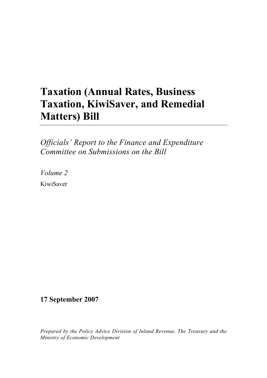## **Taxation (Annual Rates, Business Taxation, KiwiSaver, and Remedial Matters) Bill**

*Officials' Report to the Finance and Expenditure Committee on Submissions on the Bill* 

*Volume 2* 

KiwiSaver

## **17 September 2007**

*Prepared by the Policy Advice Division of Inland Revenue, The Treasury and the Ministry of Economic Development*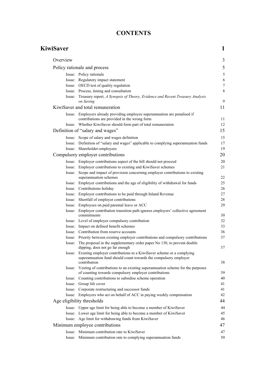## **CONTENTS**

| KiwiSaver |                                                                                                                                                                 | 1                |
|-----------|-----------------------------------------------------------------------------------------------------------------------------------------------------------------|------------------|
| Overview  |                                                                                                                                                                 | 3                |
|           | Policy rationale and process                                                                                                                                    | 5                |
|           | Issue: Policy rationale                                                                                                                                         | 5                |
|           | Issue: Regulatory impact statement                                                                                                                              | 6                |
|           | Issue: OECD test of quality regulation                                                                                                                          | $\boldsymbol{7}$ |
|           | Issue: Process, timing and consultation                                                                                                                         | 8                |
|           | Issue: Treasury report, A Synopsis of Theory, Evidence and Recent Treasury Analysis<br>on Saving                                                                | 9                |
|           | KiwiSaver and total remuneration                                                                                                                                | 11               |
|           | Issue: Employers already providing employee superannuation are penalised if<br>contributions are provided in the wrong form                                     | 11               |
|           | Issue: Whether KiwiSaver should form part of total remuneration                                                                                                 | 12               |
|           | Definition of "salary and wages"                                                                                                                                | 15               |
|           |                                                                                                                                                                 |                  |
|           | Issue: Scope of salary and wages definition                                                                                                                     | 15               |
|           | Issue: Definition of "salary and wages" applicable to complying superannuation funds                                                                            | 17<br>19         |
|           | Issue: Shareholder-employees                                                                                                                                    |                  |
|           | Compulsory employer contributions                                                                                                                               | 20               |
|           | Issue: Employer contributions aspect of the bill should not proceed                                                                                             | 20               |
|           | Issue: Employer contributions to existing and KiwiSaver schemes                                                                                                 | 21               |
|           | Issue: Scope and impact of provision concerning employer contributions to existing<br>superannuation schemes                                                    | 22               |
|           | Issue: Employer contributions and the age of eligibility of withdrawal for funds                                                                                | 25               |
|           | Issue: Contributions holiday                                                                                                                                    | 26               |
|           | Issue: Employer contributions to be paid through Inland Revenue                                                                                                 | 27               |
|           | Issue: Shortfall of employer contributions                                                                                                                      | 28               |
|           | Issue: Employees on paid parental leave or ACC                                                                                                                  | 29               |
|           | Issue: Employer contribution transition path ignores employers' collective agreement<br>commitments                                                             | 30               |
|           | Issue: Level of employer compulsory contribution                                                                                                                | 32               |
|           | Issue: Impact on defined benefit schemes                                                                                                                        | 33               |
|           | Issue: Contribution from reserve accounts                                                                                                                       | 36               |
|           | Issue: Priority between existing employer contributions and compulsory contributions                                                                            | 37               |
| Issue:    | The proposal in the supplementary order paper No 130, to prevent double<br>dipping, does not go far enough                                                      | 37               |
|           | Issue: Existing employer contributions to a KiwiSaver scheme or a complying<br>superannuation fund should count towards the compulsory employer<br>contribution | 38               |
|           | Issue: Vesting of contributions to an existing superannuation scheme for the purposes<br>of counting towards compulsory employer contributions                  | 39               |
|           | Issue: Counting contributions to subsidise scheme operation                                                                                                     | 40               |
|           | Issue: Group life cover                                                                                                                                         | 41               |
|           | Issue: Corporate restructuring and successor funds                                                                                                              | 41               |
|           | Issue: Employers who act on behalf of ACC in paying weekly compensation                                                                                         | 42               |
|           | Age eligibility thresholds                                                                                                                                      | 44               |
|           | Issue: Upper age limit for being able to become a member of KiwiSaver                                                                                           | 44               |
|           | Issue: Lower age limit for being able to become a member of KiwiSaver                                                                                           | 45               |
|           | Issue: Age limit for withdrawing funds from KiwiSaver                                                                                                           | 46               |
|           | Minimum employee contributions                                                                                                                                  | 47               |
|           | Issue: Minimum contribution rate to KiwiSaver                                                                                                                   | 47               |
|           | Issue: Minimum contribution rate to complying superannuation funds                                                                                              | 50               |
|           |                                                                                                                                                                 |                  |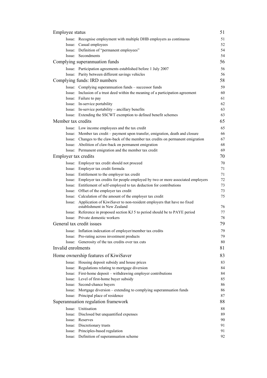| Employee status             |                                                                                                              | 51 |
|-----------------------------|--------------------------------------------------------------------------------------------------------------|----|
|                             | Issue: Recognise employment with multiple DHB employers as continuous                                        | 51 |
|                             | Issue: Casual employees                                                                                      | 52 |
|                             | Issue: Definition of "permanent employees"                                                                   | 54 |
|                             | Issue: Secondments                                                                                           | 54 |
|                             | Complying superannuation funds                                                                               | 56 |
|                             | Issue: Participation agreements established before 1 July 2007                                               | 56 |
|                             | Issue: Parity between different savings vehicles                                                             | 56 |
|                             | Complying funds: IRD numbers                                                                                 | 58 |
|                             | Issue: Complying superannuation funds - successor funds                                                      | 59 |
|                             | Issue: Inclusion of a trust deed within the meaning of a participation agreement                             | 60 |
|                             | Issue: Failure to pay                                                                                        | 61 |
|                             | Issue: In-service portability                                                                                | 62 |
|                             | Issue: In-service portability – ancillary benefits                                                           | 63 |
|                             | Issue: Extending the SSCWT exemption to defined benefit schemes                                              | 63 |
| Member tax credits          |                                                                                                              | 65 |
|                             | Issue: Low income employees and the tax credit                                                               | 65 |
|                             | Issue: Member tax credit – payment upon transfer, emigration, death and closure                              | 66 |
|                             | Issue: Changes to the claw-back of the member tax credits on permanent emigration                            | 67 |
|                             | Issue: Abolition of claw-back on permanent emigration                                                        | 68 |
|                             | Issue: Permanent emigration and the member tax credit                                                        | 69 |
| <b>Employer tax credits</b> |                                                                                                              | 70 |
|                             | Issue: Employer tax credit should not proceed                                                                | 70 |
|                             | Issue: Employer tax credit formula                                                                           | 71 |
|                             | Issue: Entitlement to the employer tax credit                                                                | 71 |
|                             | Issue: Employer tax credits for people employed by two or more associated employers                          | 72 |
|                             | Issue: Entitlement of self-employed to tax deduction for contributions                                       | 73 |
|                             | Issue: Offset of the employer tax credit                                                                     | 73 |
|                             | Issue: Calculation of the amount of the employer tax credit                                                  | 75 |
|                             | Issue: Application of KiwiSaver to non-resident employers that have no fixed<br>establishment in New Zealand | 76 |
|                             | Issue: Reference in proposed section KJ 5 to period should be to PAYE period                                 | 77 |
|                             | Issue: Private domestic workers                                                                              | 78 |
|                             | General tax credit issues                                                                                    | 79 |
|                             | Issue: Inflation indexation of employer/member tax credits                                                   | 79 |
|                             | Issue: Pro-rating across investment products                                                                 | 79 |
|                             | Issue: Generosity of the tax credits over tax cuts                                                           | 80 |
| Invalid enrolments          |                                                                                                              | 81 |
|                             | Home ownership features of KiwiSaver                                                                         | 83 |
|                             | Issue: Housing deposit subsidy and house prices                                                              | 83 |
|                             | Issue: Regulations relating to mortgage diversion                                                            | 84 |
|                             | Issue: First-home deposit - withdrawing employer contributions                                               | 84 |
|                             | Issue: Level of first-home buyer subsidy                                                                     | 85 |
|                             | Issue: Second-chance buyers                                                                                  | 86 |
|                             | Issue: Mortgage diversion – extending to complying superannuation funds                                      | 86 |
|                             | Issue: Principal place of residence                                                                          | 87 |
|                             | Superannuation regulation framework                                                                          | 88 |
|                             | Issue: Unitisation                                                                                           | 88 |
|                             | Issue: Disclosed but unquantified expenses                                                                   | 89 |
|                             | Issue: Reserves                                                                                              | 90 |
|                             | Issue: Discretionary trusts                                                                                  | 91 |
|                             | Issue: Principles-based regulation                                                                           | 91 |
|                             | Issue: Definition of superannuation scheme                                                                   | 92 |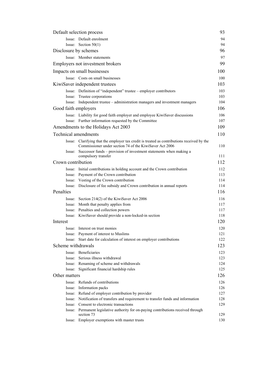| Default selection process   |                                                                                                                                 |            |
|-----------------------------|---------------------------------------------------------------------------------------------------------------------------------|------------|
|                             | Issue: Default enrolment                                                                                                        | 94         |
|                             | Issue: Section $50(1)$                                                                                                          | 94         |
| Disclosure by schemes       |                                                                                                                                 | 96         |
|                             | Issue: Member statements                                                                                                        | 97         |
|                             | Employers not investment brokers                                                                                                | 99         |
|                             | Impacts on small businesses                                                                                                     |            |
|                             | Issue: Costs on small businesses                                                                                                | 100        |
|                             | KiwiSaver independent trustees                                                                                                  | 103        |
|                             | Issue: Definition of "independent" trustee – employer contributors                                                              | 103        |
|                             | Issue: Trustee corporations                                                                                                     | 103        |
|                             | Issue: Independent trustee - administration managers and investment managers                                                    | 104        |
| Good faith employers        |                                                                                                                                 | 106        |
|                             | Issue: Liability for good faith employer and employee KiwiSaver discussions                                                     | 106        |
|                             | Issue: Further information requested by the Committee                                                                           | 107        |
|                             | Amendments to the Holidays Act 2003                                                                                             | 109        |
| <b>Technical amendments</b> |                                                                                                                                 | 110        |
| Issue:                      | Clarifying that the employer tax credit is treated as contributions received by the                                             |            |
|                             | Commissioner under section 74 of the KiwiSaver Act 2006                                                                         | 110        |
| Issue:                      | Successor funds – provision of investment statements when making a                                                              |            |
|                             | compulsory transfer                                                                                                             | 111        |
| Crown contribution          |                                                                                                                                 | 112        |
|                             | Issue: Initial contributions in holding account and the Crown contribution                                                      | 112        |
|                             | Issue: Payment of the Crown contribution                                                                                        | 113        |
|                             | Issue: Vesting of the Crown contribution                                                                                        | 114        |
|                             | Issue: Disclosure of fee subsidy and Crown contribution in annual reports                                                       | 114        |
| Penalties                   |                                                                                                                                 | 116        |
|                             | Issue: Section 214(2) of the KiwiSaver Act 2006                                                                                 | 116        |
|                             | Issue: Month that penalty applies from                                                                                          | 117        |
|                             | Issue: Penalties and collection powers                                                                                          | 117        |
|                             | Issue: KiwiSaver should provide a non-locked-in section                                                                         | 118        |
| Interest                    |                                                                                                                                 | 120        |
|                             | Issue: Interest on trust monies                                                                                                 | 120        |
|                             | Issue: Payment of interest to Muslims                                                                                           | 121        |
|                             | Issue: Start date for calculation of interest on employer contributions                                                         | 122        |
| Scheme withdrawals          |                                                                                                                                 | 123        |
|                             | Issue: Beneficiaries                                                                                                            | 123        |
|                             | Issue: Serious illness withdrawal                                                                                               | 123        |
|                             | Issue: Renaming of scheme and withdrawals                                                                                       | 124<br>125 |
|                             | Issue: Significant financial hardship rules                                                                                     |            |
| Other matters               |                                                                                                                                 | 126        |
|                             | Issue: Refunds of contributions                                                                                                 | 126        |
|                             | Issue: Information packs                                                                                                        | 126        |
|                             | Issue: Refund of employer contribution by provider                                                                              | 127<br>128 |
|                             | Issue: Notification of transfers and requirement to transfer funds and information<br>Issue: Consent to electronic transactions | 129        |
|                             | Issue: Permanent legislative authority for on-paying contributions received through                                             |            |
|                             | section 73                                                                                                                      | 129        |
|                             | Issue: Employer exemptions with master trusts                                                                                   | 130        |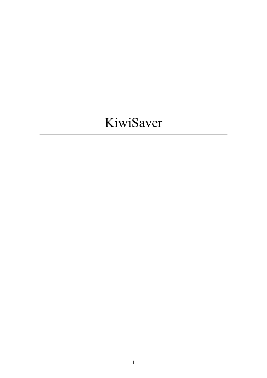# KiwiSaver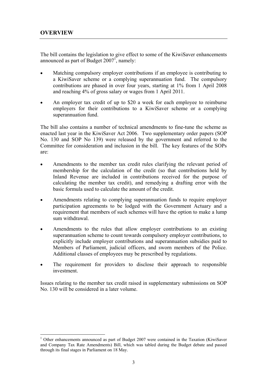$\overline{a}$ 

The bill contains the legislation to give effect to some of the KiwiSaver enhancements announced as part of Budget  $2007<sup>1</sup>$ , namely:

- Matching compulsory employer contributions if an employee is contributing to a KiwiSaver scheme or a complying superannuation fund. The compulsory contributions are phased in over four years, starting at 1% from 1 April 2008 and reaching 4% of gross salary or wages from 1 April 2011.
- An employer tax credit of up to \$20 a week for each employee to reimburse employers for their contributions to a KiwiSaver scheme or a complying superannuation fund.

The bill also contains a number of technical amendments to fine-tune the scheme as enacted last year in the KiwiSaver Act 2006. Two supplementary order papers (SOP No. 130 and SOP No 139) were released by the government and referred to the Committee for consideration and inclusion in the bill. The key features of the SOPs are:

- Amendments to the member tax credit rules clarifying the relevant period of membership for the calculation of the credit (so that contributions held by Inland Revenue are included in contributions received for the purpose of calculating the member tax credit), and remedying a drafting error with the basic formula used to calculate the amount of the credit.
- Amendments relating to complying superannuation funds to require employer participation agreements to be lodged with the Government Actuary and a requirement that members of such schemes will have the option to make a lump sum withdrawal.
- Amendments to the rules that allow employer contributions to an existing superannuation scheme to count towards compulsory employer contributions, to explicitly include employer contributions and superannuation subsidies paid to Members of Parliament, judicial officers, and sworn members of the Police. Additional classes of employees may be prescribed by regulations.
- The requirement for providers to disclose their approach to responsible investment.

Issues relating to the member tax credit raised in supplementary submissions on SOP No. 130 will be considered in a later volume.

<sup>1</sup> Other enhancements announced as part of Budget 2007 were contained in the Taxation (KiwiSaver and Company Tax Rate Amendments) Bill, which was tabled during the Budget debate and passed through its final stages in Parliament on 18 May.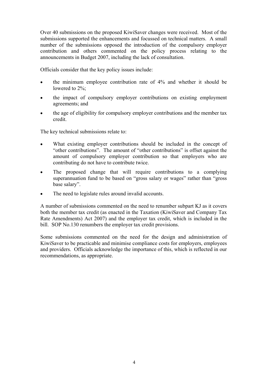Over 40 submissions on the proposed KiwiSaver changes were received. Most of the submissions supported the enhancements and focussed on technical matters. A small number of the submissions opposed the introduction of the compulsory employer contribution and others commented on the policy process relating to the announcements in Budget 2007, including the lack of consultation.

Officials consider that the key policy issues include:

- the minimum employee contribution rate of 4% and whether it should be lowered to  $2\%$ :
- the impact of compulsory employer contributions on existing employment agreements; and
- the age of eligibility for compulsory employer contributions and the member tax credit.

The key technical submissions relate to:

- What existing employer contributions should be included in the concept of "other contributions". The amount of "other contributions" is offset against the amount of compulsory employer contribution so that employers who are contributing do not have to contribute twice.
- The proposed change that will require contributions to a complying superannuation fund to be based on "gross salary or wages" rather than "gross base salary".
- The need to legislate rules around invalid accounts.

A number of submissions commented on the need to renumber subpart KJ as it covers both the member tax credit (as enacted in the Taxation (KiwiSaver and Company Tax Rate Amendments) Act 2007) and the employer tax credit, which is included in the bill. SOP No.130 renumbers the employer tax credit provisions.

Some submissions commented on the need for the design and administration of KiwiSaver to be practicable and minimise compliance costs for employers, employees and providers. Officials acknowledge the importance of this, which is reflected in our recommendations, as appropriate.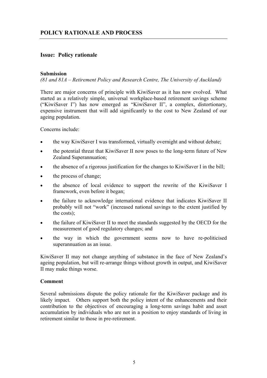#### **Issue: Policy rationale**

#### **Submission**

*(81 and 81A – Retirement Policy and Research Centre, The University of Auckland)* 

There are major concerns of principle with KiwiSaver as it has now evolved. What started as a relatively simple, universal workplace-based retirement savings scheme ("KiwiSaver I") has now emerged as "KiwiSaver II", a complex, distortionary, expensive instrument that will add significantly to the cost to New Zealand of our ageing population.

Concerns include:

- the way KiwiSaver I was transformed, virtually overnight and without debate;
- the potential threat that KiwiSaver II now poses to the long-term future of New Zealand Superannuation;
- the absence of a rigorous justification for the changes to KiwiSaver I in the bill;
- the process of change;
- the absence of local evidence to support the rewrite of the KiwiSaver I framework, even before it began;
- the failure to acknowledge international evidence that indicates KiwiSaver II probably will not "work" (increased national savings to the extent justified by the costs);
- the failure of KiwiSaver II to meet the standards suggested by the OECD for the measurement of good regulatory changes; and
- the way in which the government seems now to have re-politicised superannuation as an issue.

KiwiSaver II may not change anything of substance in the face of New Zealand's ageing population, but will re-arrange things without growth in output, and KiwiSaver II may make things worse.

#### **Comment**

Several submissions dispute the policy rationale for the KiwiSaver package and its likely impact. Others support both the policy intent of the enhancements and their contribution to the objectives of encouraging a long-term savings habit and asset accumulation by individuals who are not in a position to enjoy standards of living in retirement similar to those in pre-retirement.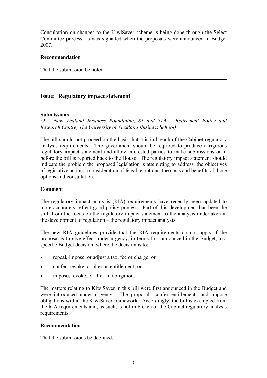Consultation on changes to the KiwiSaver scheme is being done through the Select Committee process, as was signalled when the proposals were announced in Budget 2007.

#### **Recommendation**

That the submission be noted.

#### **Issue: Regulatory impact statement**

#### **Submissions**

*(9 – New Zealand Business Roundtable, 81 and 81A – Retirement Policy and Research Centre, The University of Auckland Business School)* 

The bill should not proceed on the basis that it is in breach of the Cabinet regulatory analysis requirements. The government should be required to produce a rigorous regulatory impact statement and allow interested parties to make submissions on it before the bill is reported back to the House. The regulatory impact statement should indicate the problem the proposed legislation is attempting to address, the objectives of legislative action, a consideration of feasible options, the costs and benefits of those options and consultation.

#### **Comment**

The regulatory impact analysis (RIA) requirements have recently been updated to more accurately reflect good policy process. Part of this development has been the shift from the focus on the regulatory impact statement to the analysis undertaken in the development of regulation – the regulatory impact analysis.

The new RIA guidelines provide that the RIA requirements do not apply if the proposal is to give effect under urgency, in terms first announced in the Budget, to a specific Budget decision, where the decision is to:

- repeal, impose, or adjust a tax, fee or charge; or
- confer, revoke, or alter an entitlement; or
- impose, revoke, or alter an obligation.

The matters relating to KiwiSaver in this bill were first announced in the Budget and were introduced under urgency. The proposals confer entitlements and impose obligations within the KiwiSaver framework. Accordingly, the bill is exempted from the RIA requirements and, as such, is not in breach of the Cabinet regulatory analysis requirements.

#### **Recommendation**

That the submissions be declined.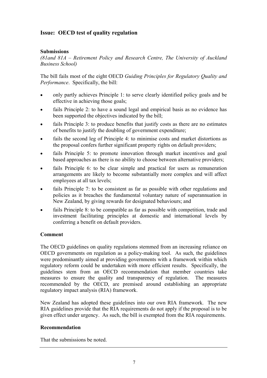#### **Issue: OECD test of quality regulation**

#### **Submissions**

*(81and 81A – Retirement Policy and Research Centre, The University of Auckland Business School)* 

The bill fails most of the eight OECD *Guiding Principles for Regulatory Quality and Performance*. Specifically, the bill:

- only partly achieves Principle 1: to serve clearly identified policy goals and be effective in achieving those goals;
- fails Principle 2: to have a sound legal and empirical basis as no evidence has been supported the objectives indicated by the bill;
- fails Principle 3: to produce benefits that justify costs as there are no estimates of benefits to justify the doubling of government expenditure;
- fails the second leg of Principle 4: to minimise costs and market distortions as the proposal confers further significant property rights on default providers;
- fails Principle 5: to promote innovation through market incentives and goal based approaches as there is no ability to choose between alternative providers;
- fails Principle 6: to be clear simple and practical for users as remuneration arrangements are likely to become substantially more complex and will affect employees at all tax levels;
- fails Principle 7: to be consistent as far as possible with other regulations and policies as it breaches the fundamental voluntary nature of superannuation in New Zealand, by giving rewards for designated behaviours; and
- fails Principle 8: to be compatible as far as possible with competition, trade and investment facilitating principles at domestic and international levels by conferring a benefit on default providers.

#### **Comment**

The OECD guidelines on quality regulations stemmed from an increasing reliance on OECD governments on regulation as a policy-making tool. As such, the guidelines were predominantly aimed at providing governments with a framework within which regulatory reform could be undertaken with more efficient results. Specifically, the guidelines stem from an OECD recommendation that member countries take measures to ensure the quality and transparency of regulation. The measures recommended by the OECD, are premised around establishing an appropriate regulatory impact analysis (RIA) framework.

New Zealand has adopted these guidelines into our own RIA framework. The new RIA guidelines provide that the RIA requirements do not apply if the proposal is to be given effect under urgency. As such, the bill is exempted from the RIA requirements.

#### **Recommendation**

That the submissions be noted.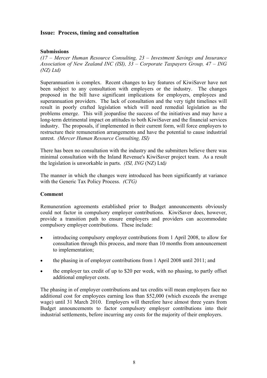#### **Issue: Process, timing and consultation**

#### **Submissions**

*(17 – Mercer Human Resource Consulting, 23 – Investment Savings and Insurance Association of New Zealand INC (ISI), 33 – Corporate Taxpayers Group, 47 – ING (NZ) Ltd)* 

Superannuation is complex. Recent changes to key features of KiwiSaver have not been subject to any consultation with employers or the industry. The changes proposed in the bill have significant implications for employers, employees and superannuation providers. The lack of consultation and the very tight timelines will result in poorly crafted legislation which will need remedial legislation as the problems emerge. This will jeopardise the success of the initiatives and may have a long-term detrimental impact on attitudes to both KiwiSaver and the financial services industry. The proposals, if implemented in their current form, will force employers to restructure their remuneration arrangements and have the potential to cause industrial unrest. *(Mercer Human Resource Consulting, ISI)*

There has been no consultation with the industry and the submitters believe there was minimal consultation with the Inland Revenue's KiwiSaver project team. As a result the legislation is unworkable in parts. *(ISI, ING* (NZ) Ltd*)*

The manner in which the changes were introduced has been significantly at variance with the Generic Tax Policy Process. *(CTG)* 

#### **Comment**

Remuneration agreements established prior to Budget announcements obviously could not factor in compulsory employer contributions. KiwiSaver does, however, provide a transition path to ensure employers and providers can accommodate compulsory employer contributions. These include:

- introducing compulsory employer contributions from 1 April 2008, to allow for consultation through this process, and more than 10 months from announcement to implementation;
- the phasing in of employer contributions from 1 April 2008 until 2011; and
- the employer tax credit of up to \$20 per week, with no phasing, to partly offset additional employer costs.

The phasing in of employer contributions and tax credits will mean employers face no additional cost for employees earning less than \$52,000 (which exceeds the average wage) until 31 March 2010. Employers will therefore have almost three years from Budget announcements to factor compulsory employer contributions into their industrial settlements, before incurring any costs for the majority of their employers.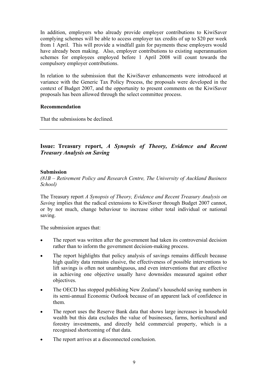In addition, employers who already provide employer contributions to KiwiSaver complying schemes will be able to access employer tax credits of up to \$20 per week from 1 April. This will provide a windfall gain for payments these employers would have already been making. Also, employer contributions to existing superannuation schemes for employees employed before 1 April 2008 will count towards the compulsory employer contributions.

In relation to the submission that the KiwiSaver enhancements were introduced at variance with the Generic Tax Policy Process, the proposals were developed in the context of Budget 2007, and the opportunity to present comments on the KiwiSaver proposals has been allowed through the select committee process.

#### **Recommendation**

That the submissions be declined.

### **Issue: Treasury report,** *A Synopsis of Theory, Evidence and Recent Treasury Analysis on Saving*

#### **Submission**

*(81B – Retirement Policy and Research Centre, The University of Auckland Business School)* 

The Treasury report *A Synopsis of Theory, Evidence and Recent Treasury Analysis on Saving* implies that the radical extensions to KiwiSaver through Budget 2007 cannot, or by not much, change behaviour to increase either total individual or national saving.

The submission argues that:

- The report was written after the government had taken its controversial decision rather than to inform the government decision-making process.
- The report highlights that policy analysis of savings remains difficult because high quality data remains elusive, the effectiveness of possible interventions to lift savings is often not unambiguous, and even interventions that are effective in achieving one objective usually have downsides measured against other objectives.
- The OECD has stopped publishing New Zealand's household saving numbers in its semi-annual Economic Outlook because of an apparent lack of confidence in them.
- The report uses the Reserve Bank data that shows large increases in household wealth but this data excludes the value of businesses, farms, horticultural and forestry investments, and directly held commercial property, which is a recognised shortcoming of that data.
- The report arrives at a disconnected conclusion.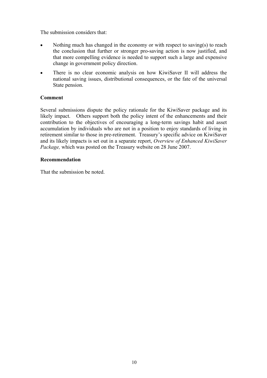The submission considers that:

- Nothing much has changed in the economy or with respect to saving(s) to reach the conclusion that further or stronger pro-saving action is now justified, and that more compelling evidence is needed to support such a large and expensive change in government policy direction.
- There is no clear economic analysis on how KiwiSaver II will address the national saving issues, distributional consequences, or the fate of the universal State pension.

#### **Comment**

Several submissions dispute the policy rationale for the KiwiSaver package and its likely impact. Others support both the policy intent of the enhancements and their contribution to the objectives of encouraging a long-term savings habit and asset accumulation by individuals who are not in a position to enjoy standards of living in retirement similar to those in pre-retirement. Treasury's specific advice on KiwiSaver and its likely impacts is set out in a separate report, *Overview of Enhanced KiwiSaver Package,* which was posted on the Treasury website on 28 June 2007.

#### **Recommendation**

That the submission be noted.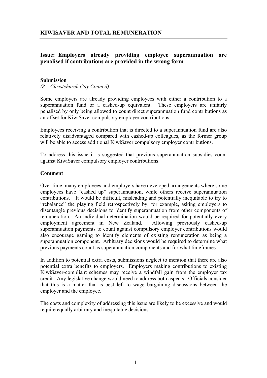#### **Issue: Employers already providing employee superannuation are penalised if contributions are provided in the wrong form**

#### **Submission**

*(8 – Christchurch City Council)* 

Some employers are already providing employees with either a contribution to a superannuation fund or a cashed-up equivalent. These employers are unfairly penalised by only being allowed to count direct superannuation fund contributions as an offset for KiwiSaver compulsory employer contributions.

Employees receiving a contribution that is directed to a superannuation fund are also relatively disadvantaged compared with cashed-up colleagues, as the former group will be able to access additional KiwiSaver compulsory employer contributions.

To address this issue it is suggested that previous superannuation subsidies count against KiwiSaver compulsory employer contributions.

#### **Comment**

Over time, many employees and employers have developed arrangements where some employees have "cashed up" superannuation, while others receive superannuation contributions. It would be difficult, misleading and potentially inequitable to try to "rebalance" the playing field retrospectively by, for example, asking employers to disentangle previous decisions to identify superannuation from other components of remuneration. An individual determination would be required for potentially every employment agreement in New Zealand. Allowing previously cashed-up superannuation payments to count against compulsory employer contributions would also encourage gaming to identify elements of existing remuneration as being a superannuation component. Arbitrary decisions would be required to determine what previous payments count as superannuation components and for what timeframes.

In addition to potential extra costs, submissions neglect to mention that there are also potential extra benefits to employers. Employers making contributions to existing KiwiSaver-compliant schemes may receive a windfall gain from the employer tax credit. Any legislative change would need to address both aspects. Officials consider that this is a matter that is best left to wage bargaining discussions between the employer and the employee.

The costs and complexity of addressing this issue are likely to be excessive and would require equally arbitrary and inequitable decisions.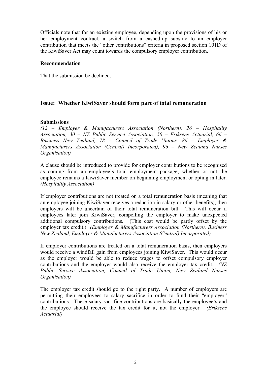Officials note that for an existing employee, depending upon the provisions of his or her employment contract, a switch from a cashed-up subsidy to an employer contribution that meets the "other contributions" criteria in proposed section 101D of the KiwiSaver Act may count towards the compulsory employer contribution.

#### **Recommendation**

That the submission be declined.

#### **Issue: Whether KiwiSaver should form part of total remuneration**

#### **Submissions**

*(12 – Employer & Manufacturers Association (Northern), 26 – Hospitality Association, 30 – NZ Public Service Association, 50 – Eriksens Actuarial, 66 – Business New Zealand, 78 – Council of Trade Unions, 86 – Employer & Manufacturers Association (Central) Incorporated), 96 – New Zealand Nurses Organisation)* 

A clause should be introduced to provide for employer contributions to be recognised as coming from an employee's total employment package, whether or not the employee remains a KiwiSaver member on beginning employment or opting in later. *(Hospitality Association)*

If employer contributions are not treated on a total remuneration basis (meaning that an employee joining KiwiSaver receives a reduction in salary or other benefits), then employers will be uncertain of their total remuneration bill. This will occur if employees later join KiwiSaver, compelling the employer to make unexpected additional compulsory contributions. (This cost would be partly offset by the employer tax credit.) *(Employer & Manufacturers Association (Northern), Business New Zealand, Employer & Manufacturers Association (Central) Incorporated)* 

If employer contributions are treated on a total remuneration basis, then employers would receive a windfall gain from employees joining KiwiSaver. This would occur as the employer would be able to reduce wages to offset compulsory employer contributions and the employer would also receive the employer tax credit. *(NZ Public Service Association, Council of Trade Union, New Zealand Nurses Organisation)*

The employer tax credit should go to the right party. A number of employers are permitting their employees to salary sacrifice in order to fund their "employer" contributions. These salary sacrifice contributions are basically the employee's and the employee should receive the tax credit for it, not the employer. *(Eriksens Actuarial)*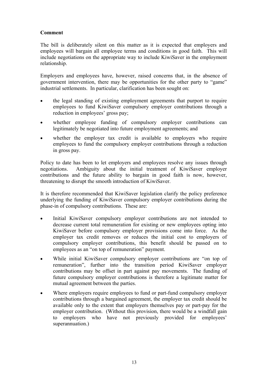#### **Comment**

The bill is deliberately silent on this matter as it is expected that employers and employees will bargain all employee terms and conditions in good faith. This will include negotiations on the appropriate way to include KiwiSaver in the employment relationship.

Employers and employees have, however, raised concerns that, in the absence of government intervention, there may be opportunities for the other party to "game" industrial settlements. In particular, clarification has been sought on:

- the legal standing of existing employment agreements that purport to require employees to fund KiwiSaver compulsory employer contributions through a reduction in employees' gross pay;
- whether employee funding of compulsory employer contributions can legitimately be negotiated into future employment agreements; and
- whether the employer tax credit is available to employers who require employees to fund the compulsory employer contributions through a reduction in gross pay.

Policy to date has been to let employers and employees resolve any issues through negotiations. Ambiguity about the initial treatment of KiwiSaver employer contributions and the future ability to bargain in good faith is now, however, threatening to disrupt the smooth introduction of KiwiSaver.

It is therefore recommended that KiwiSaver legislation clarify the policy preference underlying the funding of KiwiSaver compulsory employer contributions during the phase-in of compulsory contributions. These are:

- Initial KiwiSaver compulsory employer contributions are not intended to decrease current total remuneration for existing or new employees opting into KiwiSaver before compulsory employer provisions come into force. As the employer tax credit removes or reduces the initial cost to employers of compulsory employer contributions, this benefit should be passed on to employees as an "on top of remuneration" payment.
- While initial KiwiSaver compulsory employer contributions are "on top of remuneration", further into the transition period KiwiSaver employer contributions may be offset in part against pay movements. The funding of future compulsory employer contributions is therefore a legitimate matter for mutual agreement between the parties.
- Where employers require employees to fund or part-fund compulsory employer contributions through a bargained agreement, the employer tax credit should be available only to the extent that employers themselves pay or part-pay for the employer contribution. (Without this provision, there would be a windfall gain to employers who have not previously provided for employees' superannuation.)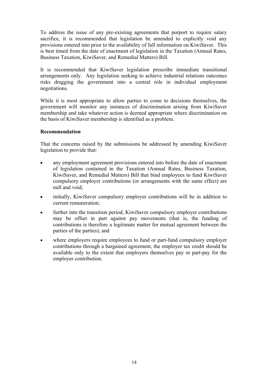To address the issue of any pre-existing agreements that purport to require salary sacrifice, it is recommended that legislation be amended to explicitly void any provisions entered into prior to the availability of full information on KiwiSaver. This is best timed from the date of enactment of legislation in the Taxation (Annual Rates, Business Taxation, KiwiSaver, and Remedial Matters) Bill.

It is recommended that KiwiSaver legislation prescribe immediate transitional arrangements only. Any legislation seeking to achieve industrial relations outcomes risks dragging the government into a central role in individual employment negotiations.

While it is most appropriate to allow parties to come to decisions themselves, the government will monitor any instances of discrimination arising from KiwiSaver membership and take whatever action is deemed appropriate where discrimination on the basis of KiwiSaver membership is identified as a problem.

#### **Recommendation**

That the concerns raised by the submissions be addressed by amending KiwiSaver legislation to provide that:

- any employment agreement provisions entered into before the date of enactment of legislation contained in the Taxation (Annual Rates, Business Taxation, KiwiSaver, and Remedial Matters) Bill that bind employees to fund KiwiSaver compulsory employer contributions (or arrangements with the same effect) are null and void;
- initially, KiwiSaver compulsory employer contributions will be in addition to current remuneration;
- further into the transition period, KiwiSaver compulsory employer contributions may be offset in part against pay movements (that is, the funding of contributions is therefore a legitimate matter for mutual agreement between the parties of the parties); and
- where employers require employees to fund or part-fund compulsory employer contributions through a bargained agreement, the employer tax credit should be available only to the extent that employers themselves pay or part-pay for the employer contribution.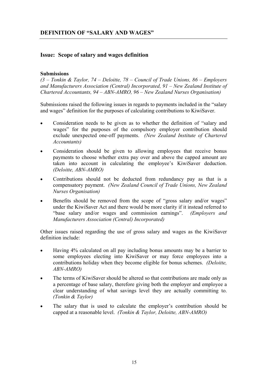#### **Issue: Scope of salary and wages definition**

#### **Submissions**

*(3 – Tonkin & Taylor, 74 – Deloitte, 78 – Council of Trade Unions, 86 – Employers and Manufacturers Association (Central) Incorporated, 91 – New Zealand Institute of Chartered Accountants, 94 – ABN-AMRO, 96 – New Zealand Nurses Organisation)* 

Submissions raised the following issues in regards to payments included in the "salary and wages" definition for the purposes of calculating contributions to KiwiSaver.

- Consideration needs to be given as to whether the definition of "salary and wages" for the purposes of the compulsory employer contribution should exclude unexpected one-off payments. *(New Zealand Institute of Chartered Accountants)*
- Consideration should be given to allowing employees that receive bonus payments to choose whether extra pay over and above the capped amount are taken into account in calculating the employee's KiwiSaver deduction. *(Deloitte, ABN-AMRO)*
- Contributions should not be deducted from redundancy pay as that is a compensatory payment. *(New Zealand Council of Trade Unions, New Zealand Nurses Organisation)*
- Benefits should be removed from the scope of "gross salary and/or wages" under the KiwiSaver Act and there would be more clarity if it instead referred to "base salary and/or wages and commission earnings". *(Employers and Manufacturers Association (Central) Incorporated)*

Other issues raised regarding the use of gross salary and wages as the KiwiSaver definition include:

- Having 4% calculated on all pay including bonus amounts may be a barrier to some employees electing into KiwiSaver or may force employees into a contributions holiday when they become eligible for bonus schemes. *(Deloitte, ABN-AMRO)*
- The terms of KiwiSaver should be altered so that contributions are made only as a percentage of base salary, therefore giving both the employer and employee a clear understanding of what savings level they are actually committing to. *(Tonkin & Taylor)*
- The salary that is used to calculate the employer's contribution should be capped at a reasonable level. *(Tonkin & Taylor, Deloitte, ABN-AMRO)*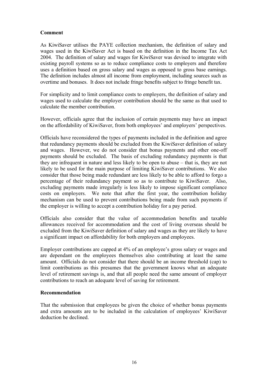#### **Comment**

As KiwiSaver utilises the PAYE collection mechanism, the definition of salary and wages used in the KiwiSaver Act is based on the definition in the Income Tax Act 2004. The definition of salary and wages for KiwiSaver was devised to integrate with existing payroll systems so as to reduce compliance costs to employers and therefore uses a definition based on gross salary and wages as opposed to gross base earnings. The definition includes almost all income from employment, including sources such as overtime and bonuses. It does not include fringe benefits subject to fringe benefit tax.

For simplicity and to limit compliance costs to employers, the definition of salary and wages used to calculate the employer contribution should be the same as that used to calculate the member contribution.

However, officials agree that the inclusion of certain payments may have an impact on the affordability of KiwiSaver, from both employees' and employers' perspectives.

Officials have reconsidered the types of payments included in the definition and agree that redundancy payments should be excluded from the KiwiSaver definition of salary and wages. However, we do not consider that bonus payments and other one-off payments should be excluded. The basis of excluding redundancy payments is that they are infrequent in nature and less likely to be open to abuse – that is, they are not likely to be used for the main purpose of limiting KiwiSaver contributions. We also consider that those being made redundant are less likely to be able to afford to forgo a percentage of their redundancy payment so as to contribute to KiwiSaver. Also, excluding payments made irregularly is less likely to impose significant compliance costs on employers. We note that after the first year, the contribution holiday mechanism can be used to prevent contributions being made from such payments if the employer is willing to accept a contribution holiday for a pay period.

Officials also consider that the value of accommodation benefits and taxable allowances received for accommodation and the cost of living overseas should be excluded from the KiwiSaver definition of salary and wages as they are likely to have a significant impact on affordability for both employers and employees.

Employer contributions are capped at 4% of an employee's gross salary or wages and are dependant on the employees themselves also contributing at least the same amount. Officials do not consider that there should be an income threshold (cap) to limit contributions as this presumes that the government knows what an adequate level of retirement savings is, and that all people need the same amount of employer contributions to reach an adequate level of saving for retirement.

#### **Recommendation**

That the submission that employees be given the choice of whether bonus payments and extra amounts are to be included in the calculation of employees' KiwiSaver deduction be declined.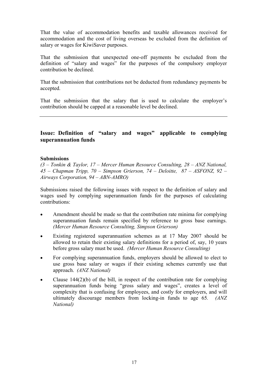That the value of accommodation benefits and taxable allowances received for accommodation and the cost of living overseas be excluded from the definition of salary or wages for KiwiSaver purposes.

That the submission that unexpected one-off payments be excluded from the definition of "salary and wages" for the purposes of the compulsory employer contribution be declined.

That the submission that contributions not be deducted from redundancy payments be accepted.

That the submission that the salary that is used to calculate the employer's contribution should be capped at a reasonable level be declined.

#### **Issue: Definition of "salary and wages" applicable to complying superannuation funds**

#### **Submissions**

*(3 – Tonkin & Taylor, 17 – Mercer Human Resource Consulting, 28 – ANZ National, 45 – Chapman Tripp, 70 – Simpson Grierson, 74 – Deloitte, 87 – ASFONZ, 92 – Airways Corporation, 94 – ABN-AMRO)* 

Submissions raised the following issues with respect to the definition of salary and wages used by complying superannuation funds for the purposes of calculating contributions:

- Amendment should be made so that the contribution rate minima for complying superannuation funds remain specified by reference to gross base earnings. *(Mercer Human Resource Consulting, Simpson Grierson)*
- Existing registered superannuation schemes as at 17 May 2007 should be allowed to retain their existing salary definitions for a period of, say, 10 years before gross salary must be used. *(Mercer Human Resource Consulting)*
- For complying superannuation funds, employers should be allowed to elect to use gross base salary or wages if their existing schemes currently use that approach. *(ANZ National)*
- Clause  $144(2)(b)$  of the bill, in respect of the contribution rate for complying superannuation funds being "gross salary and wages", creates a level of complexity that is confusing for employees, and costly for employers, and will ultimately discourage members from locking-in funds to age 65*. (ANZ National)*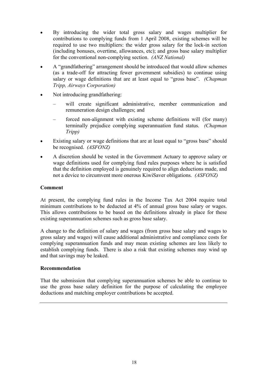- By introducing the wider total gross salary and wages multiplier for contributions to complying funds from 1 April 2008, existing schemes will be required to use two multipliers: the wider gross salary for the lock-in section (including bonuses, overtime, allowances, etc); and gross base salary multiplier for the conventional non-complying section. *(ANZ National)*
- A "grandfathering" arrangement should be introduced that would allow schemes (as a trade-off for attracting fewer government subsidies) to continue using salary or wage definitions that are at least equal to "gross base". *(Chapman Tripp, Airways Corporation)*
- Not introducing grandfathering:
	- will create significant administrative, member communication and remuneration design challenges; and
	- forced non-alignment with existing scheme definitions will (for many) terminally prejudice complying superannuation fund status. *(Chapman Tripp)*
- Existing salary or wage definitions that are at least equal to "gross base" should be recognised. *(ASFONZ)*
- A discretion should be vested in the Government Actuary to approve salary or wage definitions used for complying fund rules purposes where he is satisfied that the definition employed is genuinely required to align deductions made, and not a device to circumvent more onerous KiwiSaver obligations. *(ASFONZ)*

#### **Comment**

At present, the complying fund rules in the Income Tax Act 2004 require total minimum contributions to be deducted at 4% of annual gross base salary or wages. This allows contributions to be based on the definitions already in place for these existing superannuation schemes such as gross base salary.

A change to the definition of salary and wages (from gross base salary and wages to gross salary and wages) will cause additional administrative and compliance costs for complying superannuation funds and may mean existing schemes are less likely to establish complying funds. There is also a risk that existing schemes may wind up and that savings may be leaked.

#### **Recommendation**

That the submission that complying superannuation schemes be able to continue to use the gross base salary definition for the purpose of calculating the employee deductions and matching employer contributions be accepted.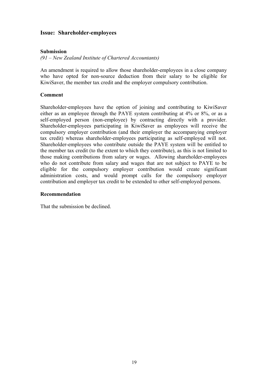#### **Issue: Shareholder-employees**

#### **Submission**

*(91 – New Zealand Institute of Chartered Accountants)* 

An amendment is required to allow those shareholder-employees in a close company who have opted for non-source deduction from their salary to be eligible for KiwiSaver, the member tax credit and the employer compulsory contribution.

#### **Comment**

Shareholder-employees have the option of joining and contributing to KiwiSaver either as an employee through the PAYE system contributing at 4% or 8%, or as a self-employed person (non-employee) by contracting directly with a provider. Shareholder-employees participating in KiwiSaver as employees will receive the compulsory employer contribution (and their employer the accompanying employer tax credit) whereas shareholder-employees participating as self-employed will not. Shareholder-employees who contribute outside the PAYE system will be entitled to the member tax credit (to the extent to which they contribute), as this is not limited to those making contributions from salary or wages. Allowing shareholder-employees who do not contribute from salary and wages that are not subject to PAYE to be eligible for the compulsory employer contribution would create significant administration costs, and would prompt calls for the compulsory employer contribution and employer tax credit to be extended to other self-employed persons.

#### **Recommendation**

That the submission be declined.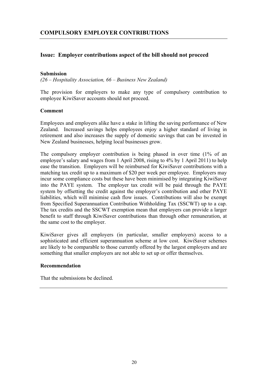#### **Issue: Employer contributions aspect of the bill should not proceed**

#### **Submission**

*(26 – Hospitality Association, 66 – Business New Zealand)* 

The provision for employers to make any type of compulsory contribution to employee KiwiSaver accounts should not proceed.

#### **Comment**

Employees and employers alike have a stake in lifting the saving performance of New Zealand. Increased savings helps employees enjoy a higher standard of living in retirement and also increases the supply of domestic savings that can be invested in New Zealand businesses, helping local businesses grow.

The compulsory employer contribution is being phased in over time (1% of an employee's salary and wages from 1 April 2008, rising to 4% by 1 April 2011) to help ease the transition. Employers will be reimbursed for KiwiSaver contributions with a matching tax credit up to a maximum of \$20 per week per employee. Employers may incur some compliance costs but these have been minimised by integrating KiwiSaver into the PAYE system. The employer tax credit will be paid through the PAYE system by offsetting the credit against the employer's contribution and other PAYE liabilities, which will minimise cash flow issues. Contributions will also be exempt from Specified Superannuation Contribution Withholding Tax (SSCWT) up to a cap. The tax credits and the SSCWT exemption mean that employers can provide a larger benefit to staff through KiwiSaver contributions than through other remuneration, at the same cost to the employer.

KiwiSaver gives all employers (in particular, smaller employers) access to a sophisticated and efficient superannuation scheme at low cost. KiwiSaver schemes are likely to be comparable to those currently offered by the largest employers and are something that smaller employers are not able to set up or offer themselves.

#### **Recommendation**

That the submissions be declined.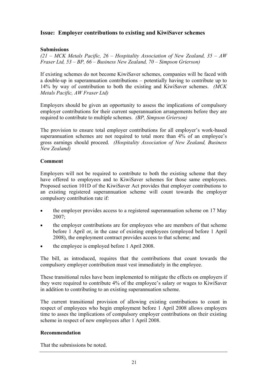#### **Issue: Employer contributions to existing and KiwiSaver schemes**

#### **Submissions**

*(21 – MCK Metals Pacific, 26 – Hospitality Association of New Zealand, 35 – AW Fraser Ltd, 53 – BP, 66 – Business New Zealand, 70 – Simpson Grierson)* 

If existing schemes do not become KiwiSaver schemes, companies will be faced with a double-up in superannuation contributions – potentially having to contribute up to 14% by way of contribution to both the existing and KiwiSaver schemes. *(MCK Metals Pacific, AW Fraser Ltd)*

Employers should be given an opportunity to assess the implications of compulsory employer contributions for their current superannuation arrangements before they are required to contribute to multiple schemes. *(BP, Simpson Grierson)*

The provision to ensure total employer contributions for all employer's work-based superannuation schemes are not required to total more than 4% of an employee's gross earnings should proceed. *(Hospitality Association of New Zealand, Business New Zealand)* 

#### **Comment**

Employers will not be required to contribute to both the existing scheme that they have offered to employees and to KiwiSaver schemes for those same employees. Proposed section 101D of the KiwiSaver Act provides that employer contributions to an existing registered superannuation scheme will count towards the employer compulsory contribution rate if:

- the employer provides access to a registered superannuation scheme on 17 May 2007;
- the employer contributions are for employees who are members of that scheme before 1 April or, in the case of existing employees (employed before 1 April 2008), the employment contract provides access to that scheme; and
- the employee is employed before 1 April 2008.

The bill, as introduced, requires that the contributions that count towards the compulsory employer contribution must vest immediately in the employee.

These transitional rules have been implemented to mitigate the effects on employers if they were required to contribute 4% of the employee's salary or wages to KiwiSaver in addition to contributing to an existing superannuation scheme.

The current transitional provision of allowing existing contributions to count in respect of employees who begin employment before 1 April 2008 allows employers time to asses the implications of compulsory employer contributions on their existing scheme in respect of new employees after 1 April 2008.

#### **Recommendation**

That the submissions be noted.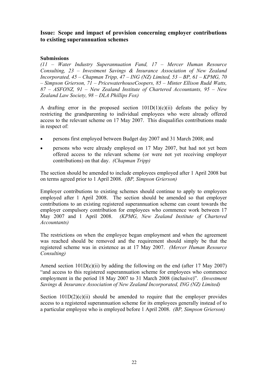#### **Issue: Scope and impact of provision concerning employer contributions to existing superannuation schemes**

#### **Submissions**

*(11 – Water Industry Superannuation Fund, 17 – Mercer Human Resource Consulting, 23 – Investment Savings & Insurance Association of New Zealand Incorporated, 45 – Chapman Tripp, 47 – ING (NZ) Limited, 53 – BP, 61 – KPMG, 70 – Simpson Grierson, 71 – PricewaterhouseCoopers, 85 – Minter Ellison Rudd Watts, 87 – ASFONZ, 91 – New Zealand Institute of Chartered Accountants, 95 – New Zealand Law Society, 98 – DLA Phillips Fox)* 

A drafting error in the proposed section  $101D(1)(c)(ii)$  defeats the policy by restricting the grandparenting to individual employees who were already offered access to the relevant scheme on 17 May 2007. This disqualifies contributions made in respect of:

- persons first employed between Budget day 2007 and 31 March 2008; and
- persons who were already employed on 17 May 2007, but had not yet been offered access to the relevant scheme (or were not yet receiving employer contributions) on that day. *(Chapman Tripp)*

The section should be amended to include employees employed after 1 April 2008 but on terms agreed prior to 1 April 2008. *(BP, Simpson Grierson)*

Employer contributions to existing schemes should continue to apply to employees employed after 1 April 2008. The section should be amended so that employer contributions to an existing registered superannuation scheme can count towards the employer compulsory contribution for employees who commence work between 17 May 2007 and 1 April 2008. *(KPMG, New Zealand Institute of Chartered Accountants)*

The restrictions on when the employee began employment and when the agreement was reached should be removed and the requirement should simply be that the registered scheme was in existence as at 17 May 2007. *(Mercer Human Resource Consulting)*

Amend section  $101D(c)(ii)$  by adding the following on the end (after 17 May 2007) "and access to this registered superannuation scheme for employees who commence employment in the period 18 May 2007 to 31 March 2008 (inclusive)". *(Investment Savings & Insurance Association of New Zealand Incorporated, ING (NZ) Limited)*

Section  $101D(2)(c)(ii)$  should be amended to require that the employer provides access to a registered superannuation scheme for its employees generally instead of to a particular employee who is employed before 1 April 2008. *(BP, Simpson Grierson)*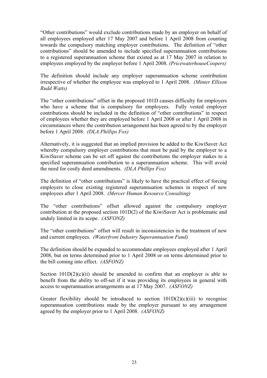"Other contributions" would exclude contributions made by an employer on behalf of all employees employed after 17 May 2007 and before 1 April 2008 from counting towards the compulsory matching employer contributions. The definition of "other contributions" should be amended to include specified superannuation contributions to a registered superannuation scheme that existed as at 17 May 2007 in relation to employees employed by the employer before 1 April 2008. *(PricewaterhouseCoopers)*

The definition should include any employer superannuation scheme contribution irrespective of whether the employee was employed to 1 April 2008. *(Minter Ellison Rudd Watts)*

The "other contributions" offset in the proposed 101D causes difficulty for employers who have a scheme that is compulsory for employees. Fully vested employer contributions should be included in the definition of "other contributions" in respect of employees whether they are employed before 1 April 2008 or after 1 April 2008 in circumstances where the contribution arrangement has been agreed to by the employer before 1 April 2008. *(DLA Phillips Fox)* 

Alternatively, it is suggested that an implied provision be added to the KiwiSaver Act whereby compulsory employer contributions that must be paid by the employer to a KiwiSaver scheme can be set off against the contributions the employer makes to a specified superannuation contribution to a superannuation scheme. This will avoid the need for costly deed amendments. *(DLA Phillips Fox)*

The definition of "other contributions" is likely to have the practical effect of forcing employers to close existing registered superannuation schemes in respect of new employees after 1 April 2008. *(Mercer Human Resource Consulting)*

The "other contributions" offset allowed against the compulsory employer contribution at the proposed section 101D(2) of the KiwiSaver Act is problematic and unduly limited in its scope. *(ASFONZ)*

The "other contributions" offset will result in inconsistencies in the treatment of new and current employees. *(Waterfront Industry Superannuation Fund)* 

The definition should be expanded to accommodate employees employed after 1 April 2008, but on terms determined prior to 1 April 2008 or on terms determined prior to the bill coming into effect. *(ASFONZ)*

Section  $101D(2)(c)(ii)$  should be amended to confirm that an employer is able to benefit from the ability to off-set if it was providing its employees in general with access to superannuation arrangements as at 17 May 2007. *(ASFONZ)*

Greater flexibility should be introduced to section  $101D(2)(c)(iii)$  to recognise superannuation contributions made by the employer pursuant to any arrangement agreed by the employer prior to 1 April 2008. *(ASFONZ)*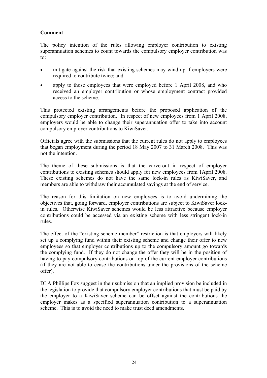#### **Comment**

The policy intention of the rules allowing employer contribution to existing superannuation schemes to count towards the compulsory employer contribution was to:

- mitigate against the risk that existing schemes may wind up if employers were required to contribute twice; and
- apply to those employees that were employed before 1 April 2008, and who received an employer contribution or whose employment contract provided access to the scheme.

This protected existing arrangements before the proposed application of the compulsory employer contribution. In respect of new employees from 1 April 2008, employers would be able to change their superannuation offer to take into account compulsory employer contributions to KiwiSaver.

Officials agree with the submissions that the current rules do not apply to employees that began employment during the period 18 May 2007 to 31 March 2008. This was not the intention.

The theme of these submissions is that the carve-out in respect of employer contributions to existing schemes should apply for new employees from 1April 2008. These existing schemes do not have the same lock-in rules as KiwiSaver, and members are able to withdraw their accumulated savings at the end of service.

The reason for this limitation on new employees is to avoid undermining the objectives that, going forward, employer contributions are subject to KiwiSaver lockin rules. Otherwise KiwiSaver schemes would be less attractive because employer contributions could be accessed via an existing scheme with less stringent lock-in rules.

The effect of the "existing scheme member" restriction is that employers will likely set up a complying fund within their existing scheme and change their offer to new employees so that employer contributions up to the compulsory amount go towards the complying fund. If they do not change the offer they will be in the position of having to pay compulsory contributions on top of the current employer contributions (if they are not able to cease the contributions under the provisions of the scheme offer).

DLA Phillips Fox suggest in their submission that an implied provision be included in the legislation to provide that compulsory employer contributions that must be paid by the employer to a KiwiSaver scheme can be offset against the contributions the employer makes as a specified superannuation contribution to a superannuation scheme. This is to avoid the need to make trust deed amendments.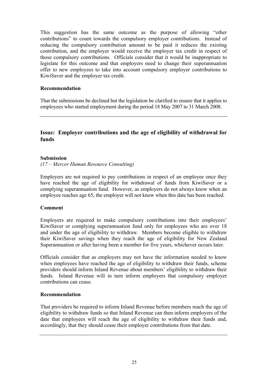This suggestion has the same outcome as the purpose of allowing "other contributions" to count towards the compulsory employer contributions. Instead of reducing the compulsory contribution amount to be paid it reduces the existing contribution, and the employer would receive the employer tax credit in respect of those compulsory contributions. Officials consider that it would be inappropriate to legislate for this outcome and that employers need to change their superannuation offer to new employees to take into account compulsory employer contributions to KiwiSaver and the employer tax credit.

#### **Recommendation**

That the submissions be declined but the legislation be clarified to ensure that it applies to employees who started employment during the period 18 May 2007 to 31 March 2008.

#### **Issue: Employer contributions and the age of eligibility of withdrawal for funds**

#### **Submission**

*(17 – Mercer Human Resource Consulting)* 

Employers are not required to pay contributions in respect of an employee once they have reached the age of eligibility for withdrawal of funds from KiwiSaver or a complying superannuation fund. However, as employers do not always know when an employee reaches age 65, the employer will not know when this date has been reached.

#### **Comment**

Employers are required to make compulsory contributions into their employees' KiwiSaver or complying superannuation fund only for employees who are over 18 and under the age of eligibility to withdraw. Members become eligible to withdraw their KiwiSaver savings when they reach the age of eligibility for New Zealand Superannuation or after having been a member for five years, whichever occurs later.

Officials consider that as employers may not have the information needed to know when employees have reached the age of eligibility to withdraw their funds, scheme providers should inform Inland Revenue about members' eligibility to withdraw their funds. Inland Revenue will in turn inform employers that compulsory employer contributions can cease.

#### **Recommendation**

That providers be required to inform Inland Revenue before members reach the age of eligibility to withdraw funds so that Inland Revenue can then inform employers of the date that employees will reach the age of eligibility to withdraw their funds and, accordingly, that they should cease their employer contributions from that date.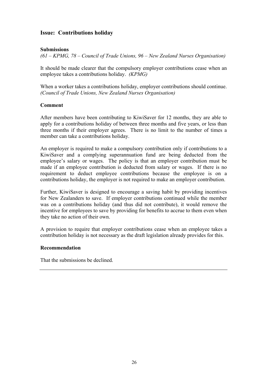#### **Issue: Contributions holiday**

#### **Submissions**

*(61 – KPMG, 78 – Council of Trade Unions, 96 – New Zealand Nurses Organisation)* 

It should be made clearer that the compulsory employer contributions cease when an employee takes a contributions holiday. *(KPMG)*

When a worker takes a contributions holiday, employer contributions should continue. *(Council of Trade Unions, New Zealand Nurses Organisation)*

#### **Comment**

After members have been contributing to KiwiSaver for 12 months, they are able to apply for a contributions holiday of between three months and five years, or less than three months if their employer agrees. There is no limit to the number of times a member can take a contributions holiday.

An employer is required to make a compulsory contribution only if contributions to a KiwiSaver and a complying superannuation fund are being deducted from the employee's salary or wages. The policy is that an employer contribution must be made if an employee contribution is deducted from salary or wages. If there is no requirement to deduct employee contributions because the employee is on a contributions holiday, the employer is not required to make an employer contribution.

Further, KiwiSaver is designed to encourage a saving habit by providing incentives for New Zealanders to save. If employer contributions continued while the member was on a contributions holiday (and thus did not contribute), it would remove the incentive for employees to save by providing for benefits to accrue to them even when they take no action of their own.

A provision to require that employer contributions cease when an employee takes a contribution holiday is not necessary as the draft legislation already provides for this.

#### **Recommendation**

That the submissions be declined.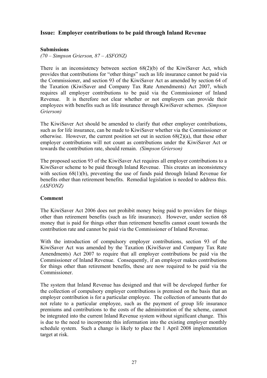#### **Issue: Employer contributions to be paid through Inland Revenue**

#### **Submissions**

*(70 – Simpson Grierson, 87 – ASFONZ)* 

There is an inconsistency between section 68(2)(b) of the KiwiSaver Act, which provides that contributions for "other things" such as life insurance cannot be paid via the Commissioner, and section 93 of the KiwiSaver Act as amended by section 64 of the Taxation (KiwiSaver and Company Tax Rate Amendments) Act 2007, which requires all employer contributions to be paid via the Commissioner of Inland Revenue. It is therefore not clear whether or not employers can provide their employees with benefits such as life insurance through KiwiSaver schemes. *(Simpson Grierson)*

The KiwiSaver Act should be amended to clarify that other employer contributions, such as for life insurance, can be made to KiwiSaver whether via the Commissioner or otherwise. However, the current position set out in section  $68(2)(a)$ , that these other employer contributions will not count as contributions under the KiwiSaver Act or towards the contribution rate, should remain. *(Simpson Grierson)* 

The proposed section 93 of the KiwiSaver Act requires all employer contributions to a KiwiSaver scheme to be paid through Inland Revenue. This creates an inconsistency with section 68(1)(b), preventing the use of funds paid through Inland Revenue for benefits other than retirement benefits. Remedial legislation is needed to address this. *(ASFONZ)*

#### **Comment**

The KiwiSaver Act 2006 does not prohibit money being paid to providers for things other than retirement benefits (such as life insurance). However, under section 68 money that is paid for things other than retirement benefits cannot count towards the contribution rate and cannot be paid via the Commissioner of Inland Revenue.

With the introduction of compulsory employer contributions, section 93 of the KiwiSaver Act was amended by the Taxation (KiwiSaver and Company Tax Rate Amendments) Act 2007 to require that all employer contributions be paid via the Commissioner of Inland Revenue. Consequently, if an employer makes contributions for things other than retirement benefits, these are now required to be paid via the Commissioner.

The system that Inland Revenue has designed and that will be developed further for the collection of compulsory employer contributions is premised on the basis that an employer contribution is for a particular employee. The collection of amounts that do not relate to a particular employee, such as the payment of group life insurance premiums and contributions to the costs of the administration of the scheme, cannot be integrated into the current Inland Revenue system without significant change. This is due to the need to incorporate this information into the existing employer monthly schedule system. Such a change is likely to place the 1 April 2008 implementation target at risk.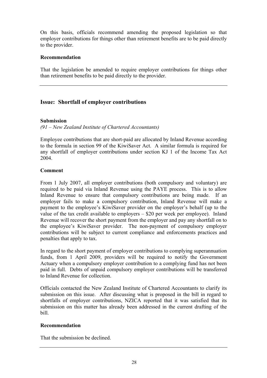On this basis, officials recommend amending the proposed legislation so that employer contributions for things other than retirement benefits are to be paid directly to the provider.

#### **Recommendation**

That the legislation be amended to require employer contributions for things other than retirement benefits to be paid directly to the provider.

#### **Issue: Shortfall of employer contributions**

#### **Submission**

*(91 – New Zealand Institute of Chartered Accountants)* 

Employee contributions that are short-paid are allocated by Inland Revenue according to the formula in section 99 of the KiwiSaver Act. A similar formula is required for any shortfall of employer contributions under section KJ 1 of the Income Tax Act 2004.

#### **Comment**

From 1 July 2007, all employer contributions (both compulsory and voluntary) are required to be paid via Inland Revenue using the PAYE process. This is to allow Inland Revenue to ensure that compulsory contributions are being made. If an employer fails to make a compulsory contribution, Inland Revenue will make a payment to the employee's KiwiSaver provider on the employer's behalf (up to the value of the tax credit available to employers – \$20 per week per employee). Inland Revenue will recover the short payment from the employer and pay any shortfall on to the employee's KiwiSaver provider. The non-payment of compulsory employer contributions will be subject to current compliance and enforcements practices and penalties that apply to tax.

In regard to the short payment of employer contributions to complying superannuation funds, from 1 April 2009, providers will be required to notify the Government Actuary when a compulsory employer contribution to a complying fund has not been paid in full. Debts of unpaid compulsory employer contributions will be transferred to Inland Revenue for collection.

Officials contacted the New Zealand Institute of Chartered Accountants to clarify its submission on this issue. After discussing what is proposed in the bill in regard to shortfalls of employer contributions, NZICA reported that it was satisfied that its submission on this matter has already been addressed in the current drafting of the bill.

#### **Recommendation**

That the submission be declined.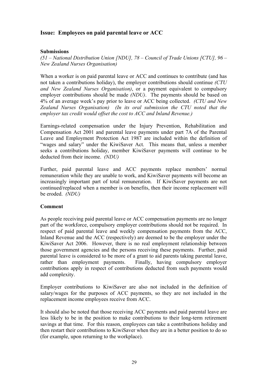#### **Issue: Employees on paid parental leave or ACC**

#### **Submissions**

*(51 – National Distribution Union [NDU], 78 – Council of Trade Unions [CTU], 96 – New Zealand Nurses Organisation)* 

When a worker is on paid parental leave or ACC and continues to contribute (and has not taken a contributions holiday), the employer contributions should continue *(CTU and New Zealand Nurses Organisation)*, or a payment equivalent to compulsory employer contributions should be made *(NDU)*. The payments should be based on 4% of an average week's pay prior to leave or ACC being collected. *(CTU and New Zealand Nurses Organisation) (In its oral submission the CTU noted that the employer tax credit would offset the cost to ACC and Inland Revenue.)* 

Earnings-related compensation under the Injury Prevention, Rehabilitation and Compensation Act 2001 and parental leave payments under part 7A of the Parental Leave and Employment Protection Act 1987 are included within the definition of "wages and salary" under the KiwiSaver Act. This means that, unless a member seeks a contributions holiday, member KiwiSaver payments will continue to be deducted from their income. *(NDU)*

Further, paid parental leave and ACC payments replace members' normal remuneration while they are unable to work, and KiwiSaver payments will become an increasingly important part of total remuneration. If KiwiSaver payments are not continued/replaced when a member is on benefits, then their income replacement will be eroded. *(NDU)*

#### **Comment**

As people receiving paid parental leave or ACC compensation payments are no longer part of the workforce, compulsory employer contributions should not be required. In respect of paid parental leave and weekly compensation payments from the ACC, Inland Revenue and the ACC (respectively) are deemed to be the employer under the KiwiSaver Act 2006. However, there is no real employment relationship between those government agencies and the persons receiving these payments. Further, paid parental leave is considered to be more of a grant to aid parents taking parental leave, rather than employment payments. Finally, having compulsory employer contributions apply in respect of contributions deducted from such payments would add complexity.

Employer contributions to KiwiSaver are also not included in the definition of salary/wages for the purposes of ACC payments, so they are not included in the replacement income employees receive from ACC.

It should also be noted that those receiving ACC payments and paid parental leave are less likely to be in the position to make contributions to their long-term retirement savings at that time. For this reason, employees can take a contributions holiday and then restart their contributions to KiwiSaver when they are in a better position to do so (for example, upon returning to the workplace).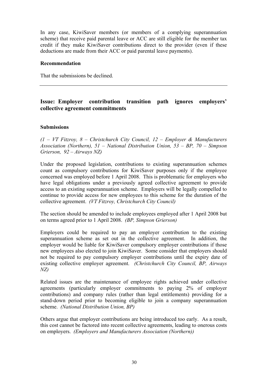In any case, KiwiSaver members (or members of a complying superannuation scheme) that receive paid parental leave or ACC are still eligible for the member tax credit if they make KiwiSaver contributions direct to the provider (even if these deductions are made from their ACC or paid parental leave payments).

#### **Recommendation**

That the submissions be declined.

#### **Issue: Employer contribution transition path ignores employers' collective agreement commitments**

#### **Submissions**

*(1 – VT Fitzroy, 8 – Christchurch City Council, 12 – Employer & Manufacturers Association (Northern), 51 – National Distribution Union, 53 – BP, 70 – Simpson Grierson, 92 – Airways NZ)* 

Under the proposed legislation, contributions to existing superannuation schemes count as compulsory contributions for KiwiSaver purposes only if the employee concerned was employed before 1 April 2008. This is problematic for employers who have legal obligations under a previously agreed collective agreement to provide access to an existing superannuation scheme. Employers will be legally compelled to continue to provide access for new employees to this scheme for the duration of the collective agreement. *(VT Fitzroy, Christchurch City Council)* 

The section should be amended to include employees employed after 1 April 2008 but on terms agreed prior to 1 April 2008. *(BP, Simpson Grierson)*

Employers could be required to pay an employer contribution to the existing superannuation scheme as set out in the collective agreement. In addition, the employer would be liable for KiwiSaver compulsory employer contributions if those new employees also elected to join KiwiSaver. Some consider that employers should not be required to pay compulsory employer contributions until the expiry date of existing collective employer agreement. *(Christchurch City Council, BP, Airways NZ)* 

Related issues are the maintenance of employee rights achieved under collective agreements (particularly employer commitments to paying 2% of employer contributions) and company rules (rather than legal entitlements) providing for a stand-down period prior to becoming eligible to join a company superannuation scheme. *(National Distribution Union, BP)* 

Others argue that employer contributions are being introduced too early. As a result, this cost cannot be factored into recent collective agreements, leading to onerous costs on employers. *(Employers and Manufacturers Association (Northern))*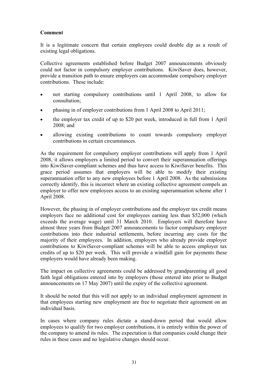It is a legitimate concern that certain employees could double dip as a result of existing legal obligations.

Collective agreements established before Budget 2007 announcements obviously could not factor in compulsory employer contributions. KiwiSaver does, however, provide a transition path to ensure employers can accommodate compulsory employer contributions. These include:

- not starting compulsory contributions until 1 April 2008, to allow for consultation;
- phasing in of employer contributions from 1 April 2008 to April 2011;
- the employer tax credit of up to \$20 per week, introduced in full from 1 April 2008; and
- allowing existing contributions to count towards compulsory employer contributions in certain circumstances.

As the requirement for compulsory employer contributions will apply from 1 April 2008, it allows employers a limited period to convert their superannuation offerings into KiwiSaver-compliant schemes and thus have access to KiwiSaver benefits. This grace period assumes that employers will be able to modify their existing superannuation offer to any new employees before 1 April 2008. As the submissions correctly identify, this is incorrect where an existing collective agreement compels an employer to offer new employees access to an existing superannuation scheme after 1 April 2008.

However, the phasing in of employer contributions and the employer tax credit means employers face no additional cost for employees earning less than \$52,000 (which exceeds the average wage) until 31 March 2010. Employers will therefore have almost three years from Budget 2007 announcements to factor compulsory employer contributions into their industrial settlements, before incurring any costs for the majority of their employees. In addition, employers who already provide employer contributions to KiwiSaver-compliant schemes will be able to access employer tax credits of up to \$20 per week. This will provide a windfall gain for payments these employers would have already been making.

The impact on collective agreements could be addressed by grandparenting all good faith legal obligations entered into by employers (those entered into prior to Budget announcements on 17 May 2007) until the expiry of the collective agreement.

It should be noted that this will not apply to an individual employment agreement in that employees starting new employment are free to negotiate their agreement on an individual basis.

In cases where company rules dictate a stand-down period that would allow employees to qualify for two employer contributions, it is entirely within the power of the company to amend its rules. The expectation is that companies could change their rules in these cases and no legislative changes should occur.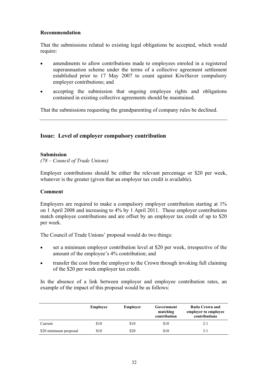## **Recommendation**

That the submissions related to existing legal obligations be accepted, which would require:

- amendments to allow contributions made to employees enroled in a registered superannuation scheme under the terms of a collective agreement settlement established prior to 17 May 2007 to count against KiwiSaver compulsory employer contributions; and
- accepting the submission that ongoing employee rights and obligations contained in existing collective agreements should be maintained.

That the submissions requesting the grandparenting of company rules be declined.

# **Issue: Level of employer compulsory contribution**

### **Submission**

*(78 – Council of Trade Unions)* 

Employer contributions should be either the relevant percentage or \$20 per week, whatever is the greater (given that an employer tax credit is available).

### **Comment**

Employers are required to make a compulsory employer contribution starting at 1% on 1 April 2008 and increasing to 4% by 1 April 2011. These employer contributions match employee contributions and are offset by an employer tax credit of up to \$20 per week.

The Council of Trade Unions' proposal would do two things:

- set a minimum employer contribution level at \$20 per week, irrespective of the amount of the employee's 4% contribution; and
- transfer the cost from the employer to the Crown through invoking full claiming of the \$20 per week employer tax credit.

In the absence of a link between employer and employee contribution rates, an example of the impact of this proposal would be as follows:

|                       | Employee | Employer | Government<br>matching<br>contribution | <b>Ratio Crown and</b><br>employer to employee<br>contributions |
|-----------------------|----------|----------|----------------------------------------|-----------------------------------------------------------------|
| Current               | \$10     | \$10     | \$10                                   | 2:1                                                             |
| \$20 minimum proposal | \$10     | \$20     | \$10                                   | 3:1                                                             |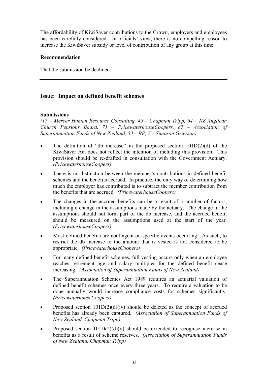The affordability of KiwiSaver contributions to the Crown, employers and employees has been carefully considered. In officials' view, there is no compelling reason to increase the KiwiSaver subsidy or level of contribution of any group at this time.

## **Recommendation**

That the submission be declined.

## **Issue: Impact on defined benefit schemes**

## **Submissions**

*(17 – Mercer Human Resource Consulting, 45 – Chapman Tripp, 64 – NZ Anglican Church Pensions Board, 71 – PricewaterhouseCoopers, 87 – Association of Superannuation Funds of New Zealand, 53 – BP, 7 – Simpson Grierson)* 

- The definition of "db increase" in the proposed section  $101D(2)(d)$  of the KiwiSaver Act does not reflect the intention of including this provision. This provision should be re-drafted in consultation with the Government Actuary. *(PricewaterhouseCoopers)*
- There is no distinction between the member's contributions in defined benefit schemes and the benefits accrued. In practice, the only way of determining how much the employer has contributed is to subtract the member contribution from the benefits that are accrued. *(PricewaterhouseCoopers)*
- The changes in the accrued benefits can be a result of a number of factors, including a change in the assumptions made by the actuary. The change in the assumptions should not form part of the db increase, and the accrued benefit should be measured on the assumptions used at the start of the year. *(PricewaterhouseCoopers)*
- Most defined benefits are contingent on specific events occurring. As such, to restrict the db increase to the amount that is vested is not considered to be appropriate*. (PricewaterhouseCoopers)*
- For many defined benefit schemes, full vesting occurs only when an employee reaches retirement age and salary multiples for the defined benefit cease increasing*. (Association of Superannuation Funds of New Zealand)*
- The Superannuation Schemes Act 1989 requires an actuarial valuation of defined benefit schemes once every three years. To require a valuation to be done annually would increase compliance costs for schemes significantly. *(PricewaterhouseCoopers)*
- Proposed section  $101D(2)(d)(iv)$  should be deleted as the concept of accrued benefits has already been captured. *(Association of Superannuation Funds of New Zealand, Chapman Tripp)*
- Proposed section  $101D(2)(d)(ii)$  should be extended to recognise increase in benefits as a result of scheme reserves. *(Association of Superannuation Funds of New Zealand, Chapman Tripp)*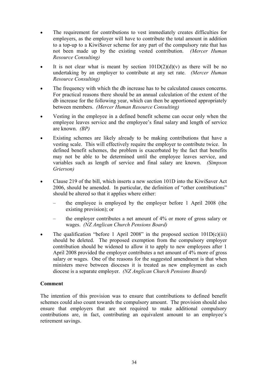- The requirement for contributions to vest immediately creates difficulties for employers, as the employer will have to contribute the total amount in addition to a top-up to a KiwiSaver scheme for any part of the compulsory rate that has not been made up by the existing vested contribution. *(Mercer Human Resource Consulting)*
- It is not clear what is meant by section  $101D(2)(d)(v)$  as there will be no undertaking by an employer to contribute at any set rate. *(Mercer Human Resource Consulting)*
- The frequency with which the db increase has to be calculated causes concerns. For practical reasons there should be an annual calculation of the extent of the db increase for the following year, which can then be apportioned appropriately between members. *(Mercer Human Resource Consulting)*
- Vesting in the employee in a defined benefit scheme can occur only when the employee leaves service and the employee's final salary and length of service are known. *(BP)*
- Existing schemes are likely already to be making contributions that have a vesting scale. This will effectively require the employer to contribute twice. In defined benefit schemes, the problem is exacerbated by the fact that benefits may not be able to be determined until the employee leaves service, and variables such as length of service and final salary are known. *(Simpson Grierson)*
- Clause 219 of the bill, which inserts a new section 101D into the KiwiSaver Act 2006, should be amended. In particular, the definition of "other contributions" should be altered so that it applies where either:
	- the employee is employed by the employer before 1 April 2008 (the existing provision); or
	- the employer contributes a net amount of 4% or more of gross salary or wages. *(NZ Anglican Church Pensions Board)*
- The qualification "before 1 April 2008" in the proposed section  $101D(c)(iii)$ should be deleted. The proposed exemption from the compulsory employer contribution should be widened to allow it to apply to new employees after 1 April 2008 provided the employer contributes a net amount of 4% more of gross salary or wages. One of the reasons for the suggested amendment is that when ministers move between dioceses it is treated as new employment as each diocese is a separate employer. *(NZ Anglican Church Pensions Board)*

The intention of this provision was to ensure that contributions to defined benefit schemes could also count towards the compulsory amount. The provision should also ensure that employers that are not required to make additional compulsory contributions are, in fact, contributing an equivalent amount to an employee's retirement savings.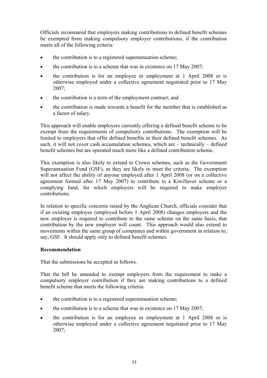Officials recommend that employers making contributions to defined benefit schemes be exempted from making compulsory employer contributions, if the contribution meets all of the following criteria:

- the contribution is to a registered superannuation scheme;
- the contribution is to a scheme that was in existence on 17 May 2007;
- the contribution is for an employee in employment at 1 April 2008 or is otherwise employed under a collective agreement negotiated prior to 17 May 2007;
- the contribution is a term of the employment contract: and
- the contribution is made towards a benefit for the member that is established as a factor of salary.

This approach will enable employers currently offering a defined benefit scheme to be exempt from the requirements of compulsory contributions. The exemption will be limited to employers that offer defined benefits in their defined benefit schemes. As such, it will not cover cash accumulation schemes, which are – technically – defined benefit schemes but are operated much more like a defined contribution scheme.

This exemption is also likely to extend to Crown schemes, such as the Government Superannuation Fund (GSF), as they are likely to meet the criteria. The exemption will not affect the ability of anyone employed after 1 April 2008 (or on a collective agreement formed after 17 May 2007) to contribute to a KiwiSaver scheme or a complying fund, for which employers will be required to make employer contributions.

In relation to specific concerns raised by the Anglican Church, officials consider that if an existing employee (employed before 1 April 2008) changes employers and the new employer is required to contribute to the same scheme on the same basis, that contribution by the new employer will count. This approach would also extend to movements within the same group of companies and within government in relation to, say, GSF. It should apply only to defined benefit schemes.

## **Recommendation**

That the submissions be accepted as follows.

That the bill be amended to exempt employers from the requirement to make a compulsory employer contribution if they are making contributions to a defined benefit scheme that meets the following criteria:

- the contribution is to a registered superannuation scheme;
- the contribution is to a scheme that was in existence on 17 May 2007;
- the contribution is for an employee in employment at 1 April 2008 or is otherwise employed under a collective agreement negotiated prior to 17 May 2007;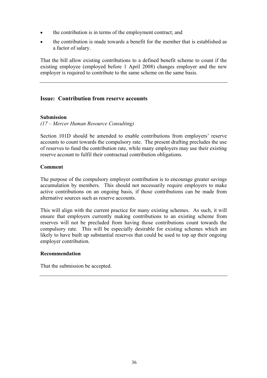- the contribution is in terms of the employment contract; and
- the contribution is made towards a benefit for the member that is established as a factor of salary.

That the bill allow existing contributions to a defined benefit scheme to count if the existing employee (employed before 1 April 2008) changes employer and the new employer is required to contribute to the same scheme on the same basis.

# **Issue: Contribution from reserve accounts**

## **Submission**

*(17 – Mercer Human Resource Consulting)* 

Section 101D should be amended to enable contributions from employers' reserve accounts to count towards the compulsory rate. The present drafting precludes the use of reserves to fund the contribution rate, while many employers may use their existing reserve account to fulfil their contractual contribution obligations.

### **Comment**

The purpose of the compulsory employer contribution is to encourage greater savings accumulation by members. This should not necessarily require employers to make active contributions on an ongoing basis, if those contributions can be made from alternative sources such as reserve accounts.

This will align with the current practice for many existing schemes. As such, it will ensure that employers currently making contributions to an existing scheme from reserves will not be precluded from having those contributions count towards the compulsory rate. This will be especially desirable for existing schemes which are likely to have built up substantial reserves that could be used to top up their ongoing employer contribution.

### **Recommendation**

That the submission be accepted.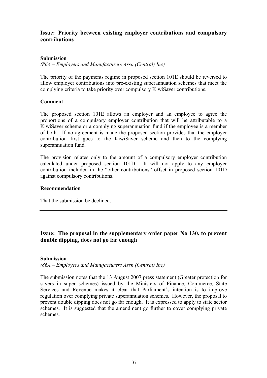# **Issue: Priority between existing employer contributions and compulsory contributions**

## **Submission**

*(86A – Employers and Manufacturers Assn (Central) Inc)* 

The priority of the payments regime in proposed section 101E should be reversed to allow employer contributions into pre-existing superannuation schemes that meet the complying criteria to take priority over compulsory KiwiSaver contributions.

## **Comment**

The proposed section 101E allows an employer and an employee to agree the proportions of a compulsory employer contribution that will be attributable to a KiwiSaver scheme or a complying superannuation fund if the employee is a member of both. If no agreement is made the proposed section provides that the employer contribution first goes to the KiwiSaver scheme and then to the complying superannuation fund.

The provision relates only to the amount of a compulsory employer contribution calculated under proposed section 101D. It will not apply to any employer contribution included in the "other contributions" offset in proposed section 101D against compulsory contributions.

## **Recommendation**

That the submission be declined.

# **Issue: The proposal in the supplementary order paper No 130, to prevent double dipping, does not go far enough**

## **Submission**

*(86A – Employers and Manufacturers Assn (Central) Inc)* 

The submission notes that the 13 August 2007 press statement (Greater protection for savers in super schemes) issued by the Ministers of Finance, Commerce, State Services and Revenue makes it clear that Parliament's intention is to improve regulation over complying private superannuation schemes. However, the proposal to prevent double dipping does not go far enough. It is expressed to apply to state sector schemes. It is suggested that the amendment go further to cover complying private schemes.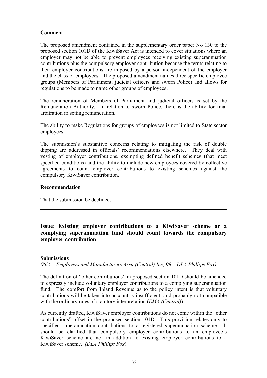The proposed amendment contained in the supplementary order paper No 130 to the proposed section 101D of the KiwiSaver Act is intended to cover situations where an employer may not be able to prevent employees receiving existing superannuation contributions plus the compulsory employer contribution because the terms relating to their employer contributions are imposed by a person independent of the employer and the class of employees. The proposed amendment names three specific employee groups (Members of Parliament, judicial officers and sworn Police) and allows for regulations to be made to name other groups of employees.

The remuneration of Members of Parliament and judicial officers is set by the Remuneration Authority. In relation to sworn Police, there is the ability for final arbitration in setting remuneration.

The ability to make Regulations for groups of employees is not limited to State sector employees.

The submission's substantive concerns relating to mitigating the risk of double dipping are addressed in officials' recommendations elsewhere. They deal with vesting of employer contributions, exempting defined benefit schemes (that meet specified conditions) and the ability to include new employees covered by collective agreements to count employer contributions to existing schemes against the compulsory KiwiSaver contribution.

### **Recommendation**

That the submission be declined.

# **Issue: Existing employer contributions to a KiwiSaver scheme or a complying superannuation fund should count towards the compulsory employer contribution**

### **Submissions**

*(86A – Employers and Manufacturers Assn (Central) Inc, 98 – DLA Phillips Fox)* 

The definition of "other contributions" in proposed section 101D should be amended to expressly include voluntary employer contributions to a complying superannuation fund. The comfort from Inland Revenue as to the policy intent is that voluntary contributions will be taken into account is insufficient, and probably not compatible with the ordinary rules of statutory interpretation (*EMA (Central)*).

As currently drafted, KiwiSaver employer contributions do not come within the "other contributions" offset in the proposed section 101D. This provision relates only to specified superannuation contributions to a registered superannuation scheme. It should be clarified that compulsory employer contributions to an employee's KiwiSaver scheme are not in addition to existing employer contributions to a KiwiSaver scheme. *(DLA Phillips Fox*)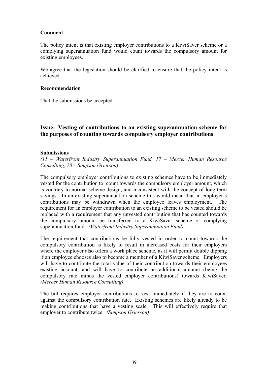The policy intent is that existing employer contributions to a KiwiSaver scheme or a complying superannuation fund would count towards the compulsory amount for existing employees.

We agree that the legislation should be clarified to ensure that the policy intent is achieved.

### **Recommendation**

That the submissions be accepted.

# **Issue: Vesting of contributions to an existing superannuation scheme for the purposes of counting towards compulsory employer contributions**

#### **Submissions**

*(11 – Waterfront Industry Superannuation Fund, 17 – Mercer Human Resource Consulting, 70 – Simpson Grierson)* 

The compulsory employer contributions to existing schemes have to be immediately vested for the contribution to count towards the compulsory employer amount, which is contrary to normal scheme design, and inconsistent with the concept of long-term savings. In an existing superannuation scheme this would mean that an employer's contributions may be withdrawn when the employee leaves employment. The requirement for an employer contribution to an existing scheme to be vested should be replaced with a requirement that any unvested contribution that has counted towards the compulsory amount be transferred to a KiwiSaver scheme or complying superannuation fund. *(Waterfront Industry Superannuation Fund)* 

The requirement that contributions be fully vested in order to count towards the compulsory contribution is likely to result in increased costs for their employers where the employer also offers a work place scheme, as it will permit double dipping if an employee chooses also to become a member of a KiwiSaver scheme. Employers will have to contribute the total value of their contribution towards their employees existing account, and will have to contribute an additional amount (being the compulsory rate minus the vested employer contributions) towards KiwiSaver. *(Mercer Human Resource Consulting)*

The bill requires employer contributions to vest immediately if they are to count against the compulsory contribution rate. Existing schemes are likely already to be making contributions that have a vesting scale. This will effectively require that employer to contribute twice. *(Simpson Grierson)*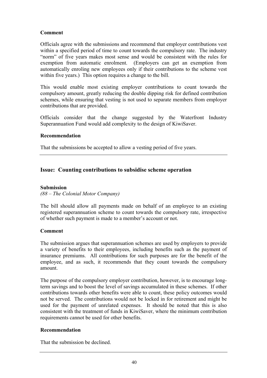Officials agree with the submissions and recommend that employer contributions vest within a specified period of time to count towards the compulsory rate. The industry "norm" of five years makes most sense and would be consistent with the rules for exemption from automatic enrolment. (Employers can get an exemption from automatically enroling new employees only if their contributions to the scheme vest within five years.) This option requires a change to the bill.

This would enable most existing employer contributions to count towards the compulsory amount, greatly reducing the double dipping risk for defined contribution schemes, while ensuring that vesting is not used to separate members from employer contributions that are provided.

Officials consider that the change suggested by the Waterfront Industry Superannuation Fund would add complexity to the design of KiwiSaver.

## **Recommendation**

That the submissions be accepted to allow a vesting period of five years.

# **Issue: Counting contributions to subsidise scheme operation**

## **Submission**

*(88 – The Colonial Motor Company)* 

The bill should allow all payments made on behalf of an employee to an existing registered superannuation scheme to count towards the compulsory rate, irrespective of whether such payment is made to a member's account or not.

## **Comment**

The submission argues that superannuation schemes are used by employers to provide a variety of benefits to their employees, including benefits such as the payment of insurance premiums. All contributions for such purposes are for the benefit of the employee, and as such, it recommends that they count towards the compulsory amount.

The purpose of the compulsory employer contribution, however, is to encourage longterm savings and to boost the level of savings accumulated in these schemes. If other contributions towards other benefits were able to count, these policy outcomes would not be served. The contributions would not be locked in for retirement and might be used for the payment of unrelated expenses. It should be noted that this is also consistent with the treatment of funds in KiwiSaver, where the minimum contribution requirements cannot be used for other benefits.

## **Recommendation**

That the submission be declined.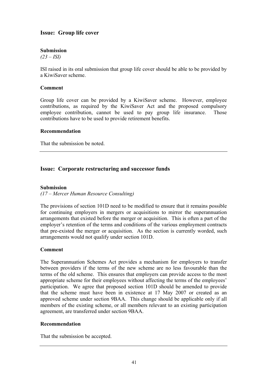# **Issue: Group life cover**

### **Submission**

*(23 – ISI)* 

ISI raised in its oral submission that group life cover should be able to be provided by a KiwiSaver scheme.

#### **Comment**

Group life cover can be provided by a KiwiSaver scheme. However, employee contributions, as required by the KiwiSaver Act and the proposed compulsory employee contribution, cannot be used to pay group life insurance. Those contributions have to be used to provide retirement benefits.

#### **Recommendation**

That the submission be noted.

## **Issue: Corporate restructuring and successor funds**

#### **Submission**

### *(17 – Mercer Human Resource Consulting)*

The provisions of section 101D need to be modified to ensure that it remains possible for continuing employers in mergers or acquisitions to mirror the superannuation arrangements that existed before the merger or acquisition. This is often a part of the employer's retention of the terms and conditions of the various employment contracts that pre-existed the merger or acquisition. As the section is currently worded, such arrangements would not qualify under section 101D.

#### **Comment**

The Superannuation Schemes Act provides a mechanism for employers to transfer between providers if the terms of the new scheme are no less favourable than the terms of the old scheme. This ensures that employers can provide access to the most appropriate scheme for their employees without affecting the terms of the employees' participation. We agree that proposed section 101D should be amended to provide that the scheme must have been in existence at 17 May 2007 or created as an approved scheme under section 9BAA. This change should be applicable only if all members of the existing scheme, or all members relevant to an existing participation agreement, are transferred under section 9BAA.

### **Recommendation**

That the submission be accepted.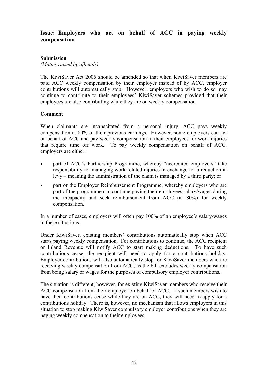# **Issue: Employers who act on behalf of ACC in paying weekly compensation**

## **Submission**

*(Matter raised by officials)* 

The KiwiSaver Act 2006 should be amended so that when KiwiSaver members are paid ACC weekly compensation by their employer instead of by ACC, employer contributions will automatically stop. However, employers who wish to do so may continue to contribute to their employees' KiwiSaver schemes provided that their employees are also contributing while they are on weekly compensation.

## **Comment**

When claimants are incapacitated from a personal injury, ACC pays weekly compensation at 80% of their previous earnings. However, some employers can act on behalf of ACC and pay weekly compensation to their employees for work injuries that require time off work. To pay weekly compensation on behalf of ACC, employers are either:

- part of ACC's Partnership Programme, whereby "accredited employers" take responsibility for managing work-related injuries in exchange for a reduction in levy – meaning the administration of the claim is managed by a third party; or
- part of the Employer Reimbursement Programme, whereby employers who are part of the programme can continue paying their employees salary/wages during the incapacity and seek reimbursement from ACC (at 80%) for weekly compensation.

In a number of cases, employers will often pay 100% of an employee's salary/wages in these situations.

Under KiwiSaver, existing members' contributions automatically stop when ACC starts paying weekly compensation. For contributions to continue, the ACC recipient or Inland Revenue will notify ACC to start making deductions. To have such contributions cease, the recipient will need to apply for a contributions holiday. Employer contributions will also automatically stop for KiwiSaver members who are receiving weekly compensation from ACC, as the bill excludes weekly compensation from being salary or wages for the purposes of compulsory employer contributions.

The situation is different, however, for existing KiwiSaver members who receive their ACC compensation from their employer on behalf of ACC. If such members wish to have their contributions cease while they are on ACC, they will need to apply for a contributions holiday. There is, however, no mechanism that allows employers in this situation to stop making KiwiSaver compulsory employer contributions when they are paying weekly compensation to their employees.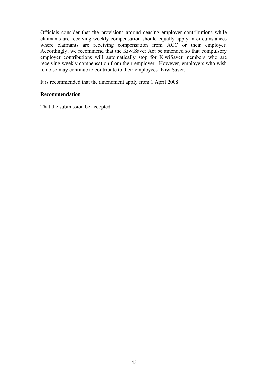Officials consider that the provisions around ceasing employer contributions while claimants are receiving weekly compensation should equally apply in circumstances where claimants are receiving compensation from ACC or their employer. Accordingly, we recommend that the KiwiSaver Act be amended so that compulsory employer contributions will automatically stop for KiwiSaver members who are receiving weekly compensation from their employer. However, employers who wish to do so may continue to contribute to their employees' KiwiSaver.

It is recommended that the amendment apply from 1 April 2008.

## **Recommendation**

That the submission be accepted.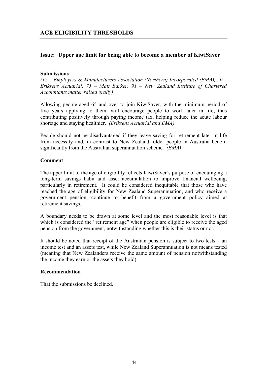# **Issue: Upper age limit for being able to become a member of KiwiSaver**

## **Submissions**

*(12 – Employers & Manufacturers Association (Northern) Incorporated (EMA), 50 – Eriksens Actuarial, 75 – Matt Barker, 91 – New Zealand Institute of Chartered Accountants matter raised orally)* 

Allowing people aged 65 and over to join KiwiSaver, with the minimum period of five years applying to them, will encourage people to work later in life, thus contributing positively through paying income tax, helping reduce the acute labour shortage and staying healthier. *(Eriksens Actuarial and EMA)* 

People should not be disadvantaged if they leave saving for retirement later in life from necessity and, in contrast to New Zealand, older people in Australia benefit significantly from the Australian superannuation scheme. *(EMA)*

## **Comment**

The upper limit to the age of eligibility reflects KiwiSaver's purpose of encouraging a long-term savings habit and asset accumulation to improve financial wellbeing, particularly in retirement. It could be considered inequitable that those who have reached the age of eligibility for New Zealand Superannuation, and who receive a government pension, continue to benefit from a government policy aimed at retirement savings.

A boundary needs to be drawn at some level and the most reasonable level is that which is considered the "retirement age" when people are eligible to receive the aged pension from the government, notwithstanding whether this is their status or not.

It should be noted that receipt of the Australian pension is subject to two tests – an income test and an assets test, while New Zealand Superannuation is not means tested (meaning that New Zealanders receive the same amount of pension notwithstanding the income they earn or the assets they hold).

### **Recommendation**

That the submissions be declined.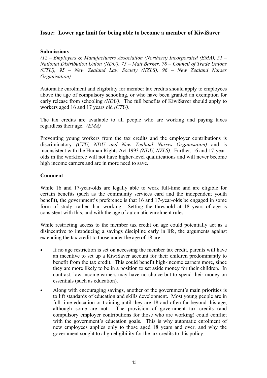# **Issue: Lower age limit for being able to become a member of KiwiSaver**

## **Submissions**

*(12 – Employers & Manufacturers Association (Northern) Incorporated (EMA), 51 – National Distribution Union (NDU), 75 – Matt Barker, 78 – Council of Trade Unions (CTU), 95 – New Zealand Law Society (NZLS), 96 – New Zealand Nurses Organisation)* 

Automatic enrolment and eligibility for member tax credits should apply to employees above the age of compulsory schooling, or who have been granted an exemption for early release from schooling *(NDU)*. The full benefits of KiwiSaver should apply to workers aged 16 and 17 years old *(CTU)*.

The tax credits are available to all people who are working and paying taxes regardless their age. *(EMA)*

Preventing young workers from the tax credits and the employer contributions is discriminatory *(CTU, NDU and New Zealand Nurses Organisation)* and is inconsistent with the Human Rights Act 1993 *(NDU, NZLS)*. Further, 16 and 17-yearolds in the workforce will not have higher-level qualifications and will never become high income earners and are in more need to save.

### **Comment**

While 16 and 17-year-olds are legally able to work full-time and are eligible for certain benefits (such as the community services card and the independent youth benefit), the government's preference is that 16 and 17-year-olds be engaged in some form of study, rather than working. Setting the threshold at 18 years of age is consistent with this, and with the age of automatic enrolment rules.

While restricting access to the member tax credit on age could potentially act as a disincentive to introducing a savings discipline early in life, the arguments against extending the tax credit to those under the age of 18 are:

- If no age restriction is set on accessing the member tax credit, parents will have an incentive to set up a KiwiSaver account for their children predominantly to benefit from the tax credit. This could benefit high-income earners more, since they are more likely to be in a position to set aside money for their children. In contrast, low-income earners may have no choice but to spend their money on essentials (such as education).
- Along with encouraging savings, another of the government's main priorities is to lift standards of education and skills development. Most young people are in full-time education or training until they are 18 and often far beyond this age, although some are not. The provision of government tax credits (and compulsory employer contributions for those who are working) could conflict with the government's education goals. This is why automatic enrolment of new employees applies only to those aged 18 years and over, and why the government sought to align eligibility for the tax credits to this policy.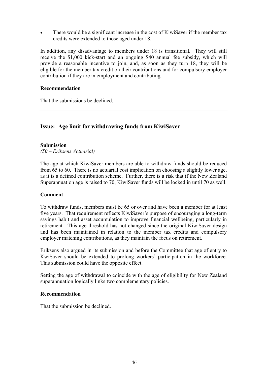• There would be a significant increase in the cost of KiwiSaver if the member tax credits were extended to those aged under 18.

In addition, any disadvantage to members under 18 is transitional. They will still receive the \$1,000 kick-start and an ongoing \$40 annual fee subsidy, which will provide a reasonable incentive to join, and, as soon as they turn 18, they will be eligible for the member tax credit on their contributions and for compulsory employer contribution if they are in employment and contributing.

## **Recommendation**

That the submissions be declined.

# **Issue: Age limit for withdrawing funds from KiwiSaver**

### **Submission**

*(50 – Eriksens Actuarial)* 

The age at which KiwiSaver members are able to withdraw funds should be reduced from 65 to 60. There is no actuarial cost implication on choosing a slightly lower age, as it is a defined contribution scheme. Further, there is a risk that if the New Zealand Superannuation age is raised to 70, KiwiSaver funds will be locked in until 70 as well.

### **Comment**

To withdraw funds, members must be 65 or over and have been a member for at least five years. That requirement reflects KiwiSaver's purpose of encouraging a long-term savings habit and asset accumulation to improve financial wellbeing, particularly in retirement. This age threshold has not changed since the original KiwiSaver design and has been maintained in relation to the member tax credits and compulsory employer matching contributions, as they maintain the focus on retirement.

Eriksens also argued in its submission and before the Committee that age of entry to KwiSaver should be extended to prolong workers' participation in the workforce. This submission could have the opposite effect.

Setting the age of withdrawal to coincide with the age of eligibility for New Zealand superannuation logically links two complementary policies.

## **Recommendation**

That the submission be declined.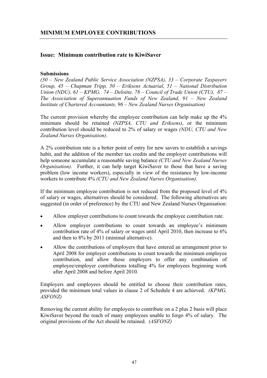# **Issue: Minimum contribution rate to KiwiSaver**

## **Submissions**

*(30 – New Zealand Public Service Association (NZPSA), 33 – Corporate Taxpayers Group, 45 – Chapman Tripp, 50 – Eriksens Actuarial, 51 – National Distribution Union (NDU), 61 – KPMG, 74 – Deloitte, 78 – Council of Trade Union (CTU), 87 – The Association of Superannuation Funds of New Zealand, 91 – New Zealand Institute of Chartered Accountants, 96 – New Zealand Nurses Organisation)* 

The current provision whereby the employee contribution can help make up the 4% minimum should be retained *(NZPSA, CTU and Eriksens)*, or the minimum contribution level should be reduced to 2% of salary or wages *(NDU, CTU and New Zealand Nurses Organisation)*.

A 2% contribution rate is a better point of entry for new savers to establish a savings habit, and the addition of the member tax credits and the employer contributions will help someone accumulate a reasonable saving balance *(CTU and New Zealand Nurses Organisation)*. Further, it can help target KiwiSaver to those that have a saving problem (low income workers), especially in view of the resistance by low-income workers to contribute 4% *(CTU and New Zealand Nurses Organisation)*.

If the minimum employee contribution is not reduced from the proposed level of 4% of salary or wages, alternatives should be considered. The following alternatives are suggested (in order of preference) by the CTU and New Zealand Nurses Organisation:

- Allow employer contributions to count towards the employee contribution rate.
- Allow employer contributions to count towards an employee's minimum contribution rate of 4% of salary or wages until April 2010, then increase to 6% and then to 8% by 2011 (minimal alternative).
- Allow the contributions of employers that have entered an arrangement prior to April 2008 for employer contributions to count towards the minimum employee contribution, and allow those employers to offer any combination of employee/employer contributions totalling 4% for employees beginning work after April 2008 and before April 2010.

Employers and employees should be entitled to choose their contribution rates, provided the minimum total values in clause 2 of Schedule 4 are achieved. *(KPMG, ASFONZ)*

Removing the current ability for employees to contribute on a 2 plus 2 basis will place KiwiSaver beyond the reach of many employees unable to forgo 4% of salary. The original provisions of the Act should be retained. *(ASFONZ)*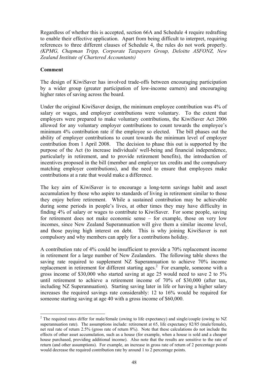Regardless of whether this is accepted, section 66A and Schedule 4 require redrafting to enable their effective application. Apart from being difficult to interpret, requiring references to three different clauses of Schedule 4, the rules do not work properly. *(KPMG, Chapman Tripp, Corporate Taxpayers Group, Deloitte ASFONZ, New Zealand Institute of Chartered Accountants)* 

## **Comment**

 $\overline{a}$ 

The design of KiwiSaver has involved trade-offs between encouraging participation by a wider group (greater participation of low-income earners) and encouraging higher rates of saving across the board.

Under the original KiwiSaver design, the minimum employee contribution was 4% of salary or wages, and employer contributions were voluntary. To the extent that employers were prepared to make voluntary contributions, the KiwiSaver Act 2006 allowed for any voluntary employer contributions to count towards the employee's minimum 4% contribution rate if the employee so elected. The bill phases out the ability of employer contributions to count towards the minimum level of employer contribution from 1 April 2008. The decision to phase this out is supported by the purpose of the Act (to increase individuals' well-being and financial independence, particularly in retirement, and to provide retirement benefits), the introduction of incentives proposed in the bill (member and employer tax credits and the compulsory matching employer contributions), and the need to ensure that employees make contributions at a rate that would make a difference.

The key aim of KiwiSaver is to encourage a long-term savings habit and asset accumulation by those who aspire to standards of living in retirement similar to those they enjoy before retirement. While a sustained contribution may be achievable during some periods in people's lives, at other times they may have difficulty in finding 4% of salary or wages to contribute to KiwiSaver. For some people, saving for retirement does not make economic sense – for example, those on very low incomes, since New Zealand Superannuation will give them a similar income level, and those paying high interest on debt. This is why joining KiwiSaver is not compulsory and why members can apply for a contributions holiday.

A contribution rate of 4% could be insufficient to provide a 70% replacement income in retirement for a large number of New Zealanders. The following table shows the saving rate required to supplement NZ Superannuation to achieve 70% income replacement in retirement for different starting ages.<sup>2</sup> For example, someone with a gross income of \$30,000 who started saving at age 25 would need to save 2 to 5% until retirement to achieve a retirement income of 70% of \$30,000 (after tax, including NZ Superannuation). Starting saving later in life or having a higher salary increases the required savings rate considerably: 12 to 16% would be required for someone starting saving at age 40 with a gross income of \$60,000.

<sup>&</sup>lt;sup>2</sup> The required rates differ for male/female (owing to life expectancy) and single/couple (owing to NZ superannuation rate). The assumptions include: retirement at 65, life expectancy 82/85 (male/female), net real rate of return 2.5% (gross rate of return 8%). Note that these calculations do not include the effects of other asset accumulation, such as a house (for example, when a house is sold and a cheaper house purchased, providing additional income). Also note that the results are sensitive to the rate of return (and other assumptions). For example, an increase in gross rate of return of 2 percentage points would decrease the required contribution rate by around 1 to 2 percentage points.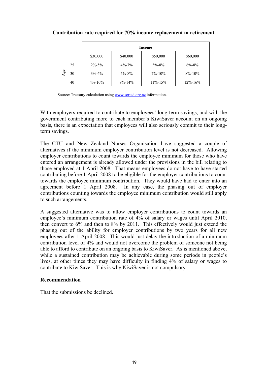## **Contribution rate required for 70% income replacement in retirement**

|           | Income       |              |               |               |  |
|-----------|--------------|--------------|---------------|---------------|--|
|           | \$30,000     | \$40,000     | \$50,000      | \$60,000      |  |
| 25        | $2\% - 5\%$  | $4\% - 7\%$  | $5\% - 8\%$   | $6\% - 8\%$   |  |
| Age<br>30 | $3\% - 6\%$  | $5\% - 8\%$  | $7\% - 10\%$  | $8\% - 10\%$  |  |
| 40        | $4\% - 10\%$ | $9\% - 14\%$ | $11\% - 15\%$ | $12\% - 16\%$ |  |

Source: Treasury calculation using www.sorted.org.nz information.

With employers required to contribute to employees' long-term savings, and with the government contributing more to each member's KiwiSaver account on an ongoing basis, there is an expectation that employees will also seriously commit to their longterm savings.

The CTU and New Zealand Nurses Organisation have suggested a couple of alternatives if the minimum employer contribution level is not decreased. Allowing employer contributions to count towards the employee minimum for those who have entered an arrangement is already allowed under the provisions in the bill relating to those employed at 1 April 2008. That means employees do not have to have started contributing before 1 April 2008 to be eligible for the employer contributions to count towards the employee minimum contribution. They would have had to enter into an agreement before 1 April 2008. In any case, the phasing out of employer contributions counting towards the employee minimum contribution would still apply to such arrangements.

A suggested alternative was to allow employer contributions to count towards an employee's minimum contribution rate of 4% of salary or wages until April 2010, then convert to 6% and then to 8% by 2011. This effectively would just extend the phasing out of the ability for employer contributions by two years for all new employees after 1 April 2008. This would just delay the introduction of a minimum contribution level of 4% and would not overcome the problem of someone not being able to afford to contribute on an ongoing basis to KiwiSaver. As is mentioned above, while a sustained contribution may be achievable during some periods in people's lives, at other times they may have difficulty in finding 4% of salary or wages to contribute to KiwiSaver. This is why KiwiSaver is not compulsory.

## **Recommendation**

That the submissions be declined.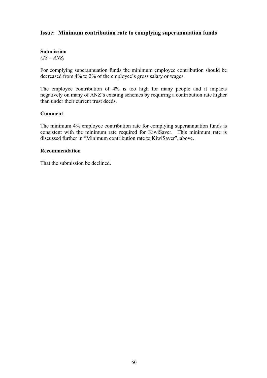## **Issue: Minimum contribution rate to complying superannuation funds**

## **Submission**

*(28 – ANZ)* 

For complying superannuation funds the minimum employee contribution should be decreased from 4% to 2% of the employee's gross salary or wages.

The employee contribution of 4% is too high for many people and it impacts negatively on many of ANZ's existing schemes by requiring a contribution rate higher than under their current trust deeds.

### **Comment**

The minimum 4% employee contribution rate for complying superannuation funds is consistent with the minimum rate required for KiwiSaver. This minimum rate is discussed further in "Minimum contribution rate to KiwiSaver", above.

#### **Recommendation**

That the submission be declined.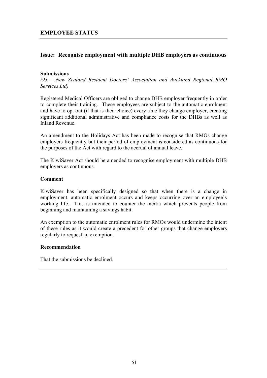# **Issue: Recognise employment with multiple DHB employers as continuous**

## **Submissions**

*(93 – New Zealand Resident Doctors' Association and Auckland Regional RMO Services Ltd)* 

Registered Medical Officers are obliged to change DHB employer frequently in order to complete their training. These employees are subject to the automatic enrolment and have to opt out (if that is their choice) every time they change employer, creating significant additional administrative and compliance costs for the DHBs as well as Inland Revenue.

An amendment to the Holidays Act has been made to recognise that RMOs change employers frequently but their period of employment is considered as continuous for the purposes of the Act with regard to the accrual of annual leave.

The KiwiSaver Act should be amended to recognise employment with multiple DHB employers as continuous.

### **Comment**

KiwiSaver has been specifically designed so that when there is a change in employment, automatic enrolment occurs and keeps occurring over an employee's working life. This is intended to counter the inertia which prevents people from beginning and maintaining a savings habit.

An exemption to the automatic enrolment rules for RMOs would undermine the intent of these rules as it would create a precedent for other groups that change employers regularly to request an exemption.

### **Recommendation**

That the submissions be declined.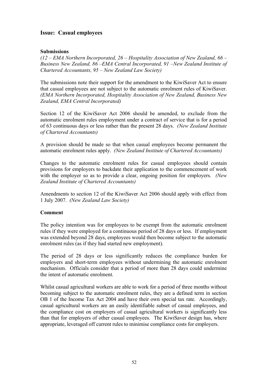# **Issue: Casual employees**

### **Submissions**

*(12 – EMA Northern Incorporated, 26 – Hospitality Association of New Zealand, 66 – Business New Zealand, 86 –EMA Central Incorporated, 91 –New Zealand Institute of Chartered Accountants, 95 – New Zealand Law Society)* 

The submissions note their support for the amendment to the KiwiSaver Act to ensure that casual employees are not subject to the automatic enrolment rules of KiwiSaver. *(EMA Northern Incorporated, Hospitality Association of New Zealand, Business New Zealand, EMA Central Incorporated)* 

Section 12 of the KiwiSaver Act 2006 should be amended, to exclude from the automatic enrolment rules employment under a contract of service that is for a period of 63 continuous days or less rather than the present 28 days. *(New Zealand Institute of Chartered Accountants)*

A provision should be made so that when casual employees become permanent the automatic enrolment rules apply. *(New Zealand Institute of Chartered Accountants)*

Changes to the automatic enrolment rules for casual employees should contain provisions for employers to backdate their application to the commencement of work with the employer so as to provide a clear, ongoing position for employers. *(New Zealand Institute of Chartered Accountants)*

Amendments to section 12 of the KiwiSaver Act 2006 should apply with effect from 1 July 2007. *(New Zealand Law Society)*

### **Comment**

The policy intention was for employees to be exempt from the automatic enrolment rules if they were employed for a continuous period of 28 days or less. If employment was extended beyond 28 days, employees would then become subject to the automatic enrolment rules (as if they had started new employment).

The period of 28 days or less significantly reduces the compliance burden for employers and short-term employees without undermining the automatic enrolment mechanism. Officials consider that a period of more than 28 days could undermine the intent of automatic enrolment.

Whilst casual agricultural workers are able to work for a period of three months without becoming subject to the automatic enrolment rules, they are a defined term in section OB 1 of the Income Tax Act 2004 and have their own special tax rate. Accordingly, casual agricultural workers are an easily identifiable subset of casual employees, and the compliance cost on employers of casual agricultural workers is significantly less than that for employers of other casual employees. The KiwiSaver design has, where appropriate, leveraged off current rules to minimise compliance costs for employers.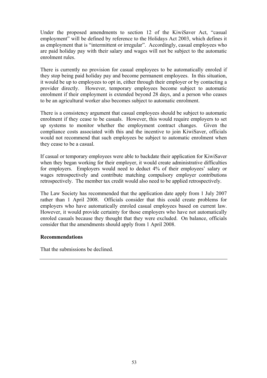Under the proposed amendments to section 12 of the KiwiSaver Act, "casual employment" will be defined by reference to the Holidays Act 2003, which defines it as employment that is "intermittent or irregular". Accordingly, casual employees who are paid holiday pay with their salary and wages will not be subject to the automatic enrolment rules.

There is currently no provision for casual employees to be automatically enroled if they stop being paid holiday pay and become permanent employees. In this situation, it would be up to employees to opt in, either through their employer or by contacting a provider directly. However, temporary employees become subject to automatic enrolment if their employment is extended beyond 28 days, and a person who ceases to be an agricultural worker also becomes subject to automatic enrolment.

There is a consistency argument that casual employees should be subject to automatic enrolment if they cease to be casuals. However, this would require employers to set up systems to monitor whether the employment contract changes. Given the compliance costs associated with this and the incentive to join KiwiSaver, officials would not recommend that such employees be subject to automatic enrolment when they cease to be a casual.

If casual or temporary employees were able to backdate their application for KiwiSaver when they began working for their employer, it would create administrative difficulties for employers. Employers would need to deduct 4% of their employees' salary or wages retrospectively and contribute matching compulsory employer contributions retrospectively. The member tax credit would also need to be applied retrospectively.

The Law Society has recommended that the application date apply from 1 July 2007 rather than 1 April 2008. Officials consider that this could create problems for employers who have automatically enroled casual employees based on current law. However, it would provide certainty for those employers who have not automatically enroled casuals because they thought that they were excluded. On balance, officials consider that the amendments should apply from 1 April 2008.

### **Recommendations**

That the submissions be declined.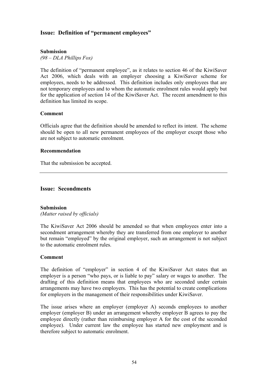# **Issue: Definition of "permanent employees"**

## **Submission**

*(98 – DLA Phillips Fox)* 

The definition of "permanent employee", as it relates to section 46 of the KiwiSaver Act 2006, which deals with an employer choosing a KiwiSaver scheme for employees, needs to be addressed. This definition includes only employees that are not temporary employees and to whom the automatic enrolment rules would apply but for the application of section 14 of the KiwiSaver Act. The recent amendment to this definition has limited its scope.

### **Comment**

Officials agree that the definition should be amended to reflect its intent. The scheme should be open to all new permanent employees of the employer except those who are not subject to automatic enrolment.

### **Recommendation**

That the submission be accepted.

## **Issue: Secondments**

### **Submission**

*(Matter raised by officials)* 

The KiwiSaver Act 2006 should be amended so that when employees enter into a secondment arrangement whereby they are transferred from one employer to another but remain "employed" by the original employer, such an arrangement is not subject to the automatic enrolment rules.

### **Comment**

The definition of "employer" in section 4 of the KiwiSaver Act states that an employer is a person "who pays, or is liable to pay" salary or wages to another. The drafting of this definition means that employees who are seconded under certain arrangements may have two employers. This has the potential to create complications for employers in the management of their responsibilities under KiwiSaver.

The issue arises where an employer (employer A) seconds employees to another employer (employer B) under an arrangement whereby employer B agrees to pay the employee directly (rather than reimbursing employer A for the cost of the seconded employee). Under current law the employee has started new employment and is therefore subject to automatic enrolment.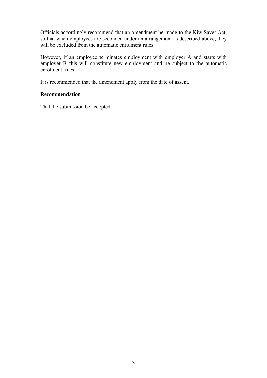Officials accordingly recommend that an amendment be made to the KiwiSaver Act, so that when employees are seconded under an arrangement as described above, they will be excluded from the automatic enrolment rules.

However, if an employee terminates employment with employer A and starts with employer B this will constitute new employment and be subject to the automatic enrolment rules.

It is recommended that the amendment apply from the date of assent.

## **Recommendation**

That the submission be accepted.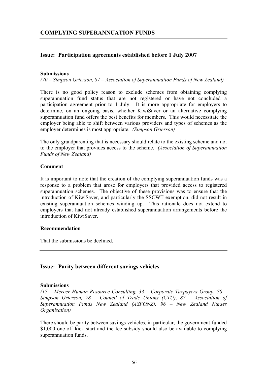# **Issue: Participation agreements established before 1 July 2007**

## **Submissions**

*(70 – Simpson Grierson, 87 – Association of Superannuation Funds of New Zealand)* 

There is no good policy reason to exclude schemes from obtaining complying superannuation fund status that are not registered or have not concluded a participation agreement prior to 1 July. It is more appropriate for employers to determine, on an ongoing basis, whether KiwiSaver or an alternative complying superannuation fund offers the best benefits for members. This would necessitate the employer being able to shift between various providers and types of schemes as the employer determines is most appropriate. *(Simpson Grierson)*

The only grandparenting that is necessary should relate to the existing scheme and not to the employer that provides access to the scheme. *(Association of Superannuation Funds of New Zealand)* 

## **Comment**

It is important to note that the creation of the complying superannuation funds was a response to a problem that arose for employers that provided access to registered superannuation schemes. The objective of these provisions was to ensure that the introduction of KiwiSaver, and particularly the SSCWT exemption, did not result in existing superannuation schemes winding up. This rationale does not extend to employers that had not already established superannuation arrangements before the introduction of KiwiSaver.

### **Recommendation**

That the submissions be declined.

# **Issue: Parity between different savings vehicles**

### **Submissions**

*(17 – Mercer Human Resource Consulting, 33 – Corporate Taxpayers Group, 70 – Simpson Grierson, 78 – Council of Trade Unions (CTU), 87 – Association of Superannuation Funds New Zealand (ASFONZ), 96 – New Zealand Nurses Organisation)* 

There should be parity between savings vehicles, in particular, the government-funded \$1,000 one-off kick-start and the fee subsidy should also be available to complying superannuation funds.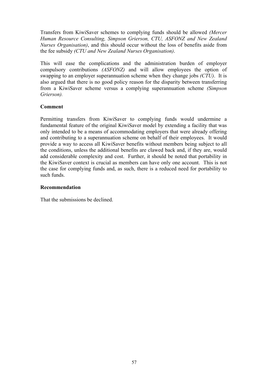Transfers from KiwiSaver schemes to complying funds should be allowed *(Mercer Human Resource Consulting, Simpson Grierson, CTU, ASFONZ and New Zealand Nurses Organisation)*, and this should occur without the loss of benefits aside from the fee subsidy *(CTU and New Zealand Nurses Organisation)*.

This will ease the complications and the administration burden of employer compulsory contributions *(ASFONZ)* and will allow employees the option of swapping to an employer superannuation scheme when they change jobs *(CTU)*. It is also argued that there is no good policy reason for the disparity between transferring from a KiwiSaver scheme versus a complying superannuation scheme *(Simpson Grierson).*

## **Comment**

Permitting transfers from KiwiSaver to complying funds would undermine a fundamental feature of the original KiwiSaver model by extending a facility that was only intended to be a means of accommodating employers that were already offering and contributing to a superannuation scheme on behalf of their employees. It would provide a way to access all KiwiSaver benefits without members being subject to all the conditions, unless the additional benefits are clawed back and, if they are, would add considerable complexity and cost. Further, it should be noted that portability in the KiwiSaver context is crucial as members can have only one account. This is not the case for complying funds and, as such, there is a reduced need for portability to such funds.

## **Recommendation**

That the submissions be declined.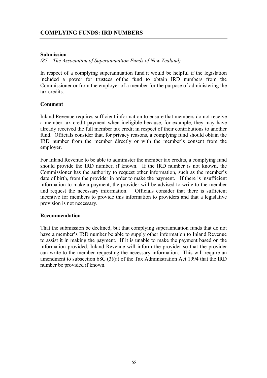## **Submission**

*(87 – The Association of Superannuation Funds of New Zealand)* 

In respect of a complying superannuation fund it would be helpful if the legislation included a power for trustees of the fund to obtain IRD numbers from the Commissioner or from the employer of a member for the purpose of administering the tax credits.

## **Comment**

Inland Revenue requires sufficient information to ensure that members do not receive a member tax credit payment when ineligible because, for example, they may have already received the full member tax credit in respect of their contributions to another fund. Officials consider that, for privacy reasons, a complying fund should obtain the IRD number from the member directly or with the member's consent from the employer.

For Inland Revenue to be able to administer the member tax credits, a complying fund should provide the IRD number, if known. If the IRD number is not known, the Commissioner has the authority to request other information, such as the member's date of birth, from the provider in order to make the payment. If there is insufficient information to make a payment, the provider will be advised to write to the member and request the necessary information. Officials consider that there is sufficient incentive for members to provide this information to providers and that a legislative provision is not necessary.

### **Recommendation**

That the submission be declined, but that complying superannuation funds that do not have a member's IRD number be able to supply other information to Inland Revenue to assist it in making the payment. If it is unable to make the payment based on the information provided, Inland Revenue will inform the provider so that the provider can write to the member requesting the necessary information. This will require an amendment to subsection 68C (3)(a) of the Tax Administration Act 1994 that the IRD number be provided if known.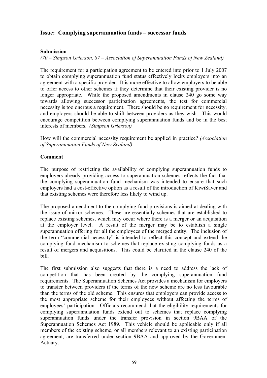# **Issue: Complying superannuation funds – successor funds**

## **Submission**

*(70 – Simpson Grierson, 87 – Association of Superannuation Funds of New Zealand)* 

The requirement for a participation agreement to be entered into prior to 1 July 2007 to obtain complying superannuation fund status effectively locks employers into an agreement with a specific provider. It is more effective to allow employers to be able to offer access to other schemes if they determine that their existing provider is no longer appropriate. While the proposed amendments in clause 240 go some way towards allowing successor participation agreements, the test for commercial necessity is too onerous a requirement. There should be no requirement for necessity, and employers should be able to shift between providers as they wish. This would encourage competition between complying superannuation funds and be in the best interests of members. *(Simpson Grierson)*

How will the commercial necessity requirement be applied in practice? *(Association of Superannuation Funds of New Zealand)* 

## **Comment**

The purpose of restricting the availability of complying superannuation funds to employers already providing access to superannuation schemes reflects the fact that the complying superannuation fund mechanism was intended to ensure that such employers had a cost-effective option as a result of the introduction of KiwiSaver and that existing schemes were therefore less likely to wind up.

The proposed amendment to the complying fund provisions is aimed at dealing with the issue of mirror schemes. These are essentially schemes that are established to replace existing schemes, which may occur where there is a merger or an acquisition at the employer level. A result of the merger may be to establish a single superannuation offering for all the employees of the merged entity. The inclusion of the term "commercial necessity" is intended to reflect this concept and extend the complying fund mechanism to schemes that replace existing complying funds as a result of mergers and acquisitions. This could be clarified in the clause 240 of the bill.

The first submission also suggests that there is a need to address the lack of competition that has been created by the complying superannuation fund requirements. The Superannuation Schemes Act provides a mechanism for employers to transfer between providers if the terms of the new scheme are no less favourable than the terms of the old scheme. This ensures that employers can provide access to the most appropriate scheme for their employees without affecting the terms of employees' participation. Officials recommend that the eligibility requirements for complying superannuation funds extend out to schemes that replace complying superannuation funds under the transfer provision in section 9BAA of the Superannuation Schemes Act 1989. This vehicle should be applicable only if all members of the existing scheme, or all members relevant to an existing participation agreement, are transferred under section 9BAA and approved by the Government Actuary.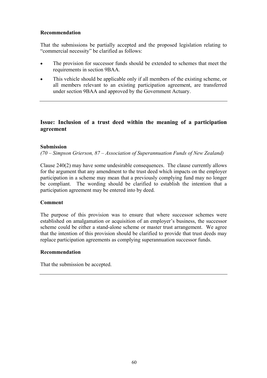## **Recommendation**

That the submissions be partially accepted and the proposed legislation relating to "commercial necessity" be clarified as follows:

- The provision for successor funds should be extended to schemes that meet the requirements in section 9BAA.
- This vehicle should be applicable only if all members of the existing scheme, or all members relevant to an existing participation agreement, are transferred under section 9BAA and approved by the Government Actuary.

# **Issue: Inclusion of a trust deed within the meaning of a participation agreement**

## **Submission**

*(70 – Simpson Grierson, 87 – Association of Superannuation Funds of New Zealand)* 

Clause 240(2) may have some undesirable consequences. The clause currently allows for the argument that any amendment to the trust deed which impacts on the employer participation in a scheme may mean that a previously complying fund may no longer be compliant. The wording should be clarified to establish the intention that a participation agreement may be entered into by deed.

### **Comment**

The purpose of this provision was to ensure that where successor schemes were established on amalgamation or acquisition of an employer's business, the successor scheme could be either a stand-alone scheme or master trust arrangement. We agree that the intention of this provision should be clarified to provide that trust deeds may replace participation agreements as complying superannuation successor funds.

### **Recommendation**

That the submission be accepted.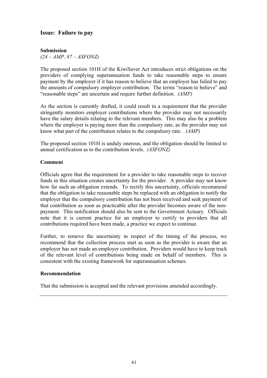# **Issue: Failure to pay**

## **Submission**

*(24 – AMP, 87 – ASFONZ)* 

The proposed section 101H of the KiwiSaver Act introduces strict obligations on the providers of complying superannuation funds to take reasonable steps to ensure payment by the employer if it has reason to believe that an employer has failed to pay the amounts of compulsory employer contribution. The terms "reason to believe" and "reasonable steps" are uncertain and require further definition. *(AMP)*

As the section is currently drafted, it could result in a requirement that the provider stringently monitors employer contributions where the provider may not necessarily have the salary details relating to the relevant members. This may also be a problem where the employer is paying more than the compulsory rate, as the provider may not know what part of the contribution relates to the compulsory rate. *(AMP)*

The proposed section 101H is unduly onerous, and the obligation should be limited to annual certification as to the contribution levels. *(ASFONZ)* 

### **Comment**

Officials agree that the requirement for a provider to take reasonable steps to recover funds in this situation creates uncertainty for the provider. A provider may not know how far such an obligation extends. To rectify this uncertainty, officials recommend that the obligation to take reasonable steps be replaced with an obligation to notify the employer that the compulsory contribution has not been received and seek payment of that contribution as soon as practicable after the provider becomes aware of the nonpayment. This notification should also be sent to the Government Actuary. Officials note that it is current practice for an employer to certify to providers that all contributions required have been made, a practice we expect to continue.

Further, to remove the uncertainty in respect of the timing of the process, we recommend that the collection process start as soon as the provider is aware that an employer has not made an employer contribution. Providers would have to keep track of the relevant level of contributions being made on behalf of members. This is consistent with the existing framework for superannuation schemes.

### **Recommendation**

That the submission is accepted and the relevant provisions amended accordingly.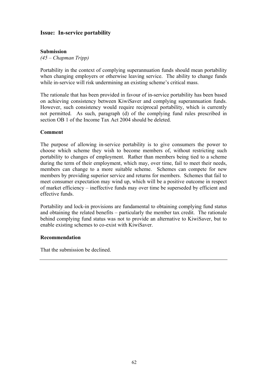# **Issue: In-service portability**

## **Submission**

*(45 – Chapman Tripp)* 

Portability in the context of complying superannuation funds should mean portability when changing employers or otherwise leaving service. The ability to change funds while in-service will risk undermining an existing scheme's critical mass.

The rationale that has been provided in favour of in-service portability has been based on achieving consistency between KiwiSaver and complying superannuation funds. However, such consistency would require reciprocal portability, which is currently not permitted. As such, paragraph (d) of the complying fund rules prescribed in section OB 1 of the Income Tax Act 2004 should be deleted.

### **Comment**

The purpose of allowing in-service portability is to give consumers the power to choose which scheme they wish to become members of, without restricting such portability to changes of employment. Rather than members being tied to a scheme during the term of their employment, which may, over time, fail to meet their needs, members can change to a more suitable scheme. Schemes can compete for new members by providing superior service and returns for members. Schemes that fail to meet consumer expectation may wind up, which will be a positive outcome in respect of market efficiency – ineffective funds may over time be superseded by efficient and effective funds.

Portability and lock-in provisions are fundamental to obtaining complying fund status and obtaining the related benefits – particularly the member tax credit. The rationale behind complying fund status was not to provide an alternative to KiwiSaver, but to enable existing schemes to co-exist with KiwiSaver.

#### **Recommendation**

That the submission be declined.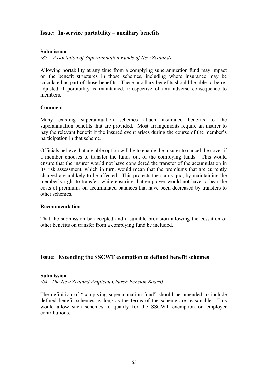# **Issue: In-service portability – ancillary benefits**

### **Submission**

*(87 – Association of Superannuation Funds of New Zealand)* 

Allowing portability at any time from a complying superannuation fund may impact on the benefit structures in those schemes, including where insurance may be calculated as part of those benefits. These ancillary benefits should be able to be readjusted if portability is maintained, irrespective of any adverse consequence to members.

### **Comment**

Many existing superannuation schemes attach insurance benefits to the superannuation benefits that are provided. Most arrangements require an insurer to pay the relevant benefit if the insured event arises during the course of the member's participation in that scheme.

Officials believe that a viable option will be to enable the insurer to cancel the cover if a member chooses to transfer the funds out of the complying funds. This would ensure that the insurer would not have considered the transfer of the accumulation in its risk assessment, which in turn, would mean that the premiums that are currently charged are unlikely to be affected. This protects the status quo, by maintaining the member's right to transfer, while ensuring that employer would not have to bear the costs of premiums on accumulated balances that have been decreased by transfers to other schemes.

### **Recommendation**

That the submission be accepted and a suitable provision allowing the cessation of other benefits on transfer from a complying fund be included.

## **Issue: Extending the SSCWT exemption to defined benefit schemes**

#### **Submission**

*(64 –The New Zealand Anglican Church Pension Board)* 

The definition of "complying superannuation fund" should be amended to include defined benefit schemes as long as the terms of the scheme are reasonable. This would allow such schemes to qualify for the SSCWT exemption on employer contributions.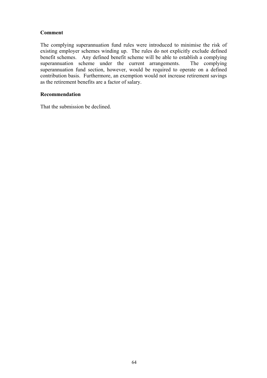The complying superannuation fund rules were introduced to minimise the risk of existing employer schemes winding up. The rules do not explicitly exclude defined benefit schemes. Any defined benefit scheme will be able to establish a complying superannuation scheme under the current arrangements. The complying superannuation fund section, however, would be required to operate on a defined contribution basis. Furthermore, an exemption would not increase retirement savings as the retirement benefits are a factor of salary.

## **Recommendation**

That the submission be declined.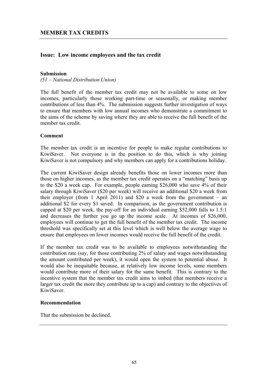## **Issue: Low income employees and the tax credit**

#### **Submission**

*(51 – National Distribution Union)* 

The full benefit of the member tax credit may not be available to some on low incomes, particularly those working part-time or seasonally, or making member contributions of less than 4%. The submission suggests further investigation of ways to ensure that members with low annual incomes who demonstrate a commitment to the aims of the scheme by saving where they are able to receive the full benefit of the member tax credit.

#### **Comment**

The member tax credit is an incentive for people to make regular contributions to KiwiSaver. Not everyone is in the position to do this, which is why joining KiwiSaver is not compulsory and why members can apply for a contributions holiday.

The current KiwiSaver design already benefits those on lower incomes more than those on higher incomes, as the member tax credit operates on a "matching" basis up to the \$20 a week cap. For example, people earning \$26,000 who save 4% of their salary through KiwiSaver (\$20 per week) will receive an additional \$20 a week from their employer (from 1 April 2011) and \$20 a week from the government – an additional \$2 for every \$1 saved. In comparison, as the government contribution is capped at \$20 per week, the pay-off for an individual earning \$52,000 falls to 1.5:1 and decreases the further you go up the income scale. At incomes of \$26,000, employees will continue to get the full benefit of the member tax credit. The income threshold was specifically set at this level which is well below the average wage to ensure that employees on lower incomes would receive the full benefit of the credit.

If the member tax credit was to be available to employees notwithstanding the contribution rate (say, for those contributing 2% of salary and wages notwithstanding the amount contributed per week), it would open the system to potential abuse. It would also be inequitable because, at relatively low income levels, some members would contribute more of their salary for the same benefit. This is contrary to the incentive system that the member tax credit aims to imbed (that members receive a larger tax credit the more they contribute up to a cap) and contrary to the objectives of KiwiSaver.

## **Recommendation**

That the submission be declined.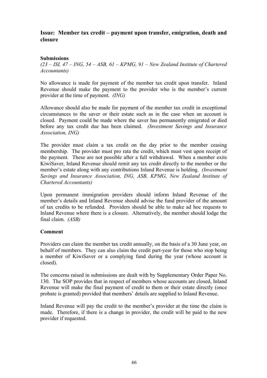# **Issue: Member tax credit – payment upon transfer, emigration, death and closure**

## **Submissions**

*(23 – ISI, 47 – ING, 54 – ASB, 61 – KPMG, 91 – New Zealand Institute of Chartered Accountants)* 

No allowance is made for payment of the member tax credit upon transfer. Inland Revenue should make the payment to the provider who is the member's current provider at the time of payment. *(ING)*

Allowance should also be made for payment of the member tax credit in exceptional circumstances to the saver or their estate such as in the case when an account is closed. Payment could be made where the saver has permanently emigrated or died before any tax credit due has been claimed. *(Investment Savings and Insurance Association, ING)*

The provider must claim a tax credit on the day prior to the member ceasing membership. The provider must pro rata the credit, which must vest upon receipt of the payment. These are not possible after a full withdrawal. When a member exits KiwiSaver, Inland Revenue should remit any tax credit directly to the member or the member's estate along with any contributions Inland Revenue is holding. *(Investment Savings and Insurance Association, ING, ASB, KPMG, New Zealand Institute of Chartered Accountants)*

Upon permanent immigration providers should inform Inland Revenue of the member's details and Inland Revenue should advise the fund provider of the amount of tax credits to be refunded. Providers should be able to make ad hoc requests to Inland Revenue where there is a closure. Alternatively, the member should lodge the final claim. *(ASB)*

### **Comment**

Providers can claim the member tax credit annually, on the basis of a 30 June year, on behalf of members. They can also claim the credit part-year for those who stop being a member of KiwiSaver or a complying fund during the year (whose account is closed).

The concerns raised in submissions are dealt with by Supplementary Order Paper No. 130. The SOP provides that in respect of members whose accounts are closed, Inland Revenue will make the final payment of credit to them or their estate directly (once probate is granted) provided that members' details are supplied to Inland Revenue.

Inland Revenue will pay the credit to the member's provider at the time the claim is made. Therefore, if there is a change in provider, the credit will be paid to the new provider if requested.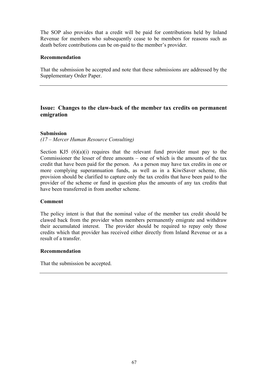The SOP also provides that a credit will be paid for contributions held by Inland Revenue for members who subsequently cease to be members for reasons such as death before contributions can be on-paid to the member's provider.

#### **Recommendation**

That the submission be accepted and note that these submissions are addressed by the Supplementary Order Paper.

# **Issue: Changes to the claw-back of the member tax credits on permanent emigration**

### **Submission**

*(17 – Mercer Human Resource Consulting)* 

Section KJ5  $(6)(a)(i)$  requires that the relevant fund provider must pay to the Commissioner the lesser of three amounts – one of which is the amounts of the tax credit that have been paid for the person. As a person may have tax credits in one or more complying superannuation funds, as well as in a KiwiSaver scheme, this provision should be clarified to capture only the tax credits that have been paid to the provider of the scheme or fund in question plus the amounts of any tax credits that have been transferred in from another scheme.

#### **Comment**

The policy intent is that that the nominal value of the member tax credit should be clawed back from the provider when members permanently emigrate and withdraw their accumulated interest. The provider should be required to repay only those credits which that provider has received either directly from Inland Revenue or as a result of a transfer.

#### **Recommendation**

That the submission be accepted.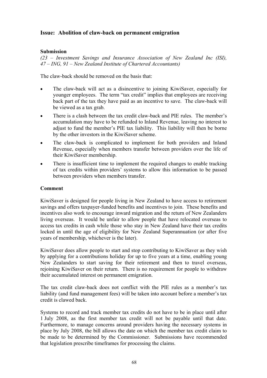# **Issue: Abolition of claw-back on permanent emigration**

### **Submission**

*(23 – Investment Savings and Insurance Association of New Zealand Inc (ISI), 47 – ING, 91 – New Zealand Institute of Chartered Accountants)* 

The claw-back should be removed on the basis that:

- The claw-back will act as a disincentive to joining KiwiSaver, especially for younger employees. The term "tax credit" implies that employees are receiving back part of the tax they have paid as an incentive to save. The claw-back will be viewed as a tax grab.
- There is a clash between the tax credit claw-back and PIE rules. The member's accumulation may have to be refunded to Inland Revenue, leaving no interest to adjust to fund the member's PIE tax liability. This liability will then be borne by the other investors in the KiwiSaver scheme.
- The claw-back is complicated to implement for both providers and Inland Revenue, especially when members transfer between providers over the life of their KiwiSaver membership.
- There is insufficient time to implement the required changes to enable tracking of tax credits within providers' systems to allow this information to be passed between providers when members transfer.

#### **Comment**

KiwiSaver is designed for people living in New Zealand to have access to retirement savings and offers taxpayer-funded benefits and incentives to join. These benefits and incentives also work to encourage inward migration and the return of New Zealanders living overseas. It would be unfair to allow people that have relocated overseas to access tax credits in cash while those who stay in New Zealand have their tax credits locked in until the age of eligibility for New Zealand Superannuation (or after five years of membership, whichever is the later).

KiwiSaver does allow people to start and stop contributing to KiwiSaver as they wish by applying for a contributions holiday for up to five years at a time, enabling young New Zealanders to start saving for their retirement and then to travel overseas, rejoining KiwiSaver on their return. There is no requirement for people to withdraw their accumulated interest on permanent emigration.

The tax credit claw-back does not conflict with the PIE rules as a member's tax liability (and fund management fees) will be taken into account before a member's tax credit is clawed back.

Systems to record and track member tax credits do not have to be in place until after 1 July 2008, as the first member tax credit will not be payable until that date. Furthermore, to manage concerns around providers having the necessary systems in place by July 2008, the bill allows the date on which the member tax credit claim to be made to be determined by the Commissioner. Submissions have recommended that legislation prescribe timeframes for processing the claims.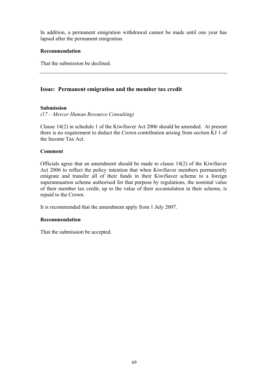In addition, a permanent emigration withdrawal cannot be made until one year has lapsed after the permanent emigration.

#### **Recommendation**

That the submission be declined.

# **Issue: Permanent emigration and the member tax credit**

### **Submission**

*(17 – Mercer Human Resource Consulting)* 

Clause 14(2) in schedule 1 of the KiwiSaver Act 2006 should be amended. At present there is no requirement to deduct the Crown contribution arising from section KJ 1 of the Income Tax Act.

### **Comment**

Officials agree that an amendment should be made to clause 14(2) of the KiwiSaver Act 2006 to reflect the policy intention that when KiwiSaver members permanently emigrate and transfer all of their funds in their KiwiSaver scheme to a foreign superannuation scheme authorised for that purpose by regulations, the nominal value of their member tax credit, up to the value of their accumulation in their scheme, is repaid to the Crown.

It is recommended that the amendment apply from 1 July 2007.

#### **Recommendation**

That the submission be accepted.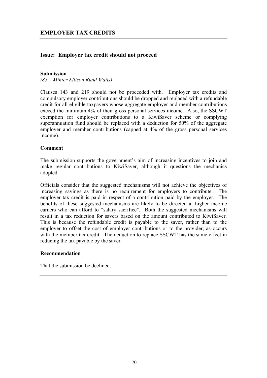# **Issue: Employer tax credit should not proceed**

#### **Submission**

*(85 – Minter Ellison Rudd Watts)* 

Clauses 143 and 219 should not be proceeded with. Employer tax credits and compulsory employer contributions should be dropped and replaced with a refundable credit for all eligible taxpayers whose aggregate employer and member contributions exceed the minimum 4% of their gross personal services income. Also, the SSCWT exemption for employer contributions to a KiwiSaver scheme or complying superannuation fund should be replaced with a deduction for 50% of the aggregate employer and member contributions (capped at 4% of the gross personal services income).

#### **Comment**

The submission supports the government's aim of increasing incentives to join and make regular contributions to KiwiSaver, although it questions the mechanics adopted.

Officials consider that the suggested mechanisms will not achieve the objectives of increasing savings as there is no requirement for employers to contribute. The employer tax credit is paid in respect of a contribution paid by the employer. The benefits of these suggested mechanisms are likely to be directed at higher income earners who can afford to "salary sacrifice". Both the suggested mechanisms will result in a tax reduction for savers based on the amount contributed to KiwiSaver. This is because the refundable credit is payable to the saver, rather than to the employer to offset the cost of employer contributions or to the provider, as occurs with the member tax credit. The deduction to replace SSCWT has the same effect in reducing the tax payable by the saver.

#### **Recommendation**

That the submission be declined.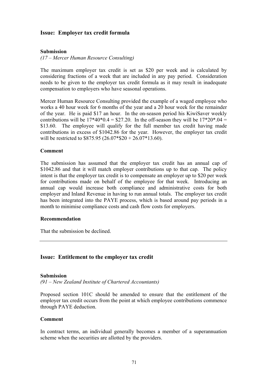### **Issue: Employer tax credit formula**

#### **Submission**

*(17 – Mercer Human Resource Consulting)* 

The maximum employer tax credit is set as \$20 per week and is calculated by considering fractions of a week that are included in any pay period. Consideration needs to be given to the employer tax credit formula as it may result in inadequate compensation to employers who have seasonal operations.

Mercer Human Resource Consulting provided the example of a waged employee who works a 40 hour week for 6 months of the year and a 20 hour week for the remainder of the year. He is paid \$17 an hour. In the on-season period his KiwiSaver weekly contributions will be  $17*40*0.4 = $27.20$ . In the off-season they will be  $17*20*0.04 =$ \$13.60. The employee will qualify for the full member tax credit having made contributions in excess of \$1042.86 for the year. However, the employer tax credit will be restricted to \$875.95 (26.07\*\$20 + 26.07\*13.60).

#### **Comment**

The submission has assumed that the employer tax credit has an annual cap of \$1042.86 and that it will match employer contributions up to that cap. The policy intent is that the employer tax credit is to compensate an employer up to \$20 per week for contributions made on behalf of the employee for that week. Introducing an annual cap would increase both compliance and administrative costs for both employer and Inland Revenue in having to run annual totals. The employer tax credit has been integrated into the PAYE process, which is based around pay periods in a month to minimise compliance costs and cash flow costs for employers.

#### **Recommendation**

That the submission be declined.

### **Issue: Entitlement to the employer tax credit**

#### **Submission**

*(91 – New Zealand Institute of Chartered Accountants)* 

Proposed section 101C should be amended to ensure that the entitlement of the employer tax credit occurs from the point at which employee contributions commence through PAYE deduction.

#### **Comment**

In contract terms, an individual generally becomes a member of a superannuation scheme when the securities are allotted by the providers.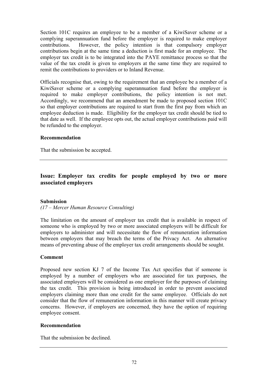Section 101C requires an employee to be a member of a KiwiSaver scheme or a complying superannuation fund before the employer is required to make employer contributions. However, the policy intention is that compulsory employer contributions begin at the same time a deduction is first made for an employee. The employer tax credit is to be integrated into the PAYE remittance process so that the value of the tax credit is given to employers at the same time they are required to remit the contributions to providers or to Inland Revenue.

Officials recognise that, owing to the requirement that an employee be a member of a KiwiSaver scheme or a complying superannuation fund before the employer is required to make employer contributions, the policy intention is not met. Accordingly, we recommend that an amendment be made to proposed section 101C so that employer contributions are required to start from the first pay from which an employee deduction is made. Eligibility for the employer tax credit should be tied to that date as well. If the employee opts out, the actual employer contributions paid will be refunded to the employer.

### **Recommendation**

That the submission be accepted.

# **Issue: Employer tax credits for people employed by two or more associated employers**

#### **Submission**

*(17 – Mercer Human Resource Consulting)* 

The limitation on the amount of employer tax credit that is available in respect of someone who is employed by two or more associated employers will be difficult for employers to administer and will necessitate the flow of remuneration information between employers that may breach the terms of the Privacy Act. An alternative means of preventing abuse of the employer tax credit arrangements should be sought.

#### **Comment**

Proposed new section KJ 7 of the Income Tax Act specifies that if someone is employed by a number of employers who are associated for tax purposes, the associated employers will be considered as one employer for the purposes of claiming the tax credit. This provision is being introduced in order to prevent associated employers claiming more than one credit for the same employee. Officials do not consider that the flow of remuneration information in this manner will create privacy concerns. However, if employers are concerned, they have the option of requiring employee consent.

#### **Recommendation**

That the submission be declined.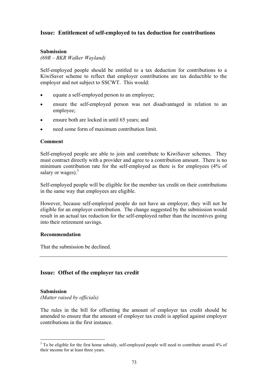# **Issue: Entitlement of self-employed to tax deduction for contributions**

### **Submission**

*(69R – BKR Walker Wayland)* 

Self-employed people should be entitled to a tax deduction for contributions to a KiwiSaver scheme to reflect that employer contributions are tax deductible to the employer and not subject to SSCWT. This would:

- equate a self-employed person to an employee;
- ensure the self-employed person was not disadvantaged in relation to an employee;
- ensure both are locked in until 65 years; and
- need some form of maximum contribution limit.

#### **Comment**

Self-employed people are able to join and contribute to KiwiSaver schemes. They must contract directly with a provider and agree to a contribution amount. There is no minimum contribution rate for the self-employed as there is for employees (4% of salary or wages). $3$ 

Self-employed people will be eligible for the member tax credit on their contributions in the same way that employees are eligible.

However, because self-employed people do not have an employer, they will not be eligible for an employer contribution. The change suggested by the submission would result in an actual tax reduction for the self-employed rather than the incentives going into their retirement savings.

#### **Recommendation**

That the submission be declined.

### **Issue: Offset of the employer tax credit**

#### **Submission**

 $\overline{a}$ 

*(Matter raised by officials)* 

The rules in the bill for offsetting the amount of employer tax credit should be amended to ensure that the amount of employer tax credit is applied against employer contributions in the first instance.

<sup>&</sup>lt;sup>3</sup> To be eligible for the first home subsidy, self-employed people will need to contribute around 4% of their income for at least three years.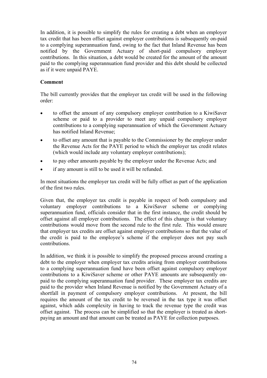In addition, it is possible to simplify the rules for creating a debt when an employer tax credit that has been offset against employer contributions is subsequently on-paid to a complying superannuation fund, owing to the fact that Inland Revenue has been notified by the Government Actuary of short-paid compulsory employer contributions. In this situation, a debt would be created for the amount of the amount paid to the complying superannuation fund provider and this debt should be collected as if it were unpaid PAYE.

### **Comment**

The bill currently provides that the employer tax credit will be used in the following order:

- to offset the amount of any compulsory employer contribution to a KiwiSaver scheme or paid to a provider to meet any unpaid compulsory employer contributions to a complying superannuation of which the Government Actuary has notified Inland Revenue;
- to offset any amount that is payable to the Commissioner by the employer under the Revenue Acts for the PAYE period to which the employer tax credit relates (which would include any voluntary employer contributions);
- to pay other amounts payable by the employer under the Revenue Acts; and
- if any amount is still to be used it will be refunded.

In most situations the employer tax credit will be fully offset as part of the application of the first two rules.

Given that, the employer tax credit is payable in respect of both compulsory and voluntary employer contributions to a KiwiSaver scheme or complying superannuation fund, officials consider that in the first instance, the credit should be offset against all employer contributions. The effect of this change is that voluntary contributions would move from the second rule to the first rule. This would ensure that employer tax credits are offset against employer contributions so that the value of the credit is paid to the employee's scheme if the employer does not pay such contributions.

In addition, we think it is possible to simplify the proposed process around creating a debt to the employer when employer tax credits arising from employer contributions to a complying superannuation fund have been offset against compulsory employer contributions to a KiwiSaver scheme or other PAYE amounts are subsequently onpaid to the complying superannuation fund provider. These employer tax credits are paid to the provider when Inland Revenue is notified by the Government Actuary of a shortfall in payment of compulsory employer contributions. At present, the bill requires the amount of the tax credit to be reversed in the tax type it was offset against, which adds complexity in having to track the revenue type the credit was offset against. The process can be simplified so that the employer is treated as shortpaying an amount and that amount can be treated as PAYE for collection purposes.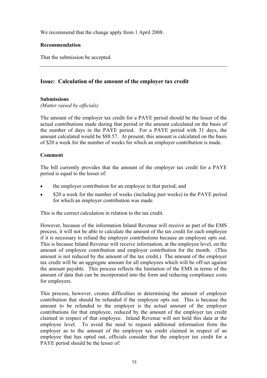We recommend that the change apply from 1 April 2008.

## **Recommendation**

That the submission be accepted.

# **Issue: Calculation of the amount of the employer tax credit**

# **Submissions**

*(Matter raised by officials)* 

The amount of the employer tax credit for a PAYE period should be the lesser of the actual contributions made during that period or the amount calculated on the basis of the number of days in the PAYE period. For a PAYE period with 31 days, the amount calculated would be \$88.57. At present, this amount is calculated on the basis of \$20 a week for the number of weeks for which an employer contribution is made.

# **Comment**

The bill currently provides that the amount of the employer tax credit for a PAYE period is equal to the lesser of:

- the employer contribution for an employee in that period; and
- \$20 a week for the number of weeks (including part weeks) in the PAYE period for which an employer contribution was made.

This is the correct calculation in relation to the tax credit.

However, because of the information Inland Revenue will receive as part of the EMS process, it will not be able to calculate the amount of the tax credit for each employee if it is necessary to refund the employer contributions because an employee opts out. This is because Inland Revenue will receive information, at the employee level, on the amount of employee contribution and employer contribution for the month. (This amount is not reduced by the amount of the tax credit.) The amount of the employer tax credit will be an aggregate amount for all employees which will be off-set against the amount payable. This process reflects the limitation of the EMS in terms of the amount of data that can be incorporated into the form and reducing compliance costs for employers.

This process, however, creates difficulties in determining the amount of employer contribution that should be refunded if the employee opts out. This is because the amount to be refunded to the employer is the actual amount of the employer contributions for that employee, reduced by the amount of the employer tax credit claimed in respect of that employee. Inland Revenue will not hold this data at the employee level. To avoid the need to request additional information from the employer as to the amount of the employer tax credit claimed in respect of an employee that has opted out, officials consider that the employer tax credit for a PAYE period should be the lesser of: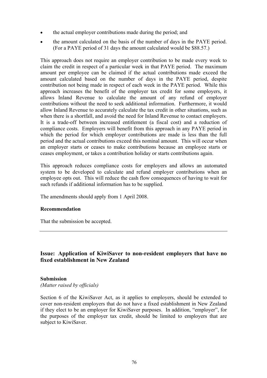- the actual employer contributions made during the period; and
- the amount calculated on the basis of the number of days in the PAYE period. (For a PAYE period of 31 days the amount calculated would be \$88.57.)

This approach does not require an employer contribution to be made every week to claim the credit in respect of a particular week in that PAYE period. The maximum amount per employee can be claimed if the actual contributions made exceed the amount calculated based on the number of days in the PAYE period, despite contribution not being made in respect of each week in the PAYE period. While this approach increases the benefit of the employer tax credit for some employers, it allows Inland Revenue to calculate the amount of any refund of employer contributions without the need to seek additional information. Furthermore, it would allow Inland Revenue to accurately calculate the tax credit in other situations, such as when there is a shortfall, and avoid the need for Inland Revenue to contact employers. It is a trade-off between increased entitlement (a fiscal cost) and a reduction of compliance costs. Employers will benefit from this approach in any PAYE period in which the period for which employer contributions are made is less than the full period and the actual contributions exceed this nominal amount. This will occur when an employer starts or ceases to make contributions because an employee starts or ceases employment, or takes a contribution holiday or starts contributions again.

This approach reduces compliance costs for employers and allows an automated system to be developed to calculate and refund employer contributions when an employee opts out. This will reduce the cash flow consequences of having to wait for such refunds if additional information has to be supplied.

The amendments should apply from 1 April 2008.

### **Recommendation**

That the submission be accepted.

# **Issue: Application of KiwiSaver to non-resident employers that have no fixed establishment in New Zealand**

#### **Submission**

*(Matter raised by officials)* 

Section 6 of the KiwiSaver Act, as it applies to employers, should be extended to cover non-resident employers that do not have a fixed establishment in New Zealand if they elect to be an employer for KiwiSaver purposes. In addition, "employer", for the purposes of the employer tax credit, should be limited to employers that are subject to KiwiSaver.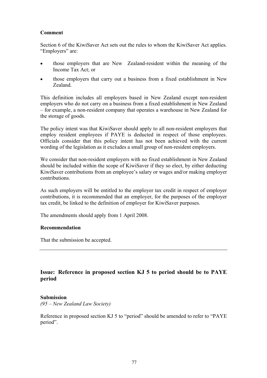### **Comment**

Section 6 of the KiwiSaver Act sets out the rules to whom the KiwiSaver Act applies. "Employers" are:

- those employers that are New Zealand-resident within the meaning of the Income Tax Act; or
- those employers that carry out a business from a fixed establishment in New Zealand.

This definition includes all employers based in New Zealand except non-resident employers who do not carry on a business from a fixed establishment in New Zealand – for example, a non-resident company that operates a warehouse in New Zealand for the storage of goods.

The policy intent was that KiwiSaver should apply to all non-resident employers that employ resident employees if PAYE is deducted in respect of those employees. Officials consider that this policy intent has not been achieved with the current wording of the legislation as it excludes a small group of non-resident employers.

We consider that non-resident employers with no fixed establishment in New Zealand should be included within the scope of KiwiSaver if they so elect, by either deducting KiwiSaver contributions from an employee's salary or wages and/or making employer contributions.

As such employers will be entitled to the employer tax credit in respect of employer contributions, it is recommended that an employer, for the purposes of the employer tax credit, be linked to the definition of employer for KiwiSaver purposes.

The amendments should apply from 1 April 2008.

#### **Recommendation**

That the submission be accepted.

# **Issue: Reference in proposed section KJ 5 to period should be to PAYE period**

#### **Submission**

*(95 – New Zealand Law Society)* 

Reference in proposed section KJ 5 to "period" should be amended to refer to "PAYE period".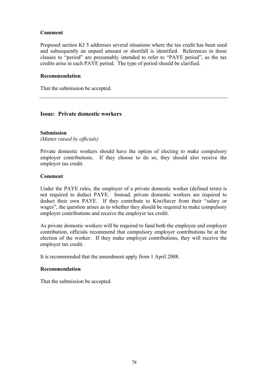### **Comment**

Proposed section KJ 5 addresses several situations where the tax credit has been used and subsequently an unpaid amount or shortfall is identified. References in those clauses to "period" are presumably intended to refer to "PAYE period", as the tax credits arise in each PAYE period. The type of period should be clarified.

#### **Recommendation**

That the submission be accepted.

### **Issue: Private domestic workers**

### **Submission**

*(Matter raised by officials)* 

Private domestic workers should have the option of electing to make compulsory employer contributions. If they choose to do so, they should also receive the employer tax credit.

#### **Comment**

Under the PAYE rules, the employer of a private domestic worker (defined term) is not required to deduct PAYE. Instead, private domestic workers are required to deduct their own PAYE. If they contribute to KiwiSaver from their "salary or wages", the question arises as to whether they should be required to make compulsory employer contributions and receive the employer tax credit.

As private domestic workers will be required to fund both the employee and employer contribution, officials recommend that compulsory employer contributions be at the election of the worker. If they make employer contributions, they will receive the employer tax credit.

It is recommended that the amendment apply from 1 April 2008.

#### **Recommendation**

That the submission be accepted.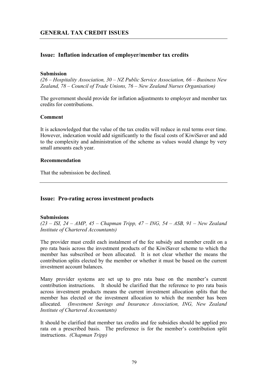# **Issue: Inflation indexation of employer/member tax credits**

#### **Submission**

*(26 – Hospitality Association, 30 – NZ Public Service Association, 66 – Business New Zealand, 78 – Council of Trade Unions, 76 – New Zealand Nurses Organisation)* 

The government should provide for inflation adjustments to employer and member tax credits for contributions.

#### **Comment**

It is acknowledged that the value of the tax credits will reduce in real terms over time. However, indexation would add significantly to the fiscal costs of KiwiSaver and add to the complexity and administration of the scheme as values would change by very small amounts each year.

#### **Recommendation**

That the submission be declined.

### **Issue: Pro-rating across investment products**

#### **Submissions**

*(23 – ISI, 24 – AMP, 45 – Chapman Tripp, 47 – ING, 54 – ASB, 91 – New Zealand Institute of Chartered Accountants)* 

The provider must credit each instalment of the fee subsidy and member credit on a pro rata basis across the investment products of the KiwiSaver scheme to which the member has subscribed or been allocated. It is not clear whether the means the contribution splits elected by the member or whether it must be based on the current investment account balances.

Many provider systems are set up to pro rata base on the member's current contribution instructions. It should be clarified that the reference to pro rata basis across investment products means the current investment allocation splits that the member has elected or the investment allocation to which the member has been allocated. *(Investment Savings and Insurance Association, ING, New Zealand Institute of Chartered Accountants)*

It should be clarified that member tax credits and fee subsidies should be applied pro rata on a prescribed basis. The preference is for the member's contribution split instructions. *(Chapman Tripp)*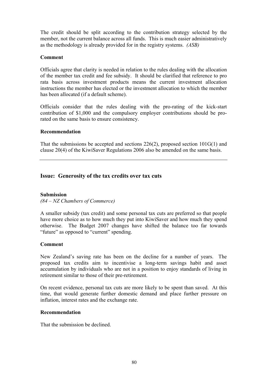The credit should be split according to the contribution strategy selected by the member, not the current balance across all funds. This is much easier administratively as the methodology is already provided for in the registry systems. *(ASB)*

#### **Comment**

Officials agree that clarity is needed in relation to the rules dealing with the allocation of the member tax credit and fee subsidy. It should be clarified that reference to pro rata basis across investment products means the current investment allocation instructions the member has elected or the investment allocation to which the member has been allocated (if a default scheme).

Officials consider that the rules dealing with the pro-rating of the kick-start contribution of \$1,000 and the compulsory employer contributions should be prorated on the same basis to ensure consistency.

### **Recommendation**

That the submissions be accepted and sections 226(2), proposed section 101G(1) and clause 20(4) of the KiwiSaver Regulations 2006 also be amended on the same basis.

### **Issue: Generosity of the tax credits over tax cuts**

#### **Submission**

*(84 – NZ Chambers of Commerce)* 

A smaller subsidy (tax credit) and some personal tax cuts are preferred so that people have more choice as to how much they put into KiwiSaver and how much they spend otherwise. The Budget 2007 changes have shifted the balance too far towards "future" as opposed to "current" spending.

#### **Comment**

New Zealand's saving rate has been on the decline for a number of years. The proposed tax credits aim to incentivise a long-term savings habit and asset accumulation by individuals who are not in a position to enjoy standards of living in retirement similar to those of their pre-retirement.

On recent evidence, personal tax cuts are more likely to be spent than saved. At this time, that would generate further domestic demand and place further pressure on inflation, interest rates and the exchange rate.

#### **Recommendation**

That the submission be declined.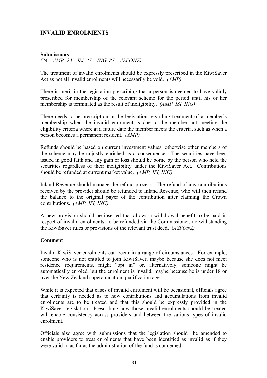# **INVALID ENROLMENTS**

### **Submissions**

*(24 – AMP, 23 – ISI, 47 – ING, 87 – ASFONZ)* 

The treatment of invalid enrolments should be expressly prescribed in the KiwiSaver Act as not all invalid enrolments will necessarily be void. *(AMP)* 

There is merit in the legislation prescribing that a person is deemed to have validly prescribed for membership of the relevant scheme for the period until his or her membership is terminated as the result of ineligibility. *(AMP, ISI, ING)*

There needs to be prescription in the legislation regarding treatment of a member's membership when the invalid enrolment is due to the member not meeting the eligibility criteria where at a future date the member meets the criteria, such as when a person becomes a permanent resident. *(AMP)* 

Refunds should be based on current investment values; otherwise other members of the scheme may be unjustly enriched as a consequence. The securities have been issued in good faith and any gain or loss should be borne by the person who held the securities regardless of their ineligibility under the KiwiSaver Act*.* Contributions should be refunded at current market value. *(AMP, ISI, ING)*

Inland Revenue should manage the refund process. The refund of any contributions received by the provider should be refunded to Inland Revenue, who will then refund the balance to the original payer of the contribution after claiming the Crown contributions. *(AMP, ISI, ING)* 

A new provision should be inserted that allows a withdrawal benefit to be paid in respect of invalid enrolments, to be refunded via the Commissioner, notwithstanding the KiwiSaver rules or provisions of the relevant trust deed. (*ASFONZ)* 

#### **Comment**

Invalid KiwiSaver enrolments can occur in a range of circumstances. For example, someone who is not entitled to join KiwiSaver, maybe because she does not meet residence requirements, might "opt in" or, alternatively, someone might be automatically enroled, but the enrolment is invalid, maybe because he is under 18 or over the New Zealand superannuation qualification age.

While it is expected that cases of invalid enrolment will be occasional, officials agree that certainty is needed as to how contributions and accumulations from invalid enrolments are to be treated and that this should be expressly provided in the KiwiSaver legislation. Prescribing how those invalid enrolments should be treated will enable consistency across providers and between the various types of invalid enrolment.

Officials also agree with submissions that the legislation should be amended to enable providers to treat enrolments that have been identified as invalid as if they were valid in as far as the administration of the fund is concerned.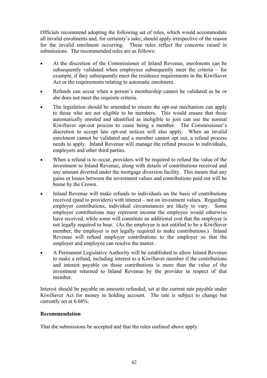Officials recommend adopting the following set of rules, which would accommodate all invalid enrolments and, for certainty's sake, should apply irrespective of the reason for the invalid enrolment occurring. These rules reflect the concerns raised in submissions. The recommended rules are as follows:

- At the discretion of the Commissioner of Inland Revenue, enrolments can be subsequently validated when employees subsequently meet the criteria – for example, if they subsequently meet the residence requirements in the KiwiSaver Act or the requirements relating to automatic enrolment.
- Refunds can occur when a person's membership cannot be validated as he or she does not meet the requisite criteria.
- The legislation should be amended to ensure the opt-out mechanism can apply to those who are not eligible to be members. This would ensure that those automatically enroled and identified as ineligible to join can use the normal KiwiSaver opt-out process to cease being a member. The Commissioner's discretion to accept late opt-out notices will also apply. When an invalid enrolment cannot be validated and a member cannot opt out, a refund process needs to apply. Inland Revenue will manage the refund process to individuals, employers and other third parties.
- When a refund is to occur, providers will be required to refund the value of the investment to Inland Revenue, along with details of contributions received and any amount diverted under the mortgage diversion facility. This means that any gains or losses between the investment values and contributions paid out will be borne by the Crown.
- Inland Revenue will make refunds to individuals on the basis of contributions received (paid to providers) with interest – not on investment values. Regarding employer contributions, individual circumstances are likely to vary. Some employer contributions may represent income the employee would otherwise have received, while some will constitute an additional cost that the employer is not legally required to bear. (As the employee is not entitled to be a KiwiSaver member, the employer is not legally required to make contributions.) Inland Revenue will refund employer contributions to the employer so that the employer and employee can resolve the matter.
- A Permanent Legislative Authority will be established to allow Inland Revenue to make a refund, including interest to a KiwiSaver member if the contributions and interest payable on those contributions is more than the value of the investment returned to Inland Revenue by the provider in respect of that member.

Interest should be payable on amounts refunded, set at the current rate payable under KiwiSaver Act for money in holding account. The rate is subject to change but currently set at 6.66%.

### **Recommendation**

That the submissions be accepted and that the rules outlined above apply.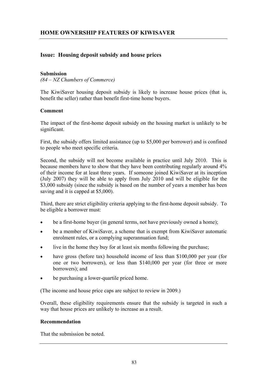# **Issue: Housing deposit subsidy and house prices**

#### **Submission**

*(84 – NZ Chambers of Commerce)* 

The KiwiSaver housing deposit subsidy is likely to increase house prices (that is, benefit the seller) rather than benefit first-time home buyers.

### **Comment**

The impact of the first-home deposit subsidy on the housing market is unlikely to be significant.

First, the subsidy offers limited assistance (up to \$5,000 per borrower) and is confined to people who meet specific criteria.

Second, the subsidy will not become available in practice until July 2010. This is because members have to show that they have been contributing regularly around 4% of their income for at least three years. If someone joined KiwiSaver at its inception (July 2007) they will be able to apply from July 2010 and will be eligible for the \$3,000 subsidy (since the subsidy is based on the number of years a member has been saving and it is capped at \$5,000).

Third, there are strict eligibility criteria applying to the first-home deposit subsidy. To be eligible a borrower must:

- be a first-home buyer (in general terms, not have previously owned a home);
- be a member of KiwiSaver, a scheme that is exempt from KiwiSaver automatic enrolment rules, or a complying superannuation fund;
- live in the home they buy for at least six months following the purchase;
- have gross (before tax) household income of less than \$100,000 per year (for one or two borrowers), or less than \$140,000 per year (for three or more borrowers); and
- be purchasing a lower-quartile priced home.

(The income and house price caps are subject to review in 2009.)

Overall, these eligibility requirements ensure that the subsidy is targeted in such a way that house prices are unlikely to increase as a result.

#### **Recommendation**

That the submission be noted.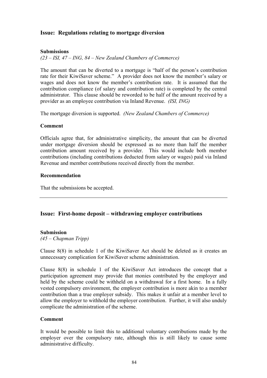# **Issue: Regulations relating to mortgage diversion**

#### **Submissions**

*(23 – ISI, 47 – ING, 84 – New Zealand Chambers of Commerce)* 

The amount that can be diverted to a mortgage is "half of the person's contribution rate for their KiwiSaver scheme." A provider does not know the member's salary or wages and does not know the member's contribution rate. It is assumed that the contribution compliance (of salary and contribution rate) is completed by the central administrator. This clause should be reworded to be half of the amount received by a provider as an employee contribution via Inland Revenue. *(ISI, ING)*

The mortgage diversion is supported. *(New Zealand Chambers of Commerce)*

#### **Comment**

Officials agree that, for administrative simplicity, the amount that can be diverted under mortgage diversion should be expressed as no more than half the member contribution amount received by a provider. This would include both member contributions (including contributions deducted from salary or wages) paid via Inland Revenue and member contributions received directly from the member.

#### **Recommendation**

That the submissions be accepted.

# **Issue: First-home deposit – withdrawing employer contributions**

#### **Submission**

*(45 – Chapman Tripp)* 

Clause 8(8) in schedule 1 of the KiwiSaver Act should be deleted as it creates an unnecessary complication for KiwiSaver scheme administration.

Clause 8(8) in schedule 1 of the KiwiSaver Act introduces the concept that a participation agreement may provide that monies contributed by the employer and held by the scheme could be withheld on a withdrawal for a first home. In a fully vested compulsory environment, the employer contribution is more akin to a member contribution than a true employer subsidy. This makes it unfair at a member level to allow the employer to withhold the employer contribution. Further, it will also unduly complicate the administration of the scheme.

#### **Comment**

It would be possible to limit this to additional voluntary contributions made by the employer over the compulsory rate, although this is still likely to cause some administrative difficulty.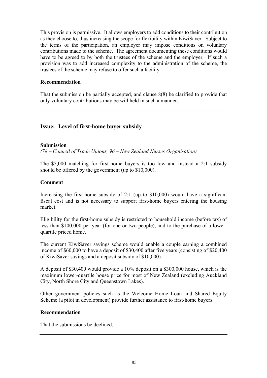This provision is permissive. It allows employers to add conditions to their contribution as they choose to, thus increasing the scope for flexibility within KiwiSaver. Subject to the terms of the participation, an employer may impose conditions on voluntary contributions made to the scheme. The agreement documenting these conditions would have to be agreed to by both the trustees of the scheme and the employer. If such a provision was to add increased complexity to the administration of the scheme, the trustees of the scheme may refuse to offer such a facility.

#### **Recommendation**

That the submission be partially accepted, and clause 8(8) be clarified to provide that only voluntary contributions may be withheld in such a manner.

# **Issue: Level of first-home buyer subsidy**

#### **Submission**

*(78 – Council of Trade Unions, 96 – New Zealand Nurses Organisation)* 

The \$5,000 matching for first-home buyers is too low and instead a 2:1 subsidy should be offered by the government (up to \$10,000).

#### **Comment**

Increasing the first-home subsidy of 2:1 (up to \$10,000) would have a significant fiscal cost and is not necessary to support first-home buyers entering the housing market.

Eligibility for the first-home subsidy is restricted to household income (before tax) of less than \$100,000 per year (for one or two people), and to the purchase of a lowerquartile priced home.

The current KiwiSaver savings scheme would enable a couple earning a combined income of \$60,000 to have a deposit of \$30,400 after five years (consisting of \$20,400 of KiwiSaver savings and a deposit subsidy of \$10,000).

A deposit of \$30,400 would provide a 10% deposit on a \$300,000 house, which is the maximum lower-quartile house price for most of New Zealand (excluding Auckland City, North Shore City and Queenstown Lakes).

Other government policies such as the Welcome Home Loan and Shared Equity Scheme (a pilot in development) provide further assistance to first-home buyers.

#### **Recommendation**

That the submissions be declined.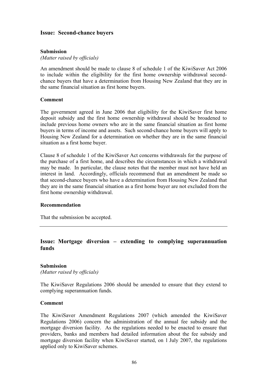### **Issue: Second-chance buyers**

#### **Submission**

*(Matter raised by officials)* 

An amendment should be made to clause 8 of schedule 1 of the KiwiSaver Act 2006 to include within the eligibility for the first home ownership withdrawal secondchance buyers that have a determination from Housing New Zealand that they are in the same financial situation as first home buyers.

#### **Comment**

The government agreed in June 2006 that eligibility for the KiwiSaver first home deposit subsidy and the first home ownership withdrawal should be broadened to include previous home owners who are in the same financial situation as first home buyers in terms of income and assets. Such second-chance home buyers will apply to Housing New Zealand for a determination on whether they are in the same financial situation as a first home buyer.

Clause 8 of schedule 1 of the KiwiSaver Act concerns withdrawals for the purpose of the purchase of a first home, and describes the circumstances in which a withdrawal may be made. In particular, the clause notes that the member must not have held an interest in land. Accordingly, officials recommend that an amendment be made so that second-chance buyers who have a determination from Housing New Zealand that they are in the same financial situation as a first home buyer are not excluded from the first home ownership withdrawal.

#### **Recommendation**

That the submission be accepted.

# **Issue: Mortgage diversion – extending to complying superannuation funds**

#### **Submission**

*(Matter raised by officials)* 

The KiwiSaver Regulations 2006 should be amended to ensure that they extend to complying superannuation funds.

#### **Comment**

The KiwiSaver Amendment Regulations 2007 (which amended the KiwiSaver Regulations 2006) concern the administration of the annual fee subsidy and the mortgage diversion facility. As the regulations needed to be enacted to ensure that providers, banks and members had detailed information about the fee subsidy and mortgage diversion facility when KiwiSaver started, on 1 July 2007, the regulations applied only to KiwiSaver schemes.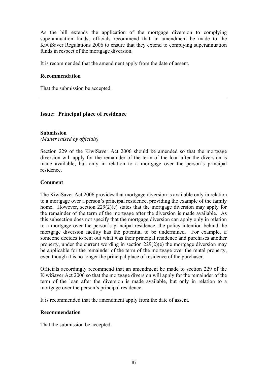As the bill extends the application of the mortgage diversion to complying superannuation funds, officials recommend that an amendment be made to the KiwiSaver Regulations 2006 to ensure that they extend to complying superannuation funds in respect of the mortgage diversion.

It is recommended that the amendment apply from the date of assent.

#### **Recommendation**

That the submission be accepted.

# **Issue: Principal place of residence**

### **Submission**

*(Matter raised by officials)* 

Section 229 of the KiwiSaver Act 2006 should be amended so that the mortgage diversion will apply for the remainder of the term of the loan after the diversion is made available, but only in relation to a mortgage over the person's principal residence.

#### **Comment**

The KiwiSaver Act 2006 provides that mortgage diversion is available only in relation to a mortgage over a person's principal residence, providing the example of the family home. However, section 229(2)(e) states that the mortgage diversion may apply for the remainder of the term of the mortgage after the diversion is made available. As this subsection does not specify that the mortgage diversion can apply only in relation to a mortgage over the person's principal residence, the policy intention behind the mortgage diversion facility has the potential to be undermined. For example, if someone decides to rent out what was their principal residence and purchases another property, under the current wording in section 229(2)(e) the mortgage diversion may be applicable for the remainder of the term of the mortgage over the rental property, even though it is no longer the principal place of residence of the purchaser.

Officials accordingly recommend that an amendment be made to section 229 of the KiwiSaver Act 2006 so that the mortgage diversion will apply for the remainder of the term of the loan after the diversion is made available, but only in relation to a mortgage over the person's principal residence.

It is recommended that the amendment apply from the date of assent.

#### **Recommendation**

That the submission be accepted.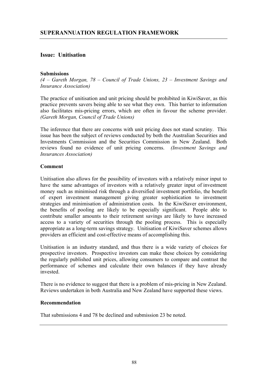# **Issue: Unitisation**

#### **Submissions**

*(4 – Gareth Morgan, 78 – Council of Trade Unions, 23 – Investment Savings and Insurance Association)* 

The practice of unitisation and unit pricing should be prohibited in KiwiSaver, as this practice prevents savers being able to see what they own. This barrier to information also facilitates mis-pricing errors, which are often in favour the scheme provider. *(Gareth Morgan, Council of Trade Unions)*

The inference that there are concerns with unit pricing does not stand scrutiny. This issue has been the subject of reviews conducted by both the Australian Securities and Investments Commission and the Securities Commission in New Zealand. Both reviews found no evidence of unit pricing concerns. *(Investment Savings and Insurances Association)*

### **Comment**

Unitisation also allows for the possibility of investors with a relatively minor input to have the same advantages of investors with a relatively greater input of investment money such as minimised risk through a diversified investment portfolio, the benefit of expert investment management giving greater sophistication to investment strategies and minimisation of administration costs. In the KiwiSaver environment, the benefits of pooling are likely to be especially significant. People able to contribute smaller amounts to their retirement savings are likely to have increased access to a variety of securities through the pooling process. This is especially appropriate as a long-term savings strategy. Unitisation of KiwiSaver schemes allows providers an efficient and cost-effective means of accomplishing this.

Unitisation is an industry standard, and thus there is a wide variety of choices for prospective investors. Prospective investors can make these choices by considering the regularly published unit prices, allowing consumers to compare and contrast the performance of schemes and calculate their own balances if they have already invested.

There is no evidence to suggest that there is a problem of mis-pricing in New Zealand. Reviews undertaken in both Australia and New Zealand have supported these views.

#### **Recommendation**

That submissions 4 and 78 be declined and submission 23 be noted.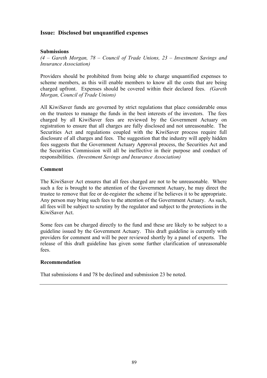## **Issue: Disclosed but unquantified expenses**

### **Submissions**

*(4 – Gareth Morgan, 78 – Council of Trade Unions, 23 – Investment Savings and Insurance Association)* 

Providers should be prohibited from being able to charge unquantified expenses to scheme members, as this will enable members to know all the costs that are being charged upfront. Expenses should be covered within their declared fees. *(Gareth Morgan, Council of Trade Unions)*

All KiwiSaver funds are governed by strict regulations that place considerable onus on the trustees to manage the funds in the best interests of the investors. The fees charged by all KiwiSaver fees are reviewed by the Government Actuary on registration to ensure that all charges are fully disclosed and not unreasonable. The Securities Act and regulations coupled with the KiwiSaver process require full disclosure of all charges and fees. The suggestion that the industry will apply hidden fees suggests that the Government Actuary Approval process, the Securities Act and the Securities Commission will all be ineffective in their purpose and conduct of responsibilities. *(Investment Savings and Insurance Association)*

#### **Comment**

The KiwiSaver Act ensures that all fees charged are not to be unreasonable. Where such a fee is brought to the attention of the Government Actuary, he may direct the trustee to remove that fee or de-register the scheme if he believes it to be appropriate. Any person may bring such fees to the attention of the Government Actuary. As such, all fees will be subject to scrutiny by the regulator and subject to the protections in the KiwiSaver Act.

Some fees can be charged directly to the fund and these are likely to be subject to a guideline issued by the Government Actuary. This draft guideline is currently with providers for comment and will be peer reviewed shortly by a panel of experts. The release of this draft guideline has given some further clarification of unreasonable fees.

#### **Recommendation**

That submissions 4 and 78 be declined and submission 23 be noted.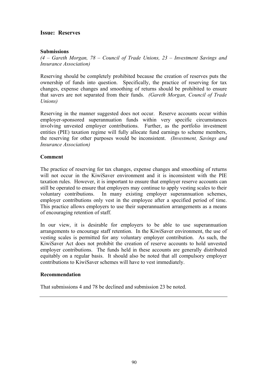## **Issue: Reserves**

### **Submissions**

*(4 – Gareth Morgan, 78 – Council of Trade Unions, 23 – Investment Savings and Insurance Association)* 

Reserving should be completely prohibited because the creation of reserves puts the ownership of funds into question. Specifically, the practice of reserving for tax changes, expense changes and smoothing of returns should be prohibited to ensure that savers are not separated from their funds. *(Gareth Morgan, Council of Trade Unions)*

Reserving in the manner suggested does not occur. Reserve accounts occur within employer-sponsored superannuation funds within very specific circumstances involving unvested employer contributions. Further, as the portfolio investment entities (PIE) taxation regime will fully allocate fund earnings to scheme members, the reserving for other purposes would be inconsistent. *(Investment, Savings and Insurance Association)*

#### **Comment**

The practice of reserving for tax changes, expense changes and smoothing of returns will not occur in the KiwiSaver environment and it is inconsistent with the PIE taxation rules. However, it is important to ensure that employer reserve accounts can still be operated to ensure that employers may continue to apply vesting scales to their voluntary contributions. In many existing employer superannuation schemes, employer contributions only vest in the employee after a specified period of time. This practice allows employers to use their superannuation arrangements as a means of encouraging retention of staff.

In our view, it is desirable for employers to be able to use superannuation arrangements to encourage staff retention. In the KiwiSaver environment, the use of vesting scales is permitted for any voluntary employer contribution. As such, the KiwiSaver Act does not prohibit the creation of reserve accounts to hold unvested employer contributions. The funds held in these accounts are generally distributed equitably on a regular basis. It should also be noted that all compulsory employer contributions to KiwiSaver schemes will have to vest immediately.

#### **Recommendation**

That submissions 4 and 78 be declined and submission 23 be noted.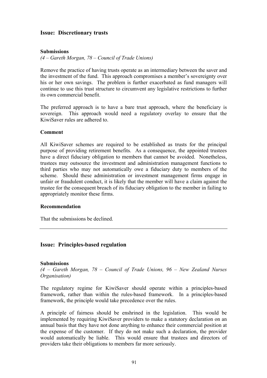### **Issue: Discretionary trusts**

### **Submissions**

*(4 – Gareth Morgan, 78 – Council of Trade Unions)* 

Remove the practice of having trusts operate as an intermediary between the saver and the investment of the fund. This approach compromises a member's sovereignty over his or her own savings. The problem is further exacerbated as fund managers will continue to use this trust structure to circumvent any legislative restrictions to further its own commercial benefit.

The preferred approach is to have a bare trust approach, where the beneficiary is sovereign. This approach would need a regulatory overlay to ensure that the KiwiSaver rules are adhered to.

#### **Comment**

All KiwiSaver schemes are required to be established as trusts for the principal purpose of providing retirement benefits. As a consequence, the appointed trustees have a direct fiduciary obligation to members that cannot be avoided. Nonetheless, trustees may outsource the investment and administration management functions to third parties who may not automatically owe a fiduciary duty to members of the scheme. Should these administration or investment management firms engage in unfair or fraudulent conduct, it is likely that the member will have a claim against the trustee for the consequent breach of its fiduciary obligation to the member in failing to appropriately monitor these firms.

#### **Recommendation**

That the submissions be declined.

#### **Issue: Principles-based regulation**

#### **Submissions**

*(4 – Gareth Morgan, 78 – Council of Trade Unions, 96 – New Zealand Nurses Organisation)* 

The regulatory regime for KiwiSaver should operate within a principles-based framework, rather than within the rules-based framework. In a principles-based framework, the principle would take precedence over the rules.

A principle of fairness should be enshrined in the legislation. This would be implemented by requiring KiwiSaver providers to make a statutory declaration on an annual basis that they have not done anything to enhance their commercial position at the expense of the customer. If they do not make such a declaration, the provider would automatically be liable. This would ensure that trustees and directors of providers take their obligations to members far more seriously.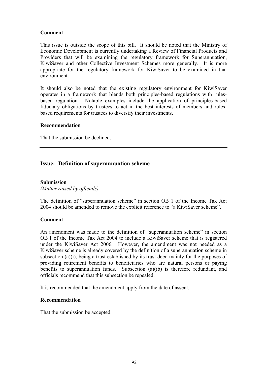### **Comment**

This issue is outside the scope of this bill. It should be noted that the Ministry of Economic Development is currently undertaking a Review of Financial Products and Providers that will be examining the regulatory framework for Superannuation, KiwiSaver and other Collective Investment Schemes more generally. It is more appropriate for the regulatory framework for KiwiSaver to be examined in that environment.

It should also be noted that the existing regulatory environment for KiwiSaver operates in a framework that blends both principles-based regulations with rulesbased regulation. Notable examples include the application of principles-based fiduciary obligations by trustees to act in the best interests of members and rulesbased requirements for trustees to diversify their investments.

#### **Recommendation**

That the submission be declined.

# **Issue: Definition of superannuation scheme**

#### **Submission**

*(Matter raised by officials)* 

The definition of "superannuation scheme" in section OB 1 of the Income Tax Act 2004 should be amended to remove the explicit reference to "a KiwiSaver scheme".

#### **Comment**

An amendment was made to the definition of "superannuation scheme" in section OB 1 of the Income Tax Act 2004 to include a KiwiSaver scheme that is registered under the KiwiSaver Act 2006. However, the amendment was not needed as a KiwiSaver scheme is already covered by the definition of a superannuation scheme in subsection (a)(i), being a trust established by its trust deed mainly for the purposes of providing retirement benefits to beneficiaries who are natural persons or paying benefits to superannuation funds. Subsection (a)(ib) is therefore redundant, and officials recommend that this subsection be repealed.

It is recommended that the amendment apply from the date of assent.

#### **Recommendation**

That the submission be accepted.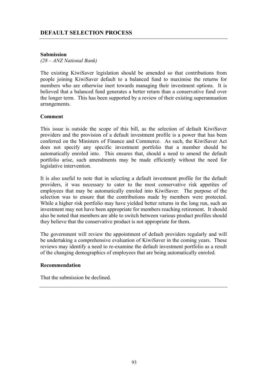# **DEFAULT SELECTION PROCESS**

#### **Submission**

*(28 – ANZ National Bank)* 

The existing KiwiSaver legislation should be amended so that contributions from people joining KiwiSaver default to a balanced fund to maximise the returns for members who are otherwise inert towards managing their investment options. It is believed that a balanced fund generates a better return than a conservative fund over the longer term. This has been supported by a review of their existing superannuation arrangements.

#### **Comment**

This issue is outside the scope of this bill, as the selection of default KiwiSaver providers and the provision of a default investment profile is a power that has been conferred on the Ministers of Finance and Commerce. As such, the KiwiSaver Act does not specify any specific investment portfolio that a member should be automatically enroled into. This ensures that, should a need to amend the default portfolio arise, such amendments may be made efficiently without the need for legislative intervention.

It is also useful to note that in selecting a default investment profile for the default providers, it was necessary to cater to the most conservative risk appetites of employees that may be automatically enroled into KiwiSaver. The purpose of the selection was to ensure that the contributions made by members were protected. While a higher risk portfolio may have yielded better returns in the long run, such an investment may not have been appropriate for members reaching retirement. It should also be noted that members are able to switch between various product profiles should they believe that the conservative product is not appropriate for them.

The government will review the appointment of default providers regularly and will be undertaking a comprehensive evaluation of KiwiSaver in the coming years. These reviews may identify a need to re-examine the default investment portfolio as a result of the changing demographics of employees that are being automatically enroled.

#### **Recommendation**

That the submission be declined.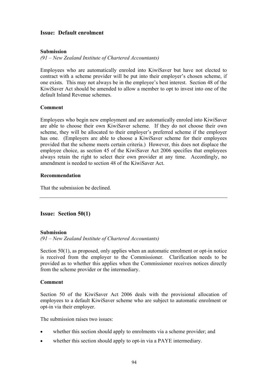# **Issue: Default enrolment**

#### **Submission**

*(91 – New Zealand Institute of Chartered Accountants)* 

Employees who are automatically enroled into KiwiSaver but have not elected to contract with a scheme provider will be put into their employer's chosen scheme, if one exists. This may not always be in the employee's best interest. Section 48 of the KiwiSaver Act should be amended to allow a member to opt to invest into one of the default Inland Revenue schemes.

### **Comment**

Employees who begin new employment and are automatically enroled into KiwiSaver are able to choose their own KiwiSaver scheme. If they do not choose their own scheme, they will be allocated to their employer's preferred scheme if the employer has one. (Employers are able to choose a KiwiSaver scheme for their employees provided that the scheme meets certain criteria.) However, this does not displace the employee choice, as section 45 of the KiwiSaver Act 2006 specifies that employees always retain the right to select their own provider at any time. Accordingly, no amendment is needed to section 48 of the KiwiSaver Act.

#### **Recommendation**

That the submission be declined.

# **Issue: Section 50(1)**

#### **Submission**

*(91 – New Zealand Institute of Chartered Accountants)* 

Section 50(1), as proposed, only applies when an automatic enrolment or opt-in notice is received from the employer to the Commissioner. Clarification needs to be provided as to whether this applies when the Commissioner receives notices directly from the scheme provider or the intermediary.

#### **Comment**

Section 50 of the KiwiSaver Act 2006 deals with the provisional allocation of employees to a default KiwiSaver scheme who are subject to automatic enrolment or opt-in via their employer.

The submission raises two issues:

- whether this section should apply to enrolments via a scheme provider; and
- whether this section should apply to opt-in via a PAYE intermediary.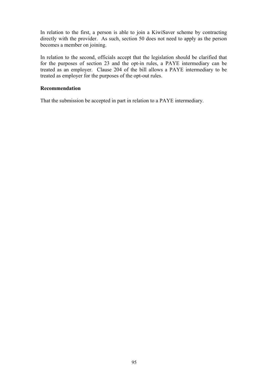In relation to the first, a person is able to join a KiwiSaver scheme by contracting directly with the provider. As such, section 50 does not need to apply as the person becomes a member on joining.

In relation to the second, officials accept that the legislation should be clarified that for the purposes of section 23 and the opt-in rules, a PAYE intermediary can be treated as an employer. Clause 204 of the bill allows a PAYE intermediary to be treated as employer for the purposes of the opt-out rules.

### **Recommendation**

That the submission be accepted in part in relation to a PAYE intermediary.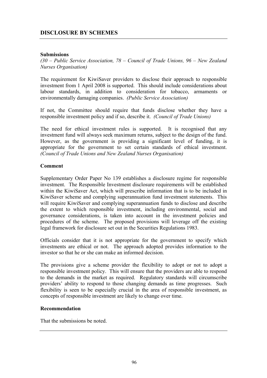### **Submissions**

*(30 – Public Service Association, 78 – Council of Trade Unions, 96 – New Zealand Nurses Organisation)* 

The requirement for KiwiSaver providers to disclose their approach to responsible investment from 1 April 2008 is supported. This should include considerations about labour standards, in addition to consideration for tobacco, armaments or environmentally damaging companies. *(Public Service Association)*

If not, the Committee should require that funds disclose whether they have a responsible investment policy and if so, describe it. *(Council of Trade Unions)*

The need for ethical investment rules is supported. It is recognised that any investment fund will always seek maximum returns, subject to the design of the fund. However, as the government is providing a significant level of funding, it is appropriate for the government to set certain standards of ethical investment. *(Council of Trade Unions and New Zealand Nurses Organisation)* 

### **Comment**

Supplementary Order Paper No 139 establishes a disclosure regime for responsible investment. The Responsible Investment disclosure requirements will be established within the KiwiSaver Act, which will prescribe information that is to be included in KiwiSaver scheme and complying superannuation fund investment statements. This will require KiwiSaver and complying superannuation funds to disclose and describe the extent to which responsible investment, including environmental, social and governance considerations, is taken into account in the investment policies and procedures of the scheme. The proposed provisions will leverage off the existing legal framework for disclosure set out in the Securities Regulations 1983.

Officials consider that it is not appropriate for the government to specify which investments are ethical or not. The approach adopted provides information to the investor so that he or she can make an informed decision.

The provisions give a scheme provider the flexibility to adopt or not to adopt a responsible investment policy. This will ensure that the providers are able to respond to the demands in the market as required. Regulatory standards will circumscribe providers' ability to respond to those changing demands as time progresses. Such flexibility is seen to be especially crucial in the area of responsible investment, as concepts of responsible investment are likely to change over time.

#### **Recommendation**

That the submissions be noted.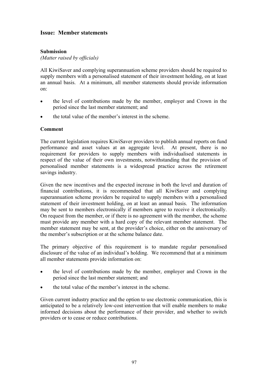# **Issue: Member statements**

### **Submission**

*(Matter raised by officials)* 

All KiwiSaver and complying superannuation scheme providers should be required to supply members with a personalised statement of their investment holding, on at least an annual basis. At a minimum, all member statements should provide information on:

- the level of contributions made by the member, employer and Crown in the period since the last member statement; and
- the total value of the member's interest in the scheme.

#### **Comment**

The current legislation requires KiwiSaver providers to publish annual reports on fund performance and asset values at an aggregate level. At present, there is no requirement for providers to supply members with individualised statements in respect of the value of their own investments, notwithstanding that the provision of personalised member statements is a widespread practice across the retirement savings industry.

Given the new incentives and the expected increase in both the level and duration of financial contributions, it is recommended that all KiwiSaver and complying superannuation scheme providers be required to supply members with a personalised statement of their investment holding, on at least an annual basis. The information may be sent to members electronically if members agree to receive it electronically. On request from the member, or if there is no agreement with the member, the scheme must provide any member with a hard copy of the relevant member statement. The member statement may be sent, at the provider's choice, either on the anniversary of the member's subscription or at the scheme balance date.

The primary objective of this requirement is to mandate regular personalised disclosure of the value of an individual's holding. We recommend that at a minimum all member statements provide information on:

- the level of contributions made by the member, employer and Crown in the period since the last member statement; and
- the total value of the member's interest in the scheme.

Given current industry practice and the option to use electronic communication, this is anticipated to be a relatively low-cost intervention that will enable members to make informed decisions about the performance of their provider, and whether to switch providers or to cease or reduce contributions.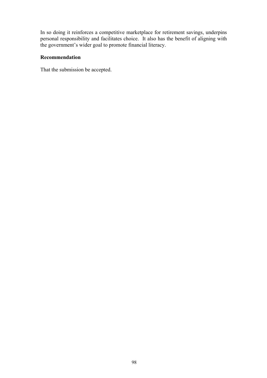In so doing it reinforces a competitive marketplace for retirement savings, underpins personal responsibility and facilitates choice. It also has the benefit of aligning with the government's wider goal to promote financial literacy.

# **Recommendation**

That the submission be accepted.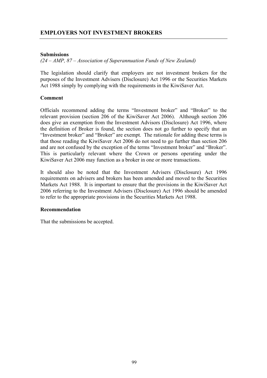### **Submissions**

*(24 – AMP, 87 – Association of Superannuation Funds of New Zealand)* 

The legislation should clarify that employers are not investment brokers for the purposes of the Investment Advisers (Disclosure) Act 1996 or the Securities Markets Act 1988 simply by complying with the requirements in the KiwiSaver Act.

### **Comment**

Officials recommend adding the terms "Investment broker" and "Broker" to the relevant provision (section 206 of the KiwiSaver Act 2006). Although section 206 does give an exemption from the Investment Advisors (Disclosure) Act 1996, where the definition of Broker is found, the section does not go further to specify that an "Investment broker" and "Broker" are exempt. The rationale for adding these terms is that those reading the KiwiSaver Act 2006 do not need to go further than section 206 and are not confused by the exception of the terms "Investment broker" and "Broker". This is particularly relevant where the Crown or persons operating under the KiwiSaver Act 2006 may function as a broker in one or more transactions.

It should also be noted that the Investment Advisers (Disclosure) Act 1996 requirements on advisers and brokers has been amended and moved to the Securities Markets Act 1988. It is important to ensure that the provisions in the KiwiSaver Act 2006 referring to the Investment Advisers (Disclosure) Act 1996 should be amended to refer to the appropriate provisions in the Securities Markets Act 1988.

#### **Recommendation**

That the submissions be accepted.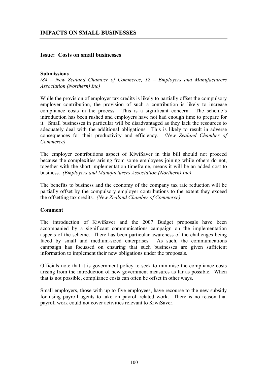### **Issue: Costs on small businesses**

#### **Submissions**

*(84 – New Zealand Chamber of Commerce, 12 – Employers and Manufacturers Association (Northern) Inc)* 

While the provision of employer tax credits is likely to partially offset the compulsory employer contribution, the provision of such a contribution is likely to increase compliance costs in the process. This is a significant concern. The scheme's introduction has been rushed and employers have not had enough time to prepare for it. Small businesses in particular will be disadvantaged as they lack the resources to adequately deal with the additional obligations. This is likely to result in adverse consequences for their productivity and efficiency. *(New Zealand Chamber of Commerce)*

The employer contributions aspect of KiwiSaver in this bill should not proceed because the complexities arising from some employees joining while others do not, together with the short implementation timeframe, means it will be an added cost to business. *(Employers and Manufacturers Association (Northern) Inc)*

The benefits to business and the economy of the company tax rate reduction will be partially offset by the compulsory employer contributions to the extent they exceed the offsetting tax credits. *(New Zealand Chamber of Commerce)*

#### **Comment**

The introduction of KiwiSaver and the 2007 Budget proposals have been accompanied by a significant communications campaign on the implementation aspects of the scheme. There has been particular awareness of the challenges being faced by small and medium-sized enterprises. As such, the communications campaign has focussed on ensuring that such businesses are given sufficient information to implement their new obligations under the proposals.

Officials note that it is government policy to seek to minimise the compliance costs arising from the introduction of new government measures as far as possible. When that is not possible, compliance costs can often be offset in other ways.

Small employers, those with up to five employees, have recourse to the new subsidy for using payroll agents to take on payroll-related work. There is no reason that payroll work could not cover activities relevant to KiwiSaver.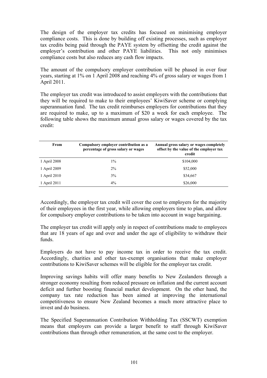The design of the employer tax credits has focused on minimising employer compliance costs. This is done by building off existing processes, such as employer tax credits being paid through the PAYE system by offsetting the credit against the employer's contribution and other PAYE liabilities. This not only minimises compliance costs but also reduces any cash flow impacts.

The amount of the compulsory employer contribution will be phased in over four years, starting at 1% on 1 April 2008 and reaching 4% of gross salary or wages from 1 April 2011.

The employer tax credit was introduced to assist employers with the contributions that they will be required to make to their employees' KiwiSaver scheme or complying superannuation fund. The tax credit reimburses employers for contributions that they are required to make, up to a maximum of \$20 a week for each employee. The following table shows the maximum annual gross salary or wages covered by the tax credit:

| From         | Compulsory employer contribution as a<br>percentage of gross salary or wages | Annual gross salary or wages completely<br>offset by the value of the employer tax<br>credit |
|--------------|------------------------------------------------------------------------------|----------------------------------------------------------------------------------------------|
| 1 April 2008 | $1\%$                                                                        | \$104,000                                                                                    |
| 1 April 2009 | 2%                                                                           | \$52,000                                                                                     |
| 1 April 2010 | 3%                                                                           | \$34,667                                                                                     |
| 1 April 2011 | $4\%$                                                                        | \$26,000                                                                                     |

Accordingly, the employer tax credit will cover the cost to employers for the majority of their employees in the first year, while allowing employers time to plan, and allow for compulsory employer contributions to be taken into account in wage bargaining.

The employer tax credit will apply only in respect of contributions made to employees that are 18 years of age and over and under the age of eligibility to withdraw their funds.

Employers do not have to pay income tax in order to receive the tax credit. Accordingly, charities and other tax-exempt organisations that make employer contributions to KiwiSaver schemes will be eligible for the employer tax credit.

Improving savings habits will offer many benefits to New Zealanders through a stronger economy resulting from reduced pressure on inflation and the current account deficit and further boosting financial market development. On the other hand, the company tax rate reduction has been aimed at improving the international competitiveness to ensure New Zealand becomes a much more attractive place to invest and do business.

The Specified Superannuation Contribution Withholding Tax (SSCWT) exemption means that employers can provide a larger benefit to staff through KiwiSaver contributions than through other remuneration, at the same cost to the employer.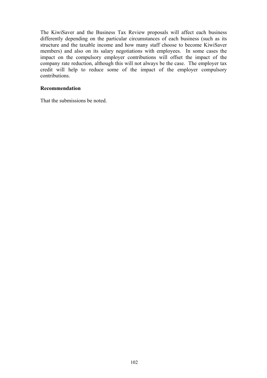The KiwiSaver and the Business Tax Review proposals will affect each business differently depending on the particular circumstances of each business (such as its structure and the taxable income and how many staff choose to become KiwiSaver members) and also on its salary negotiations with employees. In some cases the impact on the compulsory employer contributions will offset the impact of the company rate reduction, although this will not always be the case. The employer tax credit will help to reduce some of the impact of the employer compulsory contributions.

### **Recommendation**

That the submissions be noted.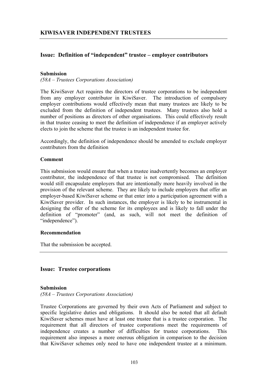## **Issue: Definition of "independent" trustee – employer contributors**

#### **Submission**

*(58A – Trustees Corporations Association)* 

The KiwiSaver Act requires the directors of trustee corporations to be independent from any employer contributor in KiwiSaver. The introduction of compulsory employer contributions would effectively mean that many trustees are likely to be excluded from the definition of independent trustees. Many trustees also hold a number of positions as directors of other organisations. This could effectively result in that trustee ceasing to meet the definition of independence if an employer actively elects to join the scheme that the trustee is an independent trustee for.

Accordingly, the definition of independence should be amended to exclude employer contributors from the definition

#### **Comment**

This submission would ensure that when a trustee inadvertently becomes an employer contributor, the independence of that trustee is not compromised. The definition would still encapsulate employers that are intentionally more heavily involved in the provision of the relevant scheme. They are likely to include employers that offer an employer-based KiwiSaver scheme or that enter into a participation agreement with a KiwiSaver provider. In such instances, the employer is likely to be instrumental in designing the offer of the scheme for its employees and is likely to fall under the definition of "promoter" (and, as such, will not meet the definition of "independence").

### **Recommendation**

That the submission be accepted.

### **Issue: Trustee corporations**

#### **Submission**

*(58A – Trustees Corporations Association)* 

Trustee Corporations are governed by their own Acts of Parliament and subject to specific legislative duties and obligations. It should also be noted that all default KiwiSaver schemes must have at least one trustee that is a trustee corporation. The requirement that all directors of trustee corporations meet the requirements of independence creates a number of difficulties for trustee corporations. This requirement also imposes a more onerous obligation in comparison to the decision that KiwiSaver schemes only need to have one independent trustee at a minimum.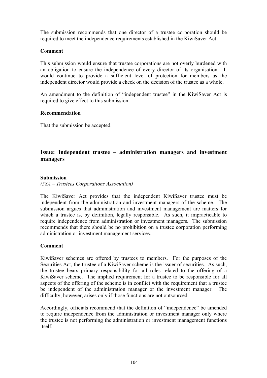The submission recommends that one director of a trustee corporation should be required to meet the independence requirements established in the KiwiSaver Act.

### **Comment**

This submission would ensure that trustee corporations are not overly burdened with an obligation to ensure the independence of every director of its organisation. It would continue to provide a sufficient level of protection for members as the independent director would provide a check on the decision of the trustee as a whole.

An amendment to the definition of "independent trustee" in the KiwiSaver Act is required to give effect to this submission.

#### **Recommendation**

That the submission be accepted.

# **Issue: Independent trustee – administration managers and investment managers**

### **Submission**

*(58A – Trustees Corporations Association)* 

The KiwiSaver Act provides that the independent KiwiSaver trustee must be independent from the administration and investment managers of the scheme. The submission argues that administration and investment management are matters for which a trustee is, by definition, legally responsible. As such, it impracticable to require independence from administration or investment managers. The submission recommends that there should be no prohibition on a trustee corporation performing administration or investment management services.

#### **Comment**

KiwiSaver schemes are offered by trustees to members. For the purposes of the Securities Act, the trustee of a KiwiSaver scheme is the issuer of securities. As such, the trustee bears primary responsibility for all roles related to the offering of a KiwiSaver scheme. The implied requirement for a trustee to be responsible for all aspects of the offering of the scheme is in conflict with the requirement that a trustee be independent of the administration manager or the investment manager. The difficulty, however, arises only if those functions are not outsourced.

Accordingly, officials recommend that the definition of "independence" be amended to require independence from the administration or investment manager only where the trustee is not performing the administration or investment management functions itself.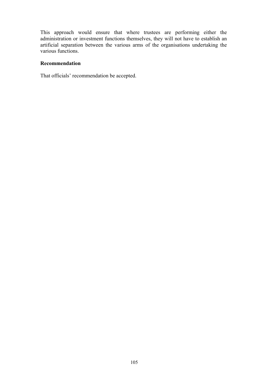This approach would ensure that where trustees are performing either the administration or investment functions themselves, they will not have to establish an artificial separation between the various arms of the organisations undertaking the various functions.

## **Recommendation**

That officials' recommendation be accepted.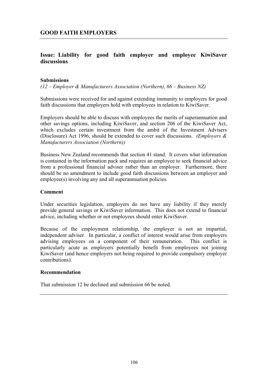# **Issue: Liability for good faith employer and employee KiwiSaver discussions**

#### **Submissions**

*(12 – Employer & Manufacturers Association (Northern), 66 – Business NZ)* 

Submissions were received for and against extending immunity to employers for good faith discussions that employers hold with employees in relation to KiwiSaver.

Employers should be able to discuss with employees the merits of superannuation and other savings options, including KiwiSaver, and section 206 of the KiwiSaver Act, which excludes certain investment from the ambit of the Investment Advisers (Disclosure) Act 1996, should be extended to cover such discussions. *(Employers & Manufacturers Association (Northern))* 

Business New Zealand recommends that section 41 stand. It covers what information is contained in the information pack and requires an employee to seek financial advice from a professional financial adviser rather than an employer. Furthermore, there should be no amendment to include good faith discussions between an employer and employee(s) involving any and all superannuation policies.

#### **Comment**

Under securities legislation, employers do not have any liability if they merely provide general savings or KiwiSaver information. This does not extend to financial advice, including whether or not employees should enter KiwiSaver.

Because of the employment relationship, the employer is not an impartial, independent adviser. In particular, a conflict of interest would arise from employers advising employees on a component of their remuneration. This conflict is particularly acute as employers potentially benefit from employees not joining KiwiSaver (and hence employers not being required to provide compulsory employer contributions).

#### **Recommendation**

That submission 12 be declined and submission 66 be noted.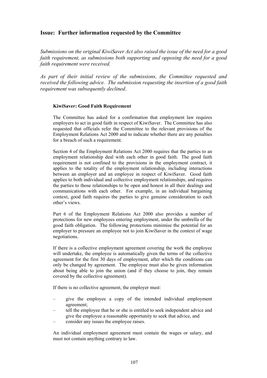## **Issue: Further information requested by the Committee**

*Submissions on the original KiwiSaver Act also raised the issue of the need for a good faith requirement, as submissions both supporting and opposing the need for a good faith requirement were received.* 

*As part of their initial review of the submissions, the Committee requested and received the following advice. The submission requesting the insertion of a good faith requirement was subsequently declined*.

#### **KiwiSaver: Good Faith Requirement**

The Committee has asked for a confirmation that employment law requires employers to act in good faith in respect of KiwiSaver. The Committee has also requested that officials refer the Committee to the relevant provisions of the Employment Relations Act 2000 and to indicate whether there are any penalties for a breach of such a requirement.

Section 4 of the Employment Relations Act 2000 requires that the parties to an employment relationship deal with each other in good faith. The good faith requirement is not confined to the provisions in the employment contract, it applies to the totality of the employment relationship, including interactions between an employer and an employee in respect of KiwiSaver. Good faith applies to both individual and collective employment relationships, and requires the parties to those relationships to be open and honest in all their dealings and communications with each other. For example, in an individual bargaining context, good faith requires the parties to give genuine consideration to each other's views.

Part 6 of the Employment Relations Act 2000 also provides a number of protections for new employees entering employment, under the umbrella of the good faith obligation. The following protections minimise the potential for an employer to pressure an employee not to join KiwiSaver in the context of wage negotiations.

If there is a collective employment agreement covering the work the employee will undertake, the employee is automatically given the terms of the collective agreement for the first 30 days of employment, after which the conditions can only be changed by agreement. The employee must also be given information about being able to join the union (and if they choose to join, they remain covered by the collective agreement).

If there is no collective agreement, the employer must:

- give the employee a copy of the intended individual employment agreement;
- tell the employee that he or she is entitled to seek independent advice and give the employee a reasonable opportunity to seek that advice, and
- consider any issues the employee raises.

An individual employment agreement must contain the wages or salary, and must not contain anything contrary to law.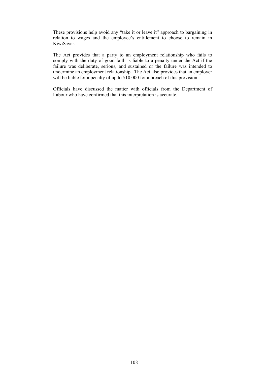These provisions help avoid any "take it or leave it" approach to bargaining in relation to wages and the employee's entitlement to choose to remain in KiwiSaver.

The Act provides that a party to an employment relationship who fails to comply with the duty of good faith is liable to a penalty under the Act if the failure was deliberate, serious, and sustained or the failure was intended to undermine an employment relationship. The Act also provides that an employer will be liable for a penalty of up to \$10,000 for a breach of this provision.

Officials have discussed the matter with officials from the Department of Labour who have confirmed that this interpretation is accurate.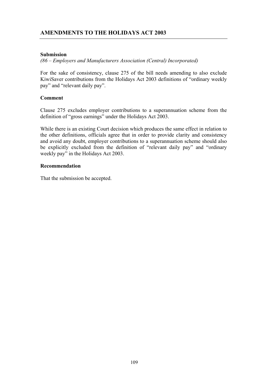## **Submission**

*(86 – Employers and Manufacturers Association (Central) Incorporated)* 

For the sake of consistency, clause 275 of the bill needs amending to also exclude KiwiSaver contributions from the Holidays Act 2003 definitions of "ordinary weekly pay" and "relevant daily pay".

## **Comment**

Clause 275 excludes employer contributions to a superannuation scheme from the definition of "gross earnings" under the Holidays Act 2003.

While there is an existing Court decision which produces the same effect in relation to the other definitions, officials agree that in order to provide clarity and consistency and avoid any doubt, employer contributions to a superannuation scheme should also be explicitly excluded from the definition of "relevant daily pay" and "ordinary weekly pay" in the Holidays Act 2003.

## **Recommendation**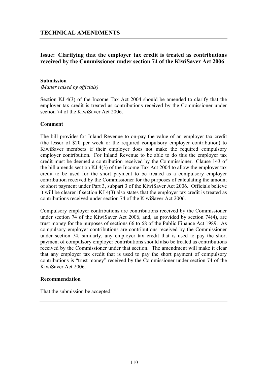# **Issue: Clarifying that the employer tax credit is treated as contributions received by the Commissioner under section 74 of the KiwiSaver Act 2006**

#### **Submission**

(*Matter raised by officials)* 

Section KJ 4(3) of the Income Tax Act 2004 should be amended to clarify that the employer tax credit is treated as contributions received by the Commissioner under section 74 of the KiwiSaver Act 2006.

#### **Comment**

The bill provides for Inland Revenue to on-pay the value of an employer tax credit (the lesser of \$20 per week or the required compulsory employer contribution) to KiwiSaver members if their employer does not make the required compulsory employer contribution. For Inland Revenue to be able to do this the employer tax credit must be deemed a contribution received by the Commissioner. Clause 143 of the bill amends section KJ 4(3) of the Income Tax Act 2004 to allow the employer tax credit to be used for the short payment to be treated as a compulsory employer contribution received by the Commissioner for the purposes of calculating the amount of short payment under Part 3, subpart 3 of the KiwiSaver Act 2006. Officials believe it will be clearer if section KJ 4(3) also states that the employer tax credit is treated as contributions received under section 74 of the KiwiSaver Act 2006.

Compulsory employer contributions are contributions received by the Commissioner under section 74 of the KiwiSaver Act 2006, and, as provided by section 74(4), are trust money for the purposes of sections 66 to 68 of the Public Finance Act 1989. As compulsory employer contributions are contributions received by the Commissioner under section 74, similarly, any employer tax credit that is used to pay the short payment of compulsory employer contributions should also be treated as contributions received by the Commissioner under that section. The amendment will make it clear that any employer tax credit that is used to pay the short payment of compulsory contributions is "trust money" received by the Commissioner under section 74 of the KiwiSaver Act 2006.

#### **Recommendation**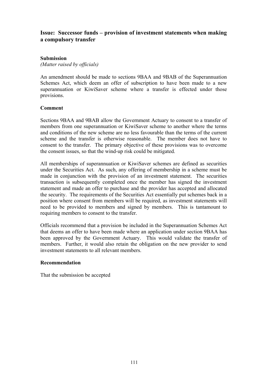# **Issue: Successor funds – provision of investment statements when making a compulsory transfer**

### **Submission**

*(Matter raised by officials)* 

An amendment should be made to sections 9BAA and 9BAB of the Superannuation Schemes Act, which deem an offer of subscription to have been made to a new superannuation or KiwiSaver scheme where a transfer is effected under those provisions.

## **Comment**

Sections 9BAA and 9BAB allow the Government Actuary to consent to a transfer of members from one superannuation or KiwiSaver scheme to another where the terms and conditions of the new scheme are no less favourable than the terms of the current scheme and the transfer is otherwise reasonable. The member does not have to consent to the transfer. The primary objective of these provisions was to overcome the consent issues, so that the wind-up risk could be mitigated.

All memberships of superannuation or KiwiSaver schemes are defined as securities under the Securities Act. As such, any offering of membership in a scheme must be made in conjunction with the provision of an investment statement. The securities transaction is subsequently completed once the member has signed the investment statement and made an offer to purchase and the provider has accepted and allocated the security. The requirements of the Securities Act essentially put schemes back in a position where consent from members will be required, as investment statements will need to be provided to members and signed by members. This is tantamount to requiring members to consent to the transfer.

Officials recommend that a provision be included in the Superannuation Schemes Act that deems an offer to have been made where an application under section 9BAA has been approved by the Government Actuary. This would validate the transfer of members. Further, it would also retain the obligation on the new provider to send investment statements to all relevant members.

### **Recommendation**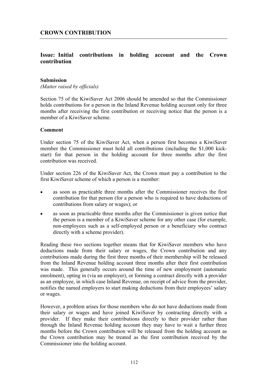# **Issue: Initial contributions in holding account and the Crown contribution**

#### **Submission**

*(Matter raised by officials)* 

Section 75 of the KiwiSaver Act 2006 should be amended so that the Commissioner holds contributions for a person in the Inland Revenue holding account only for three months after receiving the first contribution or receiving notice that the person is a member of a KiwiSaver scheme.

#### **Comment**

Under section 75 of the KiwiSaver Act, when a person first becomes a KiwiSaver member the Commissioner must hold all contributions (including the \$1,000 kickstart) for that person in the holding account for three months after the first contribution was received.

Under section 226 of the KiwiSaver Act, the Crown must pay a contribution to the first KiwiSaver scheme of which a person is a member:

- as soon as practicable three months after the Commissioner receives the first contribution for that person (for a person who is required to have deductions of contributions from salary or wages); or
- as soon as practicable three months after the Commissioner is given notice that the person is a member of a KiwiSaver scheme for any other case (for example, non-employees such as a self-employed person or a beneficiary who contract directly with a scheme provider).

Reading these two sections together means that for KiwiSaver members who have deductions made from their salary or wages, the Crown contribution and any contributions made during the first three months of their membership will be released from the Inland Revenue holding account three months after their first contribution was made. This generally occurs around the time of new employment (automatic enrolment), opting in (via an employer), or forming a contract directly with a provider as an employee, in which case Inland Revenue, on receipt of advice from the provider, notifies the named employers to start making deductions from their employees' salary or wages.

However, a problem arises for those members who do not have deductions made from their salary or wages and have joined KiwiSaver by contracting directly with a provider. If they make their contributions directly to their provider rather than through the Inland Revenue holding account they may have to wait a further three months before the Crown contribution will be released from the holding account as the Crown contribution may be treated as the first contribution received by the Commissioner into the holding account.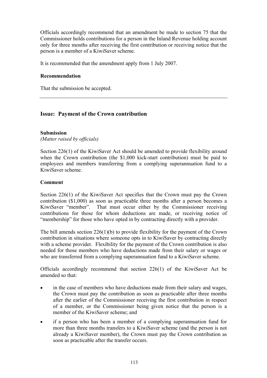Officials accordingly recommend that an amendment be made to section 75 that the Commissioner holds contributions for a person in the Inland Revenue holding account only for three months after receiving the first contribution or receiving notice that the person is a member of a KiwiSaver scheme.

It is recommended that the amendment apply from 1 July 2007.

### **Recommendation**

That the submission be accepted.

# **Issue: Payment of the Crown contribution**

## **Submission**

*(Matter raised by officials)* 

Section 226(1) of the KiwiSaver Act should be amended to provide flexibility around when the Crown contribution (the \$1,000 kick-start contribution) must be paid to employees and members transferring from a complying superannuation fund to a KiwiSaver scheme.

### **Comment**

Section 226(1) of the KiwiSaver Act specifies that the Crown must pay the Crown contribution (\$1,000) as soon as practicable three months after a person becomes a KiwiSaver "member". That must occur either by the Commissioner receiving contributions for those for whom deductions are made, or receiving notice of "membership" for those who have opted in by contracting directly with a provider.

The bill amends section 226(1)(b) to provide flexibility for the payment of the Crown contribution in situations where someone opts in to KiwiSaver by contracting directly with a scheme provider. Flexibility for the payment of the Crown contribution is also needed for those members who have deductions made from their salary or wages or who are transferred from a complying superannuation fund to a KiwiSaver scheme.

Officials accordingly recommend that section 226(1) of the KiwiSaver Act be amended so that:

- in the case of members who have deductions made from their salary and wages, the Crown must pay the contribution as soon as practicable after three months after the earlier of the Commissioner receiving the first contribution in respect of a member, or the Commissioner being given notice that the person is a member of the KiwiSaver scheme; and
- if a person who has been a member of a complying superannuation fund for more than three months transfers to a KiwiSaver scheme (and the person is not already a KiwiSaver member), the Crown must pay the Crown contribution as soon as practicable after the transfer occurs.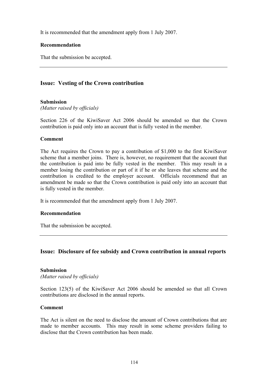It is recommended that the amendment apply from 1 July 2007.

### **Recommendation**

That the submission be accepted.

# **Issue: Vesting of the Crown contribution**

## **Submission**

*(Matter raised by officials)* 

Section 226 of the KiwiSaver Act 2006 should be amended so that the Crown contribution is paid only into an account that is fully vested in the member.

## **Comment**

The Act requires the Crown to pay a contribution of \$1,000 to the first KiwiSaver scheme that a member joins. There is, however, no requirement that the account that the contribution is paid into be fully vested in the member. This may result in a member losing the contribution or part of it if he or she leaves that scheme and the contribution is credited to the employer account. Officials recommend that an amendment be made so that the Crown contribution is paid only into an account that is fully vested in the member.

It is recommended that the amendment apply from 1 July 2007.

### **Recommendation**

That the submission be accepted.

# **Issue: Disclosure of fee subsidy and Crown contribution in annual reports**

### **Submission**

*(Matter raised by officials)* 

Section 123(5) of the KiwiSaver Act 2006 should be amended so that all Crown contributions are disclosed in the annual reports.

### **Comment**

The Act is silent on the need to disclose the amount of Crown contributions that are made to member accounts. This may result in some scheme providers failing to disclose that the Crown contribution has been made.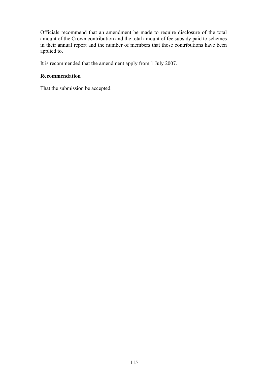Officials recommend that an amendment be made to require disclosure of the total amount of the Crown contribution and the total amount of fee subsidy paid to schemes in their annual report and the number of members that those contributions have been applied to.

It is recommended that the amendment apply from 1 July 2007.

## **Recommendation**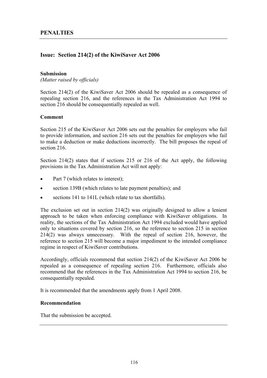# **Issue: Section 214(2) of the KiwiSaver Act 2006**

#### **Submission**

*(Matter raised by officials)* 

Section 214(2) of the KiwiSaver Act 2006 should be repealed as a consequence of repealing section 216, and the references in the Tax Administration Act 1994 to section 216 should be consequentially repealed as well.

### **Comment**

Section 215 of the KiwiSaver Act 2006 sets out the penalties for employers who fail to provide information, and section 216 sets out the penalties for employers who fail to make a deduction or make deductions incorrectly. The bill proposes the repeal of section 216

Section 214(2) states that if sections 215 or 216 of the Act apply, the following provisions in the Tax Administration Act will not apply:

- Part 7 (which relates to interest);
- section 139B (which relates to late payment penalties); and
- sections 141 to 141L (which relate to tax shortfalls).

The exclusion set out in section  $214(2)$  was originally designed to allow a lenient approach to be taken when enforcing compliance with KiwiSaver obligations. In reality, the sections of the Tax Administration Act 1994 excluded would have applied only to situations covered by section 216, so the reference to section 215 in section 214(2) was always unnecessary. With the repeal of section 216, however, the reference to section 215 will become a major impediment to the intended compliance regime in respect of KiwiSaver contributions.

Accordingly, officials recommend that section 214(2) of the KiwiSaver Act 2006 be repealed as a consequence of repealing section 216. Furthermore, officials also recommend that the references in the Tax Administration Act 1994 to section 216, be consequentially repealed.

It is recommended that the amendments apply from 1 April 2008.

### **Recommendation**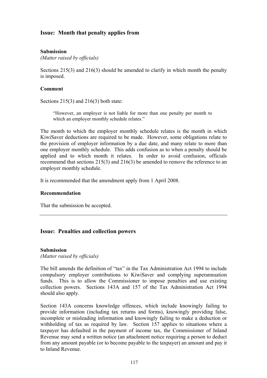# **Issue: Month that penalty applies from**

## **Submission**

*(Matter raised by officials)* 

Sections 215(3) and 216(3) should be amended to clarify in which month the penalty is imposed.

### **Comment**

Sections 215(3) and 216(3) both state:

"However, an employer is not liable for more than one penalty per month to which an employer monthly schedule relates."

The month to which the employer monthly schedule relates is the month in which KiwiSaver deductions are required to be made. However, some obligations relate to the provision of employer information by a due date, and many relate to more than one employer monthly schedule. This adds confusion as to when a penalty should be applied and to which month it relates. In order to avoid confusion, officials recommend that sections 215(3) and 216(3) be amended to remove the reference to an employer monthly schedule.

It is recommended that the amendment apply from 1 April 2008.

### **Recommendation**

That the submission be accepted.

### **Issue: Penalties and collection powers**

#### **Submission**

*(Matter raised by officials)* 

The bill amends the definition of "tax" in the Tax Administration Act 1994 to include compulsory employer contributions to KiwiSaver and complying superannuation funds. This is to allow the Commissioner to impose penalties and use existing collection powers. Sections 143A and 157 of the Tax Administration Act 1994 should also apply.

Section 143A concerns knowledge offences, which include knowingly failing to provide information (including tax returns and forms), knowingly providing false, incomplete or misleading information and knowingly failing to make a deduction or withholding of tax as required by law. Section 157 applies to situations where a taxpayer has defaulted in the payment of income tax, the Commissioner of Inland Revenue may send a written notice (an attachment notice requiring a person to deduct from any amount payable (or to become payable to the taxpayer) an amount and pay it to Inland Revenue.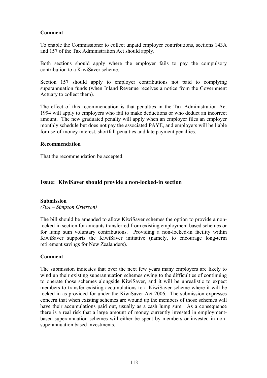## **Comment**

To enable the Commissioner to collect unpaid employer contributions, sections 143A and 157 of the Tax Administration Act should apply.

Both sections should apply where the employer fails to pay the compulsory contribution to a KiwiSaver scheme.

Section 157 should apply to employer contributions not paid to complying superannuation funds (when Inland Revenue receives a notice from the Government Actuary to collect them).

The effect of this recommendation is that penalties in the Tax Administration Act 1994 will apply to employers who fail to make deductions or who deduct an incorrect amount. The new graduated penalty will apply when an employer files an employer monthly schedule but does not pay the associated PAYE, and employers will be liable for use-of-money interest, shortfall penalties and late payment penalties.

### **Recommendation**

That the recommendation be accepted.

## **Issue: KiwiSaver should provide a non-locked-in section**

#### **Submission**

*(70A – Simpson Grierson)* 

The bill should be amended to allow KiwiSaver schemes the option to provide a nonlocked-in section for amounts transferred from existing employment based schemes or for lump sum voluntary contributions. Providing a non-locked-in facility within KiwiSaver supports the KiwiSaver initiative (namely, to encourage long-term retirement savings for New Zealanders).

### **Comment**

The submission indicates that over the next few years many employers are likely to wind up their existing superannuation schemes owing to the difficulties of continuing to operate those schemes alongside KiwiSaver, and it will be unrealistic to expect members to transfer existing accumulations to a KiwiSaver scheme where it will be locked in as provided for under the KiwiSaver Act 2006. The submission expresses concern that when existing schemes are wound up the members of those schemes will have their accumulations paid out, usually as a cash lump sum. As a consequence there is a real risk that a large amount of money currently invested in employmentbased superannuation schemes will either be spent by members or invested in nonsuperannuation based investments.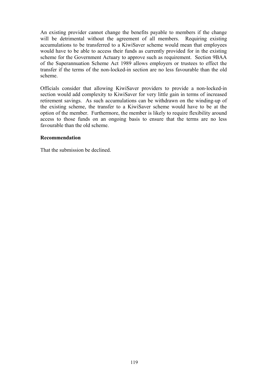An existing provider cannot change the benefits payable to members if the change will be detrimental without the agreement of all members. Requiring existing accumulations to be transferred to a KiwiSaver scheme would mean that employees would have to be able to access their funds as currently provided for in the existing scheme for the Government Actuary to approve such as requirement. Section 9BAA of the Superannuation Scheme Act 1989 allows employers or trustees to effect the transfer if the terms of the non-locked-in section are no less favourable than the old scheme.

Officials consider that allowing KiwiSaver providers to provide a non-locked-in section would add complexity to KiwiSaver for very little gain in terms of increased retirement savings. As such accumulations can be withdrawn on the winding-up of the existing scheme, the transfer to a KiwiSaver scheme would have to be at the option of the member. Furthermore, the member is likely to require flexibility around access to those funds on an ongoing basis to ensure that the terms are no less favourable than the old scheme.

## **Recommendation**

That the submission be declined.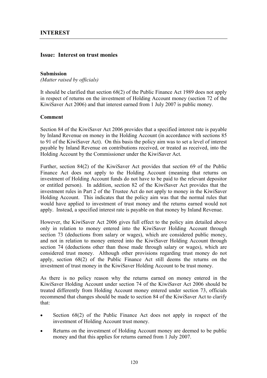## **Issue: Interest on trust monies**

#### **Submission**

*(Matter raised by officials)* 

It should be clarified that section 68(2) of the Public Finance Act 1989 does not apply in respect of returns on the investment of Holding Account money (section 72 of the KiwiSaver Act 2006) and that interest earned from 1 July 2007 is public money.

## **Comment**

Section 84 of the KiwiSaver Act 2006 provides that a specified interest rate is payable by Inland Revenue on money in the Holding Account (in accordance with sections 85 to 91 of the KiwiSaver Act). On this basis the policy aim was to set a level of interest payable by Inland Revenue on contributions received, or treated as received, into the Holding Account by the Commissioner under the KiwiSaver Act.

Further, section 84(2) of the KiwiSaver Act provides that section 69 of the Public Finance Act does not apply to the Holding Account (meaning that returns on investment of Holding Account funds do not have to be paid to the relevant depositor or entitled person). In addition, section 82 of the KiwiSaver Act provides that the investment rules in Part 2 of the Trustee Act do not apply to money in the KiwiSaver Holding Account. This indicates that the policy aim was that the normal rules that would have applied to investment of trust money and the returns earned would not apply. Instead, a specified interest rate is payable on that money by Inland Revenue.

However, the KiwiSaver Act 2006 gives full effect to the policy aim detailed above only in relation to money entered into the KiwiSaver Holding Account through section 73 (deductions from salary or wages), which are considered public money, and not in relation to money entered into the KiwiSaver Holding Account through section 74 (deductions other than those made through salary or wages), which are considered trust money. Although other provisions regarding trust money do not apply, section 68(2) of the Public Finance Act still deems the returns on the investment of trust money in the KiwiSaver Holding Account to be trust money.

As there is no policy reason why the returns earned on money entered in the KiwiSaver Holding Account under section 74 of the KiwiSaver Act 2006 should be treated differently from Holding Account money entered under section 73, officials recommend that changes should be made to section 84 of the KiwiSaver Act to clarify that:

- Section 68(2) of the Public Finance Act does not apply in respect of the investment of Holding Account trust money.
- Returns on the investment of Holding Account money are deemed to be public money and that this applies for returns earned from 1 July 2007.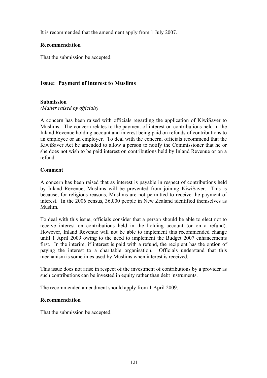It is recommended that the amendment apply from 1 July 2007.

## **Recommendation**

That the submission be accepted.

# **Issue: Payment of interest to Muslims**

# **Submission**

*(Matter raised by officials)* 

A concern has been raised with officials regarding the application of KiwiSaver to Muslims. The concern relates to the payment of interest on contributions held in the Inland Revenue holding account and interest being paid on refunds of contributions to an employee or an employer. To deal with the concern, officials recommend that the KiwiSaver Act be amended to allow a person to notify the Commissioner that he or she does not wish to be paid interest on contributions held by Inland Revenue or on a refund.

# **Comment**

A concern has been raised that as interest is payable in respect of contributions held by Inland Revenue, Muslims will be prevented from joining KiwiSaver. This is because, for religious reasons, Muslims are not permitted to receive the payment of interest. In the 2006 census, 36,000 people in New Zealand identified themselves as Muslim.

To deal with this issue, officials consider that a person should be able to elect not to receive interest on contributions held in the holding account (or on a refund). However, Inland Revenue will not be able to implement this recommended change until 1 April 2009 owing to the need to implement the Budget 2007 enhancements first. In the interim, if interest is paid with a refund, the recipient has the option of paying the interest to a charitable organisation. Officials understand that this mechanism is sometimes used by Muslims when interest is received.

This issue does not arise in respect of the investment of contributions by a provider as such contributions can be invested in equity rather than debt instruments.

The recommended amendment should apply from 1 April 2009.

## **Recommendation**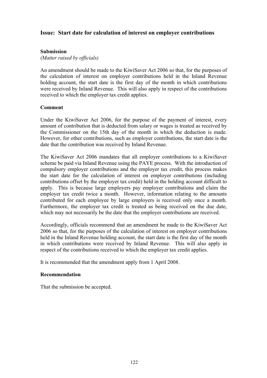## **Issue: Start date for calculation of interest on employer contributions**

### **Submission**

*(Matter raised by officials)* 

An amendment should be made to the KiwiSaver Act 2006 so that, for the purposes of the calculation of interest on employer contributions held in the Inland Revenue holding account, the start date is the first day of the month in which contributions were received by Inland Revenue. This will also apply in respect of the contributions received to which the employer tax credit applies.

### **Comment**

Under the KiwiSaver Act 2006, for the purpose of the payment of interest, every amount of contribution that is deducted from salary or wages is treated as received by the Commissioner on the 15th day of the month in which the deduction is made. However, for other contributions, such as employer contributions, the start date is the date that the contribution was received by Inland Revenue.

The KiwiSaver Act 2006 mandates that all employer contributions to a KiwiSaver scheme be paid via Inland Revenue using the PAYE process. With the introduction of compulsory employer contributions and the employer tax credit, this process makes the start date for the calculation of interest on employer contributions (including contributions offset by the employer tax credit) held in the holding account difficult to apply. This is because large employers pay employer contributions and claim the employer tax credit twice a month. However, information relating to the amounts contributed for each employee by large employers is received only once a month. Furthermore, the employer tax credit is treated as being received on the due date, which may not necessarily be the date that the employer contributions are received.

Accordingly, officials recommend that an amendment be made to the KiwiSaver Act 2006 so that, for the purposes of the calculation of interest on employer contributions held in the Inland Revenue holding account, the start date is the first day of the month in which contributions were received by Inland Revenue. This will also apply in respect of the contributions received to which the employer tax credit applies.

It is recommended that the amendment apply from 1 April 2008.

### **Recommendation**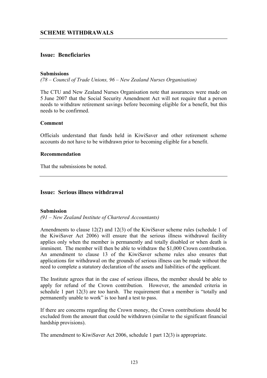## **Issue: Beneficiaries**

#### **Submissions**

*(78 – Council of Trade Unions, 96 – New Zealand Nurses Organisation)* 

The CTU and New Zealand Nurses Organisation note that assurances were made on 5 June 2007 that the Social Security Amendment Act will not require that a person needs to withdraw retirement savings before becoming eligible for a benefit, but this needs to be confirmed.

### **Comment**

Officials understand that funds held in KiwiSaver and other retirement scheme accounts do not have to be withdrawn prior to becoming eligible for a benefit.

#### **Recommendation**

That the submissions be noted.

# **Issue: Serious illness withdrawal**

### **Submission**

*(91 – New Zealand Institute of Chartered Accountants)* 

Amendments to clause 12(2) and 12(3) of the KiwiSaver scheme rules (schedule 1 of the KiwiSaver Act 2006) will ensure that the serious illness withdrawal facility applies only when the member is permanently and totally disabled or when death is imminent. The member will then be able to withdraw the \$1,000 Crown contribution. An amendment to clause 13 of the KiwiSaver scheme rules also ensures that applications for withdrawal on the grounds of serious illness can be made without the need to complete a statutory declaration of the assets and liabilities of the applicant.

The Institute agrees that in the case of serious illness, the member should be able to apply for refund of the Crown contribution. However, the amended criteria in schedule 1 part 12(3) are too harsh. The requirement that a member is "totally and permanently unable to work" is too hard a test to pass.

If there are concerns regarding the Crown money, the Crown contributions should be excluded from the amount that could be withdrawn (similar to the significant financial hardship provisions).

The amendment to KiwiSaver Act 2006, schedule 1 part 12(3) is appropriate.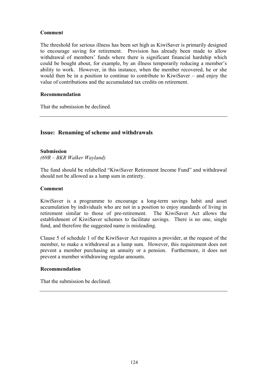## **Comment**

The threshold for serious illness has been set high as KiwiSaver is primarily designed to encourage saving for retirement. Provision has already been made to allow withdrawal of members' funds where there is significant financial hardship which could be bought about, for example, by an illness temporarily reducing a member's ability to work. However, in this instance, when the member recovered, he or she would then be in a position to continue to contribute to KiwiSaver – and enjoy the value of contributions and the accumulated tax credits on retirement.

## **Recommendation**

That the submission be declined.

# **Issue: Renaming of scheme and withdrawals**

### **Submission**

*(69R – BKR Walker Wayland)* 

The fund should be relabelled "KiwiSaver Retirement Income Fund" and withdrawal should not be allowed as a lump sum in entirety.

### **Comment**

KiwiSaver is a programme to encourage a long-term savings habit and asset accumulation by individuals who are not in a position to enjoy standards of living in retirement similar to those of pre-retirement. The KiwiSaver Act allows the establishment of KiwiSaver schemes to facilitate savings. There is no one, single fund, and therefore the suggested name is misleading.

Clause 5 of schedule 1 of the KiwiSaver Act requires a provider, at the request of the member, to make a withdrawal as a lump sum. However, this requirement does not prevent a member purchasing an annuity or a pension. Furthermore, it does not prevent a member withdrawing regular amounts.

### **Recommendation**

That the submission be declined.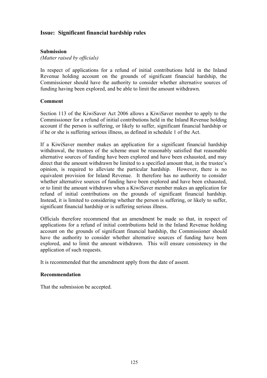# **Issue: Significant financial hardship rules**

## **Submission**

*(Matter raised by officials)* 

In respect of applications for a refund of initial contributions held in the Inland Revenue holding account on the grounds of significant financial hardship, the Commissioner should have the authority to consider whether alternative sources of funding having been explored, and be able to limit the amount withdrawn.

## **Comment**

Section 113 of the KiwiSaver Act 2006 allows a KiwiSaver member to apply to the Commissioner for a refund of initial contributions held in the Inland Revenue holding account if the person is suffering, or likely to suffer, significant financial hardship or if he or she is suffering serious illness, as defined in schedule 1 of the Act.

If a KiwiSaver member makes an application for a significant financial hardship withdrawal, the trustees of the scheme must be reasonably satisfied that reasonable alternative sources of funding have been explored and have been exhausted, and may direct that the amount withdrawn be limited to a specified amount that, in the trustee's opinion, is required to alleviate the particular hardship. However, there is no equivalent provision for Inland Revenue. It therefore has no authority to consider whether alternative sources of funding have been explored and have been exhausted, or to limit the amount withdrawn when a KiwiSaver member makes an application for refund of initial contributions on the grounds of significant financial hardship. Instead, it is limited to considering whether the person is suffering, or likely to suffer, significant financial hardship or is suffering serious illness.

Officials therefore recommend that an amendment be made so that, in respect of applications for a refund of initial contributions held in the Inland Revenue holding account on the grounds of significant financial hardship, the Commissioner should have the authority to consider whether alternative sources of funding have been explored, and to limit the amount withdrawn. This will ensure consistency in the application of such requests.

It is recommended that the amendment apply from the date of assent.

### **Recommendation**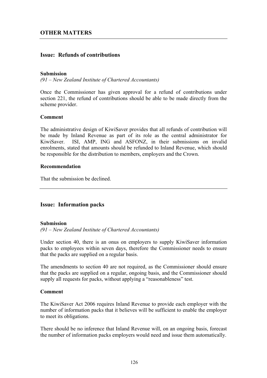# **Issue: Refunds of contributions**

#### **Submission**

*(91 – New Zealand Institute of Chartered Accountants)* 

Once the Commissioner has given approval for a refund of contributions under section 221, the refund of contributions should be able to be made directly from the scheme provider.

### **Comment**

The administrative design of KiwiSaver provides that all refunds of contribution will be made by Inland Revenue as part of its role as the central administrator for KiwiSaver. ISI, AMP, ING and ASFONZ, in their submissions on invalid enrolments, stated that amounts should be refunded to Inland Revenue, which should be responsible for the distribution to members, employers and the Crown.

#### **Recommendation**

That the submission be declined.

## **Issue: Information packs**

### **Submission**

*(91 – New Zealand Institute of Chartered Accountants)* 

Under section 40, there is an onus on employers to supply KiwiSaver information packs to employees within seven days, therefore the Commissioner needs to ensure that the packs are supplied on a regular basis.

The amendments to section 40 are not required, as the Commissioner should ensure that the packs are supplied on a regular, ongoing basis, and the Commissioner should supply all requests for packs, without applying a "reasonableness" test.

#### **Comment**

The KiwiSaver Act 2006 requires Inland Revenue to provide each employer with the number of information packs that it believes will be sufficient to enable the employer to meet its obligations.

There should be no inference that Inland Revenue will, on an ongoing basis, forecast the number of information packs employers would need and issue them automatically.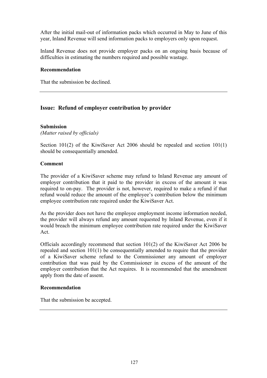After the initial mail-out of information packs which occurred in May to June of this year, Inland Revenue will send information packs to employers only upon request.

Inland Revenue does not provide employer packs on an ongoing basis because of difficulties in estimating the numbers required and possible wastage.

### **Recommendation**

That the submission be declined.

# **Issue: Refund of employer contribution by provider**

## **Submission**

*(Matter raised by officials)* 

Section 101(2) of the KiwiSaver Act 2006 should be repealed and section 101(1) should be consequentially amended.

## **Comment**

The provider of a KiwiSaver scheme may refund to Inland Revenue any amount of employer contribution that it paid to the provider in excess of the amount it was required to on-pay. The provider is not, however, required to make a refund if that refund would reduce the amount of the employee's contribution below the minimum employee contribution rate required under the KiwiSaver Act.

As the provider does not have the employee employment income information needed, the provider will always refund any amount requested by Inland Revenue, even if it would breach the minimum employee contribution rate required under the KiwiSaver Act.

Officials accordingly recommend that section 101(2) of the KiwiSaver Act 2006 be repealed and section 101(1) be consequentially amended to require that the provider of a KiwiSaver scheme refund to the Commissioner any amount of employer contribution that was paid by the Commissioner in excess of the amount of the employer contribution that the Act requires. It is recommended that the amendment apply from the date of assent.

### **Recommendation**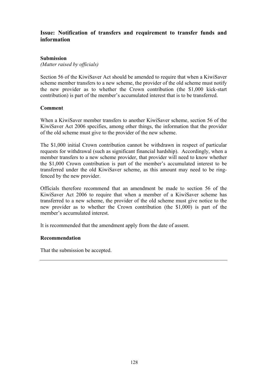# **Issue: Notification of transfers and requirement to transfer funds and information**

### **Submission**

*(Matter raised by officials)* 

Section 56 of the KiwiSaver Act should be amended to require that when a KiwiSaver scheme member transfers to a new scheme, the provider of the old scheme must notify the new provider as to whether the Crown contribution (the \$1,000 kick-start contribution) is part of the member's accumulated interest that is to be transferred.

## **Comment**

When a KiwiSaver member transfers to another KiwiSaver scheme, section 56 of the KiwiSaver Act 2006 specifies, among other things, the information that the provider of the old scheme must give to the provider of the new scheme.

The \$1,000 initial Crown contribution cannot be withdrawn in respect of particular requests for withdrawal (such as significant financial hardship). Accordingly, when a member transfers to a new scheme provider, that provider will need to know whether the \$1,000 Crown contribution is part of the member's accumulated interest to be transferred under the old KiwiSaver scheme, as this amount may need to be ringfenced by the new provider.

Officials therefore recommend that an amendment be made to section 56 of the KiwiSaver Act 2006 to require that when a member of a KiwiSaver scheme has transferred to a new scheme, the provider of the old scheme must give notice to the new provider as to whether the Crown contribution (the \$1,000) is part of the member's accumulated interest.

It is recommended that the amendment apply from the date of assent.

### **Recommendation**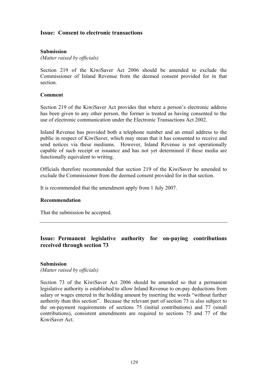## **Issue: Consent to electronic transactions**

## **Submission**

*(Matter raised by officials)* 

Section 219 of the KiwiSaver Act 2006 should be amended to exclude the Commissioner of Inland Revenue from the deemed consent provided for in that section.

### **Comment**

Section 219 of the KiwiSaver Act provides that where a person's electronic address has been given to any other person, the former is treated as having consented to the use of electronic communication under the Electronic Transactions Act 2002.

Inland Revenue has provided both a telephone number and an email address to the public in respect of KiwiSaver, which may mean that it has consented to receive and send notices via these mediums. However, Inland Revenue is not operationally capable of such receipt or issuance and has not yet determined if these media are functionally equivalent to writing.

Officials therefore recommended that section 219 of the KiwiSaver be amended to exclude the Commissioner from the deemed consent provided for in that section.

It is recommended that the amendment apply from 1 July 2007.

### **Recommendation**

That the submission be accepted.

# **Issue: Permanent legislative authority for on-paying contributions received through section 73**

#### **Submission**

*(Matter raised by officials)* 

Section 73 of the KiwiSaver Act 2006 should be amended so that a permanent legislative authority is established to allow Inland Revenue to on-pay deductions from salary or wages entered in the holding amount by inserting the words "without further authority than this section". Because the relevant part of section 73 is also subject to the on-payment requirements of sections 75 (initial contributions) and 77 (small contributions), consistent amendments are required to sections 75 and 77 of the KiwiSaver Act.